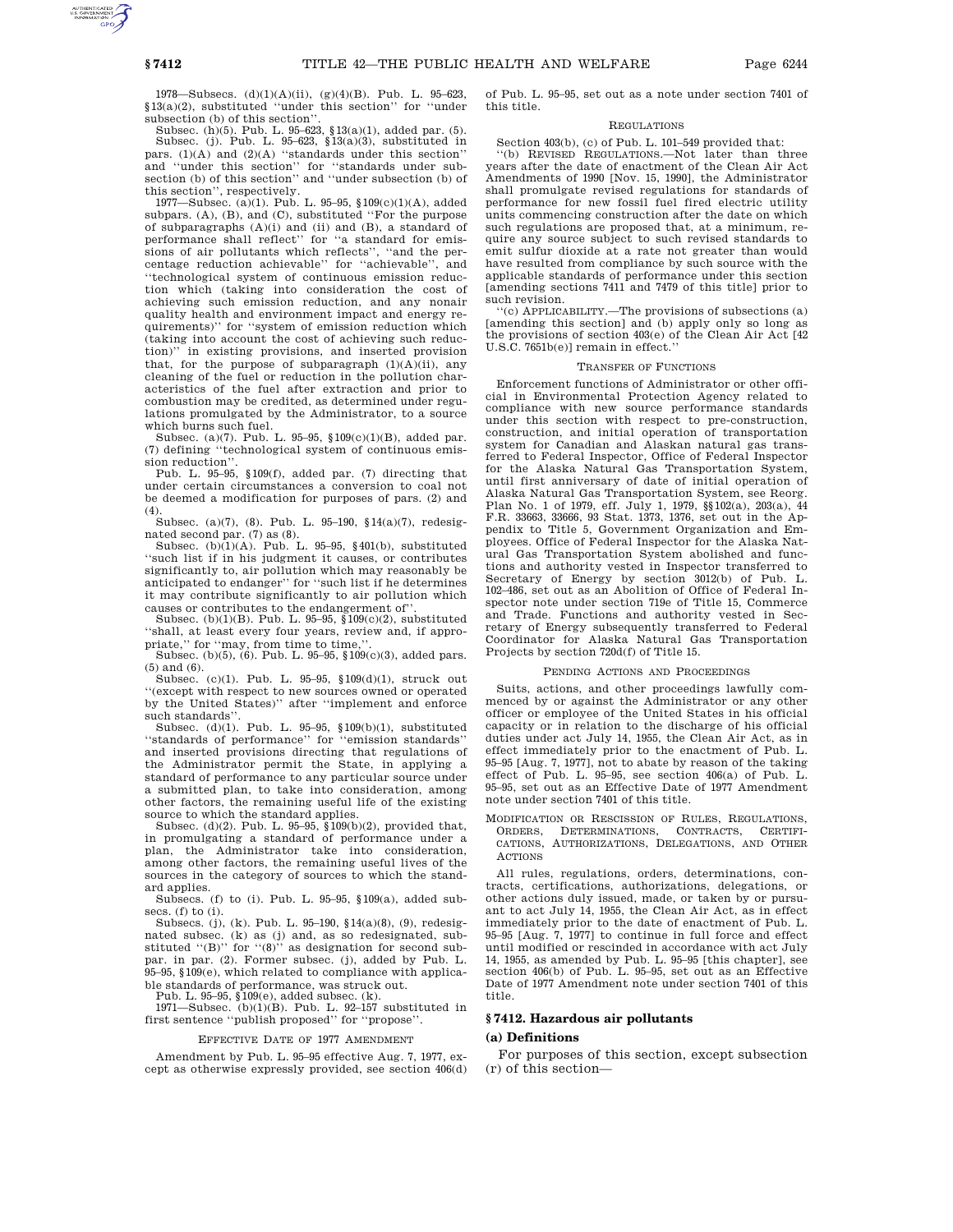1978—Subsecs. (d)(1)(A)(ii), (g)(4)(B). Pub. L. 95–623, §13(a)(2), substituted ''under this section'' for ''under subsection (b) of this section''.

Subsec. (h)(5). Pub. L. 95–623, §13(a)(1), added par. (5). Subsec. (j). Pub. L. 95–623, §13(a)(3), substituted in pars.  $(1)(A)$  and  $(2)(A)$  "standards under this section" and ''under this section'' for ''standards under subsection (b) of this section'' and ''under subsection (b) of this section'', respectively. 1977—Subsec. (a)(1). Pub. L. 95–95, §109(c)(1)(A), added

subpars. (A), (B), and (C), substituted "For the purpose of subparagraphs (A)(i) and (ii) and (B), a standard of performance shall reflect" for "a standard for emissions of air pollutants which reflects'', ''and the percentage reduction achievable'' for ''achievable'', and ''technological system of continuous emission reduction which (taking into consideration the cost of achieving such emission reduction, and any nonair quality health and environment impact and energy requirements)'' for ''system of emission reduction which (taking into account the cost of achieving such reduction)'' in existing provisions, and inserted provision that, for the purpose of subparagraph  $(1)(A)(ii)$ , any cleaning of the fuel or reduction in the pollution characteristics of the fuel after extraction and prior to combustion may be credited, as determined under regulations promulgated by the Administrator, to a source

which burns such fuel. Subsec. (a)(7). Pub. L. 95–95, §109(c)(1)(B), added par. (7) defining ''technological system of continuous emission reduction''.

Pub. L. 95–95, §109(f), added par. (7) directing that under certain circumstances a conversion to coal not be deemed a modification for purposes of pars. (2) and (4).

Subsec. (a)(7), (8). Pub. L. 95–190, §14(a)(7), redesignated second par. (7) as (8). Subsec. (b)(1)(A). Pub. L. 95–95, §401(b), substituted

''such list if in his judgment it causes, or contributes significantly to, air pollution which may reasonably be anticipated to endanger'' for ''such list if he determines it may contribute significantly to air pollution which causes or contributes to the endangerment of'

Subsec. (b)(1)(B). Pub. L. 95–95,  $\S$ 109(c)(2), substituted ''shall, at least every four years, review and, if appropriate," for "may, from time to time,"

Subsec. (b)(5), (6). Pub. L. 95–95, §109(c)(3), added pars. (5) and (6). Subsec. (c)(1). Pub. L. 95–95, §109(d)(1), struck out

''(except with respect to new sources owned or operated by the United States)'' after ''implement and enforce such standards''.

Subsec.  $(d)(1)$ . Pub. L. 95–95, §109(b)(1), substituted ''standards of performance'' for ''emission standards'' and inserted provisions directing that regulations of the Administrator permit the State, in applying a standard of performance to any particular source under a submitted plan, to take into consideration, among other factors, the remaining useful life of the existing

source to which the standard applies. Subsec. (d)(2). Pub. L. 95–95, §109(b)(2), provided that, in promulgating a standard of performance under a plan, the Administrator take into consideration, among other factors, the remaining useful lives of the sources in the category of sources to which the stand-

ard applies. Subsecs. (f) to (i). Pub. L. 95–95, §109(a), added subsecs. (f) to (i).

Subsecs. (j), (k). Pub. L. 95–190,  $14(a)(8)$ , (9), redesignated subsec. (k) as (j) and, as so redesignated, substituted  $'(B)$ " for  $'(8)$ " as designation for second subpar. in par. (2). Former subsec. (j), added by Pub. L. 95–95, §109(e), which related to compliance with applicable standards of performance, was struck out.

Pub. L. 95–95, §109(e), added subsec. (k).

1971—Subsec. (b)(1)(B). Pub. L. 92–157 substituted in first sentence ''publish proposed'' for ''propose''.

#### EFFECTIVE DATE OF 1977 AMENDMENT

Amendment by Pub. L. 95–95 effective Aug. 7, 1977, except as otherwise expressly provided, see section 406(d) of Pub. L. 95–95, set out as a note under section 7401 of this title.

#### REGULATIONS

# Section 403(b), (c) of Pub. L. 101–549 provided that: ''(b) REVISED REGULATIONS.—Not later than three

years after the date of enactment of the Clean Air Act Amendments of 1990 [Nov. 15, 1990], the Administrator shall promulgate revised regulations for standards of performance for new fossil fuel fired electric utility units commencing construction after the date on which such regulations are proposed that, at a minimum, require any source subject to such revised standards to emit sulfur dioxide at a rate not greater than would have resulted from compliance by such source with the applicable standards of performance under this section [amending sections 7411 and 7479 of this title] prior to such revision.

''(c) APPLICABILITY.—The provisions of subsections (a) [amending this section] and (b) apply only so long as the provisions of section 403(e) of the Clean Air Act [42 U.S.C. 7651b(e)] remain in effect.''

#### TRANSFER OF FUNCTIONS

Enforcement functions of Administrator or other official in Environmental Protection Agency related to compliance with new source performance standards under this section with respect to pre-construction, construction, and initial operation of transportation system for Canadian and Alaskan natural gas transferred to Federal Inspector, Office of Federal Inspector for the Alaska Natural Gas Transportation System, until first anniversary of date of initial operation of Alaska Natural Gas Transportation System, see Reorg. Plan No. 1 of 1979, eff. July 1, 1979, §§102(a), 203(a), 44 F.R. 33663, 33666, 93 Stat. 1373, 1376, set out in the Appendix to Title 5, Government Organization and Employees. Office of Federal Inspector for the Alaska Natural Gas Transportation System abolished and functions and authority vested in Inspector transferred to Secretary of Energy by section 3012(b) of Pub. L. 102–486, set out as an Abolition of Office of Federal Inspector note under section 719e of Title 15, Commerce and Trade. Functions and authority vested in Secretary of Energy subsequently transferred to Federal Coordinator for Alaska Natural Gas Transportation Projects by section 720d(f) of Title 15.

#### PENDING ACTIONS AND PROCEEDINGS

Suits, actions, and other proceedings lawfully commenced by or against the Administrator or any other officer or employee of the United States in his official capacity or in relation to the discharge of his official duties under act July 14, 1955, the Clean Air Act, as in effect immediately prior to the enactment of Pub. L. 95–95 [Aug. 7, 1977], not to abate by reason of the taking effect of Pub. L. 95–95, see section 406(a) of Pub. L. 95–95, set out as an Effective Date of 1977 Amendment note under section 7401 of this title.

MODIFICATION OR RESCISSION OF RULES, REGULATIONS, ORDERS, DETERMINATIONS, CONTRACTS, CERTIFI-CATIONS, AUTHORIZATIONS, DELEGATIONS, AND OTHER ACTIONS

All rules, regulations, orders, determinations, contracts, certifications, authorizations, delegations, or other actions duly issued, made, or taken by or pursuant to act July 14, 1955, the Clean Air Act, as in effect immediately prior to the date of enactment of Pub. L. 95–95 [Aug. 7, 1977] to continue in full force and effect until modified or rescinded in accordance with act July 14, 1955, as amended by Pub. L. 95–95 [this chapter], see section 406(b) of Pub. L. 95–95, set out as an Effective Date of 1977 Amendment note under section 7401 of this title.

#### **§ 7412. Hazardous air pollutants**

#### **(a) Definitions**

For purposes of this section, except subsection (r) of this section—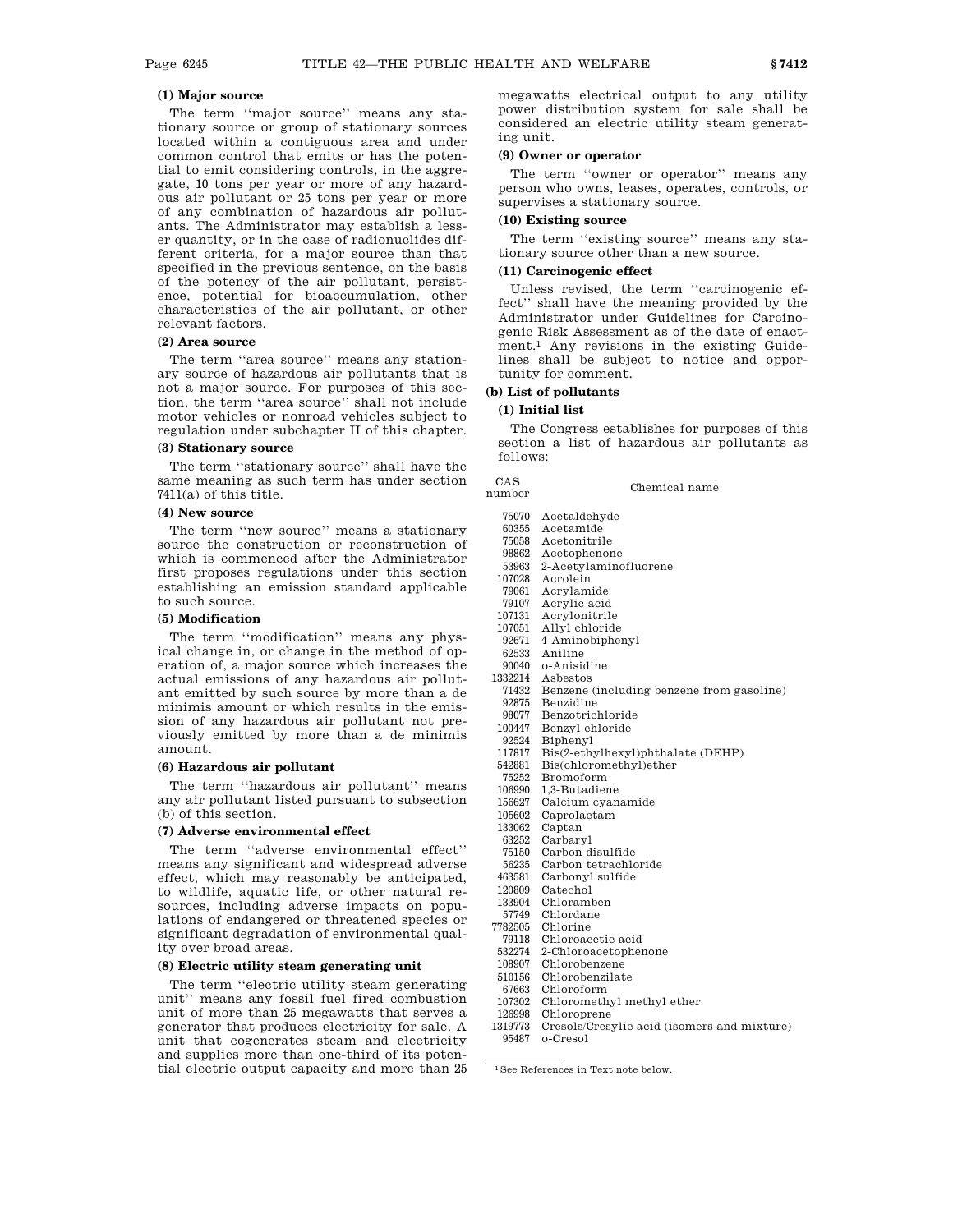### **(1) Major source**

The term ''major source'' means any stationary source or group of stationary sources located within a contiguous area and under common control that emits or has the potential to emit considering controls, in the aggregate, 10 tons per year or more of any hazardous air pollutant or 25 tons per year or more of any combination of hazardous air pollutants. The Administrator may establish a lesser quantity, or in the case of radionuclides different criteria, for a major source than that specified in the previous sentence, on the basis of the potency of the air pollutant, persistence, potential for bioaccumulation, other characteristics of the air pollutant, or other relevant factors.

### **(2) Area source**

The term ''area source'' means any stationary source of hazardous air pollutants that is not a major source. For purposes of this section, the term ''area source'' shall not include motor vehicles or nonroad vehicles subject to regulation under subchapter II of this chapter.

#### **(3) Stationary source**

The term ''stationary source'' shall have the same meaning as such term has under section 7411(a) of this title.

# **(4) New source**

The term ''new source'' means a stationary source the construction or reconstruction of which is commenced after the Administrator first proposes regulations under this section establishing an emission standard applicable to such source.

#### **(5) Modification**

The term "modification" means any physical change in, or change in the method of operation of, a major source which increases the actual emissions of any hazardous air pollutant emitted by such source by more than a de minimis amount or which results in the emission of any hazardous air pollutant not previously emitted by more than a de minimis amount.

### **(6) Hazardous air pollutant**

The term ''hazardous air pollutant'' means any air pollutant listed pursuant to subsection (b) of this section.

#### **(7) Adverse environmental effect**

The term ''adverse environmental effect'' means any significant and widespread adverse effect, which may reasonably be anticipated, to wildlife, aquatic life, or other natural resources, including adverse impacts on populations of endangered or threatened species or significant degradation of environmental quality over broad areas.

### **(8) Electric utility steam generating unit**

The term ''electric utility steam generating unit'' means any fossil fuel fired combustion unit of more than 25 megawatts that serves a generator that produces electricity for sale. A unit that cogenerates steam and electricity and supplies more than one-third of its potential electric output capacity and more than 25 megawatts electrical output to any utility power distribution system for sale shall be considered an electric utility steam generating unit.

### **(9) Owner or operator**

The term ''owner or operator'' means any person who owns, leases, operates, controls, or supervises a stationary source.

#### **(10) Existing source**

The term ''existing source'' means any stationary source other than a new source.

### **(11) Carcinogenic effect**

Unless revised, the term ''carcinogenic effect'' shall have the meaning provided by the Administrator under Guidelines for Carcinogenic Risk Assessment as of the date of enactment.1 Any revisions in the existing Guidelines shall be subject to notice and opportunity for comment.

### **(b) List of pollutants**

### **(1) Initial list**

The Congress establishes for purposes of this section a list of hazardous air pollutants as follows:

CAS<br>number Chemical name

- 75070 Acetaldehyde
- 
- 60355 Acetamide
- 75058 Acetonitrile
- 98862 Acetophenone<br>53963 2-Acetylamino 53963 2-Acetylaminofluorene
- 07028 Acrolein<br>79061 Acrylam
- Acrylamide
- 79107 Acrylic acid
- 107131 Acrylonitrile
- 07051 Allyl chloride<br>92671 4-Aminobiphe
- 92671 4-Aminobiphenyl
- 62533 Aniline
- 90040 o-Anisidine
	- 32214 Asbestos<br>71432 Benzene
- 71432 Benzene (including benzene from gasoline)
- 92875 Benzidine<br>98077 Benzotrich
- 98077 Benzotrichloride
- 100447 Benzyl chloride<br>92524 Biphenyl Biphenyl
- 
- 117817 Bis(2-ethylhexyl)phthalate (DEHP)
- 542881 Bis(chloromethyl)ether<br>75252 Bromoform
- 75252 Bromoform
- 106990 1,3-Butadiene<br>156627 Calcium evan
- 156627 Calcium cyanamide<br>105602 Caprolactam Caprolactam
- 133062 Captan
- 
- 63252 Carbaryl<br>75150 Carbon d Carbon disulfide
- 56235 Carbon tetrachloride
- 463581 Carbonyl sulfide
- Catechol
- 
- 133904 Chloramben<br>57749 Chlordane 57749 Chlordane
- Chlorine
- 79118 Chloroacetic acid<br>532274 2-Chloroacetopher
- 532274 2-Chloroacetophenone
- Chlorobenzene
- 510156 Chlorobenzilate
- 67663 Chloroform Chloromethyl methyl ether
- 
- 126998 Chloroprene<br>1319773 Cresols/Cresy Cresols/Cresylic acid (isomers and mixture)
- 95487 o-Cresol

<sup>1</sup>See References in Text note below.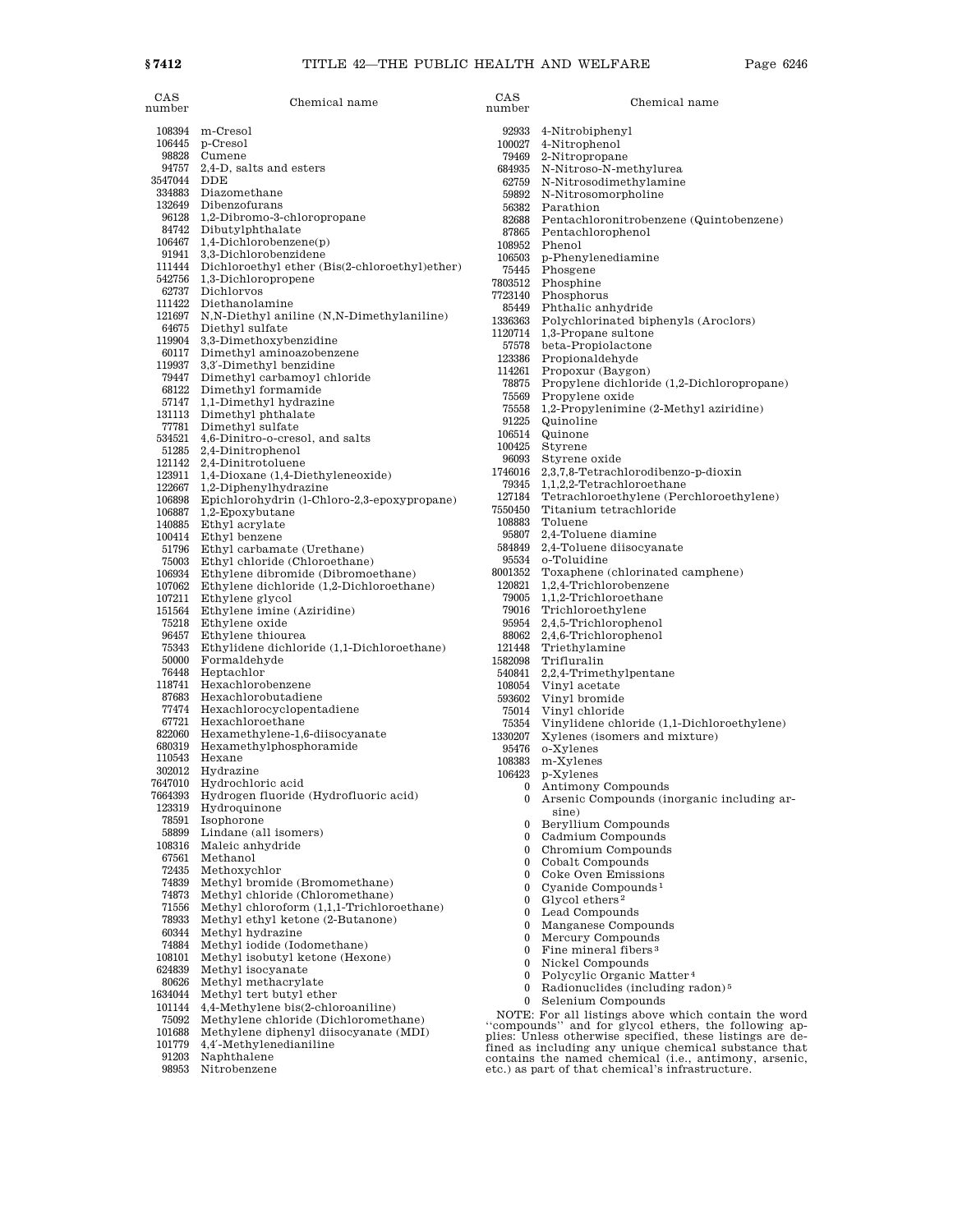| $_{\rm CAS}$<br>number | Chemical name                                                                  |
|------------------------|--------------------------------------------------------------------------------|
|                        |                                                                                |
| 108394                 | m-Cresol                                                                       |
| 106445                 | p-Cresol                                                                       |
| 98828                  | Cumene                                                                         |
| 94757<br>3547044       | 2,4-D, salts and esters<br>$_{\rm DDE}$                                        |
| 334883                 | Diazomethane                                                                   |
| 132649                 | Dibenzofurans                                                                  |
| 96128                  | 1,2-Dibromo-3-chloropropane                                                    |
| 84742                  | Dibutylphthalate                                                               |
| 106467<br>91941        | $1,4$ -Dichlorobenzene(p)<br>3,3-Dichlorobenzidene                             |
| 111444                 | Dichloroethyl ether (Bis(2-chloroethyl)ether)                                  |
| 542756                 | 1,3-Dichloropropene                                                            |
| 62737                  | Dichlorvos                                                                     |
| 111422<br>121697       | Diethanolamine                                                                 |
| 64675                  | N,N-Diethyl aniline (N,N-Dimethylaniline)<br>Diethyl sulfate                   |
| 119904                 | 3,3-Dimethoxybenzidine                                                         |
| 60117                  | Dimethyl aminoazobenzene                                                       |
| 119937                 | 3,3'-Dimethyl benzidine                                                        |
| 79447<br>68122         | Dimethyl carbamoyl chloride<br>Dimethyl formamide                              |
| 57147                  | 1,1-Dimethyl hydrazine                                                         |
| 131113                 | Dimethyl phthalate                                                             |
| 77781                  | Dimethyl sulfate                                                               |
| 534521<br>51285        | 4,6-Dinitro-o-cresol, and salts<br>2,4-Dinitrophenol                           |
| 121142                 | 2,4-Dinitrotoluene                                                             |
| 123911                 | 1,4-Dioxane (1,4-Diethyleneoxide)                                              |
| 122667                 | 1,2-Diphenylhydrazine                                                          |
| 106898<br>106887       | Epichlorohydrin (1-Chloro-2,3-epoxypropane)                                    |
| 140885                 | $1,2$ -Epoxybutane<br>Ethyl acrylate                                           |
| 100414                 | Ethyl benzene                                                                  |
| 51796                  | Ethyl carbamate (Urethane)                                                     |
| 75003                  | Ethyl chloride (Chloroethane)                                                  |
| 106934<br>107062       | Ethylene dibromide (Dibromoethane)<br>Ethylene dichloride (1,2-Dichloroethane) |
| 107211                 | Ethylene glycol                                                                |
| 151564                 | Ethylene imine (Aziridine)                                                     |
| 75218                  | Ethylene oxide                                                                 |
| 96457<br>75343         | Ethylene thiourea<br>Ethylidene dichloride (1,1-Dichloroethane)                |
| 50000                  | Formaldehyde                                                                   |
| 76448                  | Heptachlor                                                                     |
| 118741                 | Hexachlorobenzene                                                              |
| 87683<br>77474         | Hexachlorobutadiene<br>Hexachlorocyclopentadiene                               |
| 67721                  | Hexachloroethane                                                               |
| 822060                 | Hexamethylene-1,6-diisocyanate                                                 |
| 680319                 | Hexamethylphosphoramide                                                        |
| 110543                 | Hexane                                                                         |
| 302012<br>7647010      | Hydrazine<br>Hydrochloric acid                                                 |
| 7664393                | Hydrogen fluoride (Hydrofluoric acid)                                          |
| 123319                 | Hydroquinone                                                                   |
| 78591                  | Isophorone                                                                     |
| 58899                  | Lindane (all isomers)                                                          |
| 108316<br>67561        | Maleic anhydride<br>Methanol                                                   |
| 72435                  | Methoxychlor                                                                   |
| 74839                  | Methyl bromide (Bromomethane)                                                  |
| 74873                  | Methyl chloride (Chloromethane)                                                |
| 71556<br>78933         | Methyl chloroform (1,1,1-Trichloroethane)                                      |
| 60344                  | Methyl ethyl ketone (2-Butanone)<br>Methyl hydrazine                           |
| 74884                  | Methyl iodide (Iodomethane)                                                    |
| 108101                 | Methyl isobutyl ketone (Hexone)                                                |
| 624839                 | Methyl isocyanate                                                              |
| 80626<br>1634044       | Methyl methacrylate<br>Methyl tert butyl ether                                 |
| 101144                 | 4,4-Methylene bis(2-chloroaniline)                                             |
| 75092                  | Methylene chloride (Dichloromethane)                                           |
| 101688                 | Methylene diphenyl diisocyanate (MDI)                                          |
| 101779                 | 4,4'-Methylenedianiline                                                        |

- Naphthalene
- Nitrobenzene

CAS<br>number Chemical name 4-Nitrobiphenyl 100027 4-Nitrophenol<br>79469 2-Nitropropano 2-Nitropropane N-Nitroso-N-methylurea 62759 N-Nitrosodimethylamine<br>59892 N-Nitrosomorpholine 59892 N-Nitrosomorpholine<br>56382 Parathion Parathion Pentachloronitrobenzene (Quintobenzene) 87865 Pentachlorophenol<br>108952 Phenol 108952 Phenol<br>106503 p-Phen; p-Phenylenediamine Phosgene Phosphine 723140 Phosphorus<br>85449 Phthalic an 85449 Phthalic anhydride<br>1336363 Polychlorinated bir Polychlorinated biphenyls (Aroclors) 120714 1,3-Propane sultone<br>57578 beta-Propiolactone 57578 beta-Propiolactone<br>123386 Propionaldehyde 123386 Propionaldehyde<br>114261 Propoxur (Baygo) Propoxur (Baygon) Propylene dichloride (1,2-Dichloropropane) Propylene oxide 1,2-Propylenimine (2-Methyl aziridine) 91225 Quinoline<br>106514 Quinone Quinone 100425 Styrene<br>96093 Styrene Styrene oxide 2,3,7,8-Tetrachlorodibenzo-p-dioxin 1,1,2,2-Tetrachloroethane Tetrachloroethylene (Perchloroethylene) Titanium tetrachloride 108883 Toluene<br>95807 2,4-Tolue 2,4-Toluene diamine 2,4-Toluene diisocyanate o-Toluidine Toxaphene (chlorinated camphene) 1,2,4-Trichlorobenzene 1,1,2-Trichloroethane Trichloroethylene 2,4,5-Trichlorophenol 2,4,6-Trichlorophenol Triethylamine Trifluralin 540841 2,2,4-Trimethylpentane<br>108054 Vinyl acetate 108054 Vinyl acetate<br>593602 Vinyl bromide Vinyl bromide Vinyl chloride Vinylidene chloride (1,1-Dichloroethylene) 330207 Xylenes (isomers and mixture)<br>95476 o-Xylenes o-Xylenes m-Xylenes p-Xylenes Antimony Compounds Arsenic Compounds (inorganic including arsine) Beryllium Compounds Cadmium Compounds 0 Chromium Compounds<br>0 Cobalt Compounds 0 Cobalt Compounds<br>0 Coke Oven Emissic 0 Coke Oven Emissions<br>0 Cyanide Compounds<sup>1</sup> Cyanide Compounds 1 Glycol ethers 2 0 Lead Compounds<br>0 Manganese Comp 0 Manganese Compounds<br>0 Mercury Compounds Mercury Compounds Fine mineral fibers 3 Nickel Compounds Polycylic Organic Matter 4

- 0 Radionuclides (including radon)<sup>5</sup><br>0 Selenium Compounds
- Selenium Compounds

NOTE: For all listings above which contain the word ''compounds'' and for glycol ethers, the following ap-plies: Unless otherwise specified, these listings are de-fined as including any unique chemical substance that contains the named chemical (i.e., antimony, arsenic, etc.) as part of that chemical's infrastructure.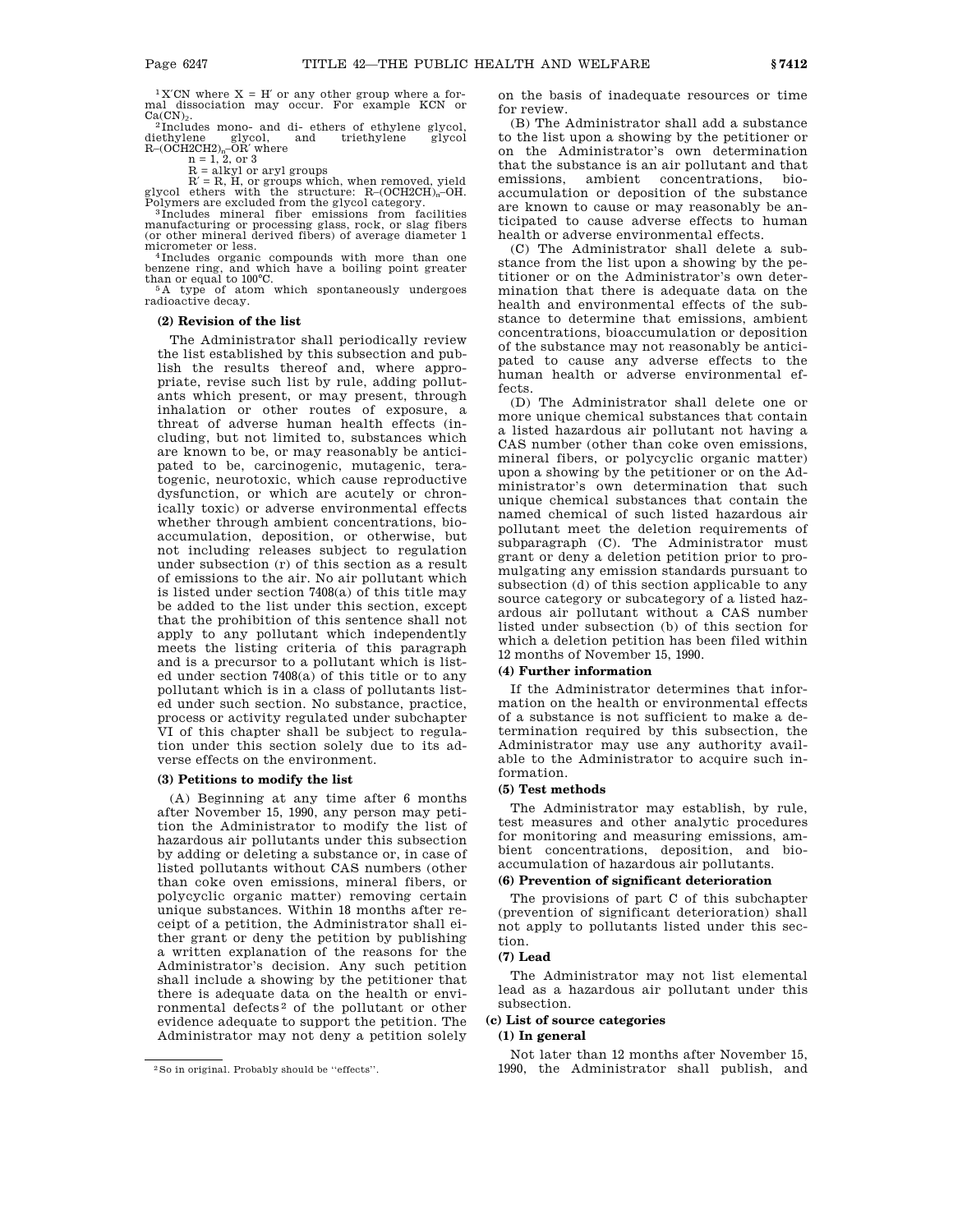$1$ X'CN where X = H' or any other group where a formal dissociation may occur. For example KCN or  $Ca(CN)$ <sub>2</sub>.

<sup>2</sup> Includes mono- and di- ethers of ethylene glycol,<br>iethylene glycol, and triethylene glycol diethylene glycol, and triethylene glycol R–(OCH2CH2)n–OR′ where

 $n = 1, 2,$  or 3

 $R = a1ky1$  or aryl groups

R' = R, H, or groups which, when removed, yield<br>glycol ethers with the structure: R–(OCH2CH)<sub>n</sub>–OH.<br>Polymers are excluded from the glycol category.

3 Includes mineral fiber emissions from facilities manufacturing or processing glass, rock, or slag fibers (or other mineral derived fibers) of average diameter 1 micrometer or less.

4 Includes organic compounds with more than one benzene ring, and which have a boiling point greater than or equal to 100°C.

5 A type of atom which spontaneously undergoes radioactive decay.

#### **(2) Revision of the list**

The Administrator shall periodically review the list established by this subsection and publish the results thereof and, where appropriate, revise such list by rule, adding pollutants which present, or may present, through inhalation or other routes of exposure, a threat of adverse human health effects (including, but not limited to, substances which are known to be, or may reasonably be anticipated to be, carcinogenic, mutagenic, teratogenic, neurotoxic, which cause reproductive dysfunction, or which are acutely or chronically toxic) or adverse environmental effects whether through ambient concentrations, bioaccumulation, deposition, or otherwise, but not including releases subject to regulation under subsection (r) of this section as a result of emissions to the air. No air pollutant which is listed under section 7408(a) of this title may be added to the list under this section, except that the prohibition of this sentence shall not apply to any pollutant which independently meets the listing criteria of this paragraph and is a precursor to a pollutant which is listed under section 7408(a) of this title or to any pollutant which is in a class of pollutants listed under such section. No substance, practice, process or activity regulated under subchapter VI of this chapter shall be subject to regulation under this section solely due to its adverse effects on the environment.

#### **(3) Petitions to modify the list**

(A) Beginning at any time after 6 months after November 15, 1990, any person may petition the Administrator to modify the list of hazardous air pollutants under this subsection by adding or deleting a substance or, in case of listed pollutants without CAS numbers (other than coke oven emissions, mineral fibers, or polycyclic organic matter) removing certain unique substances. Within 18 months after receipt of a petition, the Administrator shall either grant or deny the petition by publishing a written explanation of the reasons for the Administrator's decision. Any such petition shall include a showing by the petitioner that there is adequate data on the health or environmental defects 2 of the pollutant or other evidence adequate to support the petition. The Administrator may not deny a petition solely

on the basis of inadequate resources or time for review.

(B) The Administrator shall add a substance to the list upon a showing by the petitioner or on the Administrator's own determination that the substance is an air pollutant and that emissions, ambient concentrations, bioaccumulation or deposition of the substance are known to cause or may reasonably be anticipated to cause adverse effects to human health or adverse environmental effects.

(C) The Administrator shall delete a substance from the list upon a showing by the petitioner or on the Administrator's own determination that there is adequate data on the health and environmental effects of the substance to determine that emissions, ambient concentrations, bioaccumulation or deposition of the substance may not reasonably be anticipated to cause any adverse effects to the human health or adverse environmental effects.

(D) The Administrator shall delete one or more unique chemical substances that contain a listed hazardous air pollutant not having a CAS number (other than coke oven emissions, mineral fibers, or polycyclic organic matter) upon a showing by the petitioner or on the Administrator's own determination that such unique chemical substances that contain the named chemical of such listed hazardous air pollutant meet the deletion requirements of subparagraph (C). The Administrator must grant or deny a deletion petition prior to promulgating any emission standards pursuant to subsection (d) of this section applicable to any source category or subcategory of a listed hazardous air pollutant without a CAS number listed under subsection (b) of this section for which a deletion petition has been filed within 12 months of November 15, 1990.

### **(4) Further information**

If the Administrator determines that information on the health or environmental effects of a substance is not sufficient to make a determination required by this subsection, the Administrator may use any authority available to the Administrator to acquire such information.

#### **(5) Test methods**

The Administrator may establish, by rule, test measures and other analytic procedures for monitoring and measuring emissions, ambient concentrations, deposition, and bioaccumulation of hazardous air pollutants.

### **(6) Prevention of significant deterioration**

The provisions of part C of this subchapter (prevention of significant deterioration) shall not apply to pollutants listed under this section.

### **(7) Lead**

The Administrator may not list elemental lead as a hazardous air pollutant under this subsection.

# **(c) List of source categories**

### **(1) In general**

Not later than 12 months after November 15, 1990, the Administrator shall publish, and

<sup>2</sup>So in original. Probably should be ''effects''.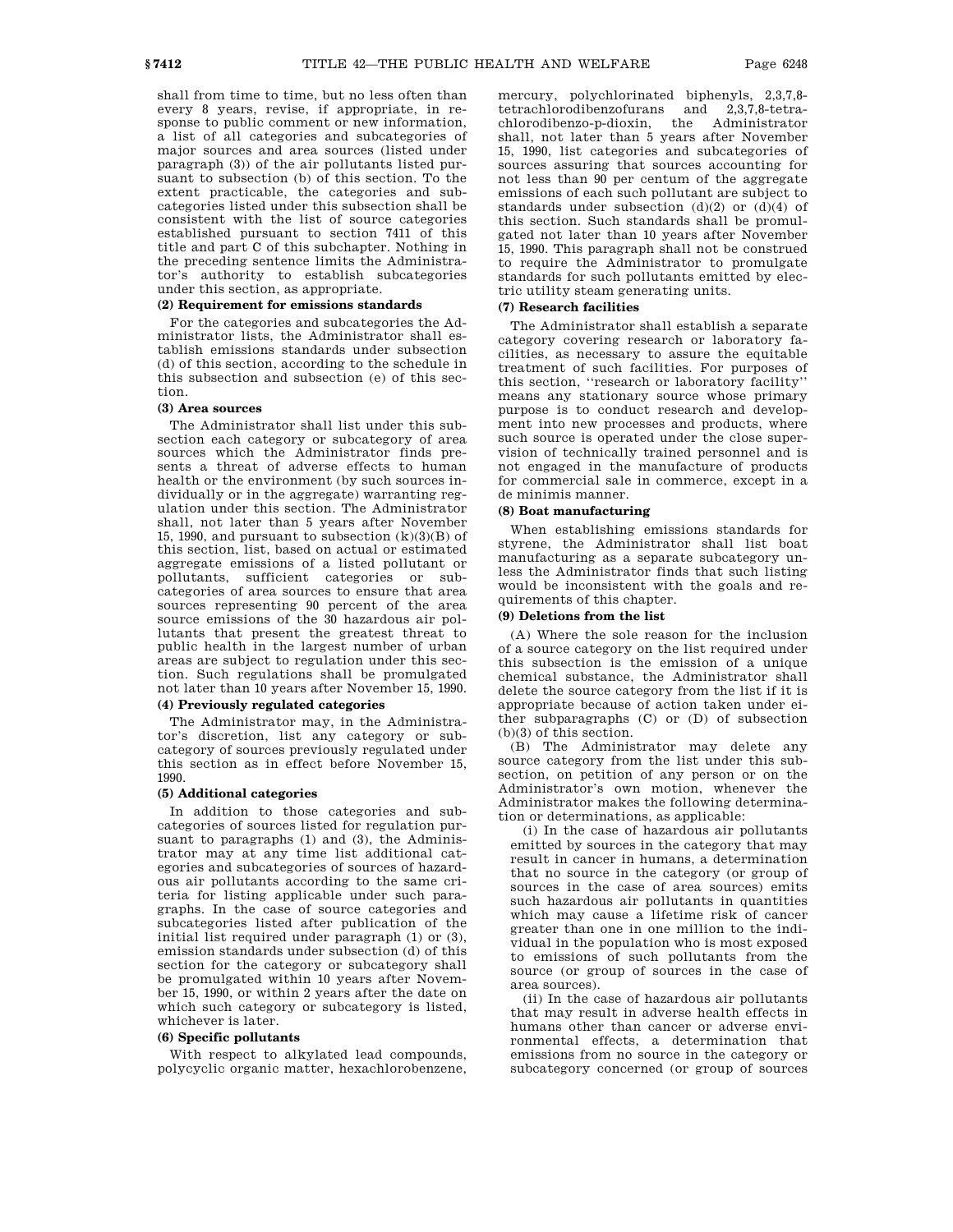shall from time to time, but no less often than every 8 years, revise, if appropriate, in response to public comment or new information, a list of all categories and subcategories of major sources and area sources (listed under paragraph (3)) of the air pollutants listed pursuant to subsection (b) of this section. To the extent practicable, the categories and subcategories listed under this subsection shall be consistent with the list of source categories established pursuant to section 7411 of this title and part C of this subchapter. Nothing in the preceding sentence limits the Administrator's authority to establish subcategories under this section, as appropriate.

### **(2) Requirement for emissions standards**

For the categories and subcategories the Administrator lists, the Administrator shall establish emissions standards under subsection (d) of this section, according to the schedule in this subsection and subsection (e) of this section.

### **(3) Area sources**

The Administrator shall list under this subsection each category or subcategory of area sources which the Administrator finds presents a threat of adverse effects to human health or the environment (by such sources individually or in the aggregate) warranting regulation under this section. The Administrator shall, not later than 5 years after November 15, 1990, and pursuant to subsection  $(k)(3)(B)$  of this section, list, based on actual or estimated aggregate emissions of a listed pollutant or pollutants, sufficient categories or subcategories of area sources to ensure that area sources representing 90 percent of the area source emissions of the 30 hazardous air pollutants that present the greatest threat to public health in the largest number of urban areas are subject to regulation under this section. Such regulations shall be promulgated not later than 10 years after November 15, 1990.

#### **(4) Previously regulated categories**

The Administrator may, in the Administrator's discretion, list any category or subcategory of sources previously regulated under this section as in effect before November 15, 1990.

#### **(5) Additional categories**

In addition to those categories and subcategories of sources listed for regulation pursuant to paragraphs (1) and (3), the Administrator may at any time list additional categories and subcategories of sources of hazardous air pollutants according to the same criteria for listing applicable under such paragraphs. In the case of source categories and subcategories listed after publication of the initial list required under paragraph (1) or (3), emission standards under subsection (d) of this section for the category or subcategory shall be promulgated within 10 years after November 15, 1990, or within 2 years after the date on which such category or subcategory is listed, whichever is later.

#### **(6) Specific pollutants**

With respect to alkylated lead compounds, polycyclic organic matter, hexachlorobenzene, mercury, polychlorinated biphenyls, 2,3,7,8 tetrachlorodibenzofurans and 2,3,7,8-tetrachlorodibenzo-p-dioxin, the Administrator shall, not later than 5 years after November 15, 1990, list categories and subcategories of sources assuring that sources accounting for not less than 90 per centum of the aggregate emissions of each such pollutant are subject to standards under subsection  $(d)(2)$  or  $(d)(4)$  of this section. Such standards shall be promulgated not later than 10 years after November 15, 1990. This paragraph shall not be construed to require the Administrator to promulgate standards for such pollutants emitted by electric utility steam generating units.

### **(7) Research facilities**

The Administrator shall establish a separate category covering research or laboratory facilities, as necessary to assure the equitable treatment of such facilities. For purposes of this section, ''research or laboratory facility'' means any stationary source whose primary purpose is to conduct research and development into new processes and products, where such source is operated under the close supervision of technically trained personnel and is not engaged in the manufacture of products for commercial sale in commerce, except in a de minimis manner.

#### **(8) Boat manufacturing**

When establishing emissions standards for styrene, the Administrator shall list boat manufacturing as a separate subcategory unless the Administrator finds that such listing would be inconsistent with the goals and requirements of this chapter.

### **(9) Deletions from the list**

(A) Where the sole reason for the inclusion of a source category on the list required under this subsection is the emission of a unique chemical substance, the Administrator shall delete the source category from the list if it is appropriate because of action taken under either subparagraphs (C) or (D) of subsection (b)(3) of this section.

(B) The Administrator may delete any source category from the list under this subsection, on petition of any person or on the Administrator's own motion, whenever the Administrator makes the following determination or determinations, as applicable:

(i) In the case of hazardous air pollutants emitted by sources in the category that may result in cancer in humans, a determination that no source in the category (or group of sources in the case of area sources) emits such hazardous air pollutants in quantities which may cause a lifetime risk of cancer greater than one in one million to the individual in the population who is most exposed to emissions of such pollutants from the source (or group of sources in the case of area sources).

(ii) In the case of hazardous air pollutants that may result in adverse health effects in humans other than cancer or adverse environmental effects, a determination that emissions from no source in the category or subcategory concerned (or group of sources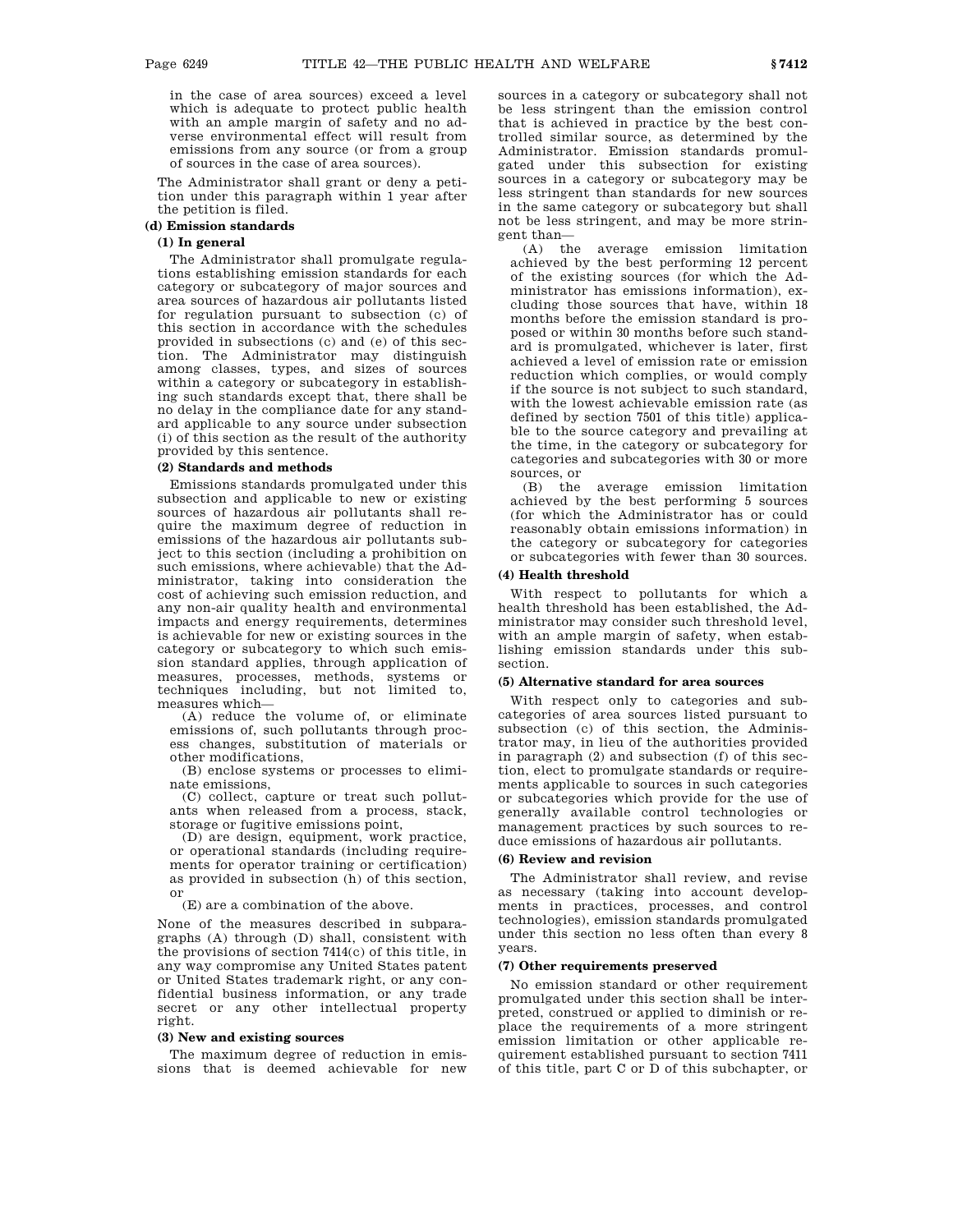in the case of area sources) exceed a level which is adequate to protect public health with an ample margin of safety and no adverse environmental effect will result from emissions from any source (or from a group of sources in the case of area sources).

The Administrator shall grant or deny a petition under this paragraph within 1 year after the petition is filed.

### **(d) Emission standards**

# **(1) In general**

The Administrator shall promulgate regulations establishing emission standards for each category or subcategory of major sources and area sources of hazardous air pollutants listed for regulation pursuant to subsection (c) of this section in accordance with the schedules provided in subsections (c) and (e) of this section. The Administrator may distinguish among classes, types, and sizes of sources within a category or subcategory in establishing such standards except that, there shall be no delay in the compliance date for any standard applicable to any source under subsection (i) of this section as the result of the authority provided by this sentence.

### **(2) Standards and methods**

Emissions standards promulgated under this subsection and applicable to new or existing sources of hazardous air pollutants shall require the maximum degree of reduction in emissions of the hazardous air pollutants subject to this section (including a prohibition on such emissions, where achievable) that the Administrator, taking into consideration the cost of achieving such emission reduction, and any non-air quality health and environmental impacts and energy requirements, determines is achievable for new or existing sources in the category or subcategory to which such emission standard applies, through application of measures, processes, methods, systems or techniques including, but not limited to, measures which—

(A) reduce the volume of, or eliminate emissions of, such pollutants through process changes, substitution of materials or other modifications,

(B) enclose systems or processes to eliminate emissions,

(C) collect, capture or treat such pollutants when released from a process, stack, storage or fugitive emissions point,

(D) are design, equipment, work practice, or operational standards (including requirements for operator training or certification) as provided in subsection (h) of this section, or

(E) are a combination of the above.

None of the measures described in subparagraphs (A) through (D) shall, consistent with the provisions of section 7414(c) of this title, in any way compromise any United States patent or United States trademark right, or any confidential business information, or any trade secret or any other intellectual property right.

#### **(3) New and existing sources**

The maximum degree of reduction in emissions that is deemed achievable for new sources in a category or subcategory shall not be less stringent than the emission control that is achieved in practice by the best controlled similar source, as determined by the Administrator. Emission standards promulgated under this subsection for existing sources in a category or subcategory may be less stringent than standards for new sources in the same category or subcategory but shall not be less stringent, and may be more stringent than—

(A) the average emission limitation achieved by the best performing 12 percent of the existing sources (for which the Administrator has emissions information), excluding those sources that have, within 18 months before the emission standard is proposed or within 30 months before such standard is promulgated, whichever is later, first achieved a level of emission rate or emission reduction which complies, or would comply if the source is not subject to such standard, with the lowest achievable emission rate (as defined by section 7501 of this title) applicable to the source category and prevailing at the time, in the category or subcategory for categories and subcategories with 30 or more sources, or

(B) the average emission limitation achieved by the best performing 5 sources (for which the Administrator has or could reasonably obtain emissions information) in the category or subcategory for categories or subcategories with fewer than 30 sources.

### **(4) Health threshold**

With respect to pollutants for which a health threshold has been established, the Administrator may consider such threshold level, with an ample margin of safety, when establishing emission standards under this subsection.

### **(5) Alternative standard for area sources**

With respect only to categories and subcategories of area sources listed pursuant to subsection (c) of this section, the Administrator may, in lieu of the authorities provided in paragraph (2) and subsection (f) of this section, elect to promulgate standards or requirements applicable to sources in such categories or subcategories which provide for the use of generally available control technologies or management practices by such sources to reduce emissions of hazardous air pollutants.

#### **(6) Review and revision**

The Administrator shall review, and revise as necessary (taking into account developments in practices, processes, and control technologies), emission standards promulgated under this section no less often than every 8 years.

#### **(7) Other requirements preserved**

No emission standard or other requirement promulgated under this section shall be interpreted, construed or applied to diminish or replace the requirements of a more stringent emission limitation or other applicable requirement established pursuant to section 7411 of this title, part C or D of this subchapter, or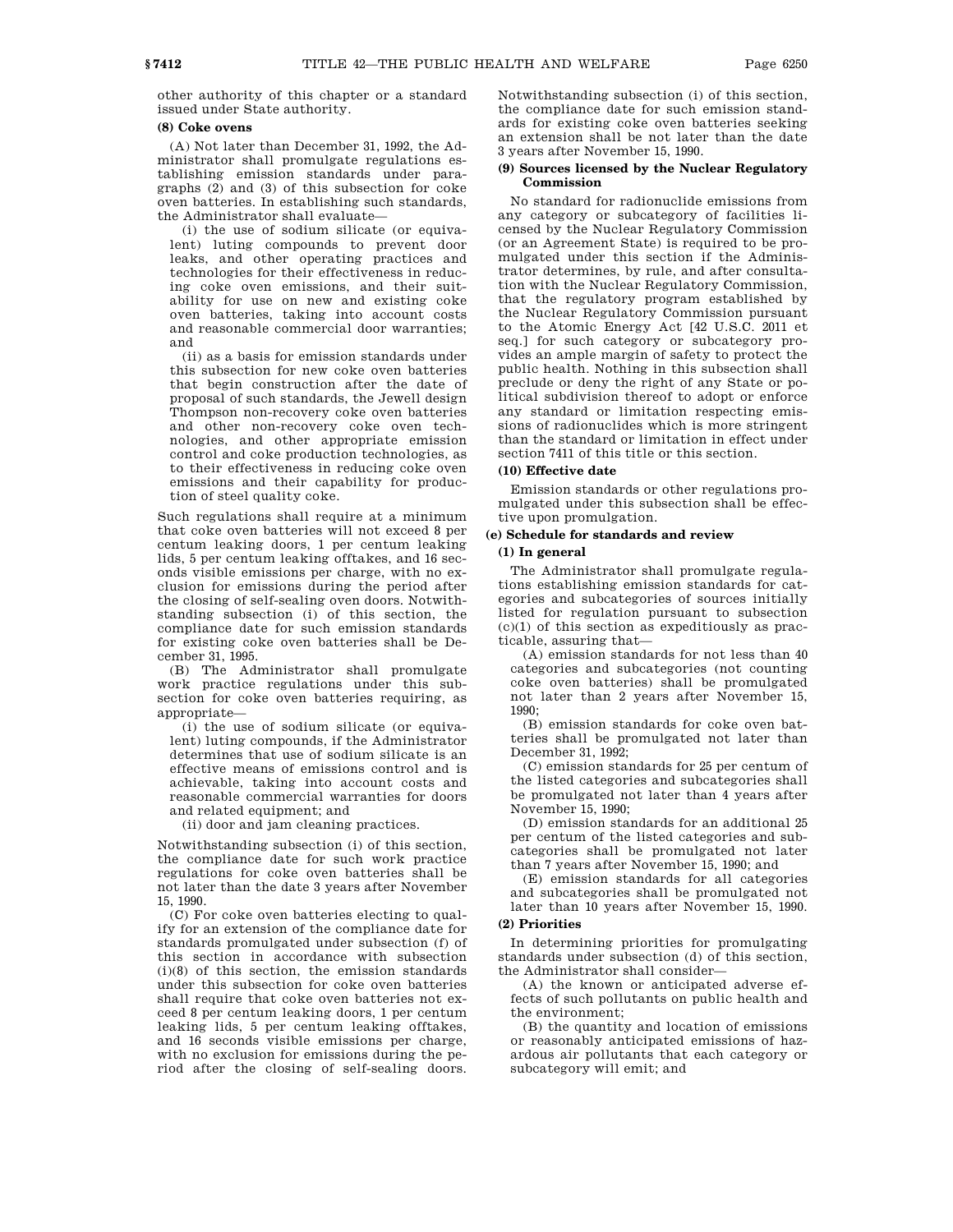other authority of this chapter or a standard

**(8) Coke ovens**

issued under State authority.

(A) Not later than December 31, 1992, the Administrator shall promulgate regulations establishing emission standards under paragraphs (2) and (3) of this subsection for coke oven batteries. In establishing such standards, the Administrator shall evaluate—

(i) the use of sodium silicate (or equivalent) luting compounds to prevent door leaks, and other operating practices and technologies for their effectiveness in reducing coke oven emissions, and their suitability for use on new and existing coke oven batteries, taking into account costs and reasonable commercial door warranties; and

(ii) as a basis for emission standards under this subsection for new coke oven batteries that begin construction after the date of proposal of such standards, the Jewell design Thompson non-recovery coke oven batteries and other non-recovery coke oven technologies, and other appropriate emission control and coke production technologies, as to their effectiveness in reducing coke oven emissions and their capability for production of steel quality coke.

Such regulations shall require at a minimum that coke oven batteries will not exceed 8 per centum leaking doors, 1 per centum leaking lids, 5 per centum leaking offtakes, and 16 seconds visible emissions per charge, with no exclusion for emissions during the period after the closing of self-sealing oven doors. Notwithstanding subsection (i) of this section, the compliance date for such emission standards for existing coke oven batteries shall be December 31, 1995.

(B) The Administrator shall promulgate work practice regulations under this subsection for coke oven batteries requiring, as appropriate—

(i) the use of sodium silicate (or equivalent) luting compounds, if the Administrator determines that use of sodium silicate is an effective means of emissions control and is achievable, taking into account costs and reasonable commercial warranties for doors and related equipment; and

(ii) door and jam cleaning practices.

Notwithstanding subsection (i) of this section, the compliance date for such work practice regulations for coke oven batteries shall be not later than the date 3 years after November 15, 1990.

(C) For coke oven batteries electing to qualify for an extension of the compliance date for standards promulgated under subsection (f) of this section in accordance with subsection (i)(8) of this section, the emission standards under this subsection for coke oven batteries shall require that coke oven batteries not exceed 8 per centum leaking doors, 1 per centum leaking lids, 5 per centum leaking offtakes, and 16 seconds visible emissions per charge, with no exclusion for emissions during the period after the closing of self-sealing doors.

Notwithstanding subsection (i) of this section, the compliance date for such emission standards for existing coke oven batteries seeking an extension shall be not later than the date 3 years after November 15, 1990.

### **(9) Sources licensed by the Nuclear Regulatory Commission**

No standard for radionuclide emissions from any category or subcategory of facilities licensed by the Nuclear Regulatory Commission (or an Agreement State) is required to be promulgated under this section if the Administrator determines, by rule, and after consultation with the Nuclear Regulatory Commission, that the regulatory program established by the Nuclear Regulatory Commission pursuant to the Atomic Energy Act [42 U.S.C. 2011 et seq.] for such category or subcategory provides an ample margin of safety to protect the public health. Nothing in this subsection shall preclude or deny the right of any State or political subdivision thereof to adopt or enforce any standard or limitation respecting emissions of radionuclides which is more stringent than the standard or limitation in effect under section 7411 of this title or this section.

#### **(10) Effective date**

Emission standards or other regulations promulgated under this subsection shall be effective upon promulgation.

### **(e) Schedule for standards and review**

#### **(1) In general**

The Administrator shall promulgate regulations establishing emission standards for categories and subcategories of sources initially listed for regulation pursuant to subsection  $(c)(1)$  of this section as expeditiously as practicable, assuring that—

(A) emission standards for not less than 40 categories and subcategories (not counting coke oven batteries) shall be promulgated not later than 2 years after November 15, 1990;

(B) emission standards for coke oven batteries shall be promulgated not later than December 31, 1992;

(C) emission standards for 25 per centum of the listed categories and subcategories shall be promulgated not later than 4 years after November 15, 1990;

(D) emission standards for an additional 25 per centum of the listed categories and subcategories shall be promulgated not later than 7 years after November 15, 1990; and

(E) emission standards for all categories and subcategories shall be promulgated not later than 10 years after November 15, 1990.

#### **(2) Priorities**

In determining priorities for promulgating standards under subsection (d) of this section, the Administrator shall consider—

(A) the known or anticipated adverse effects of such pollutants on public health and the environment;

(B) the quantity and location of emissions or reasonably anticipated emissions of hazardous air pollutants that each category or subcategory will emit; and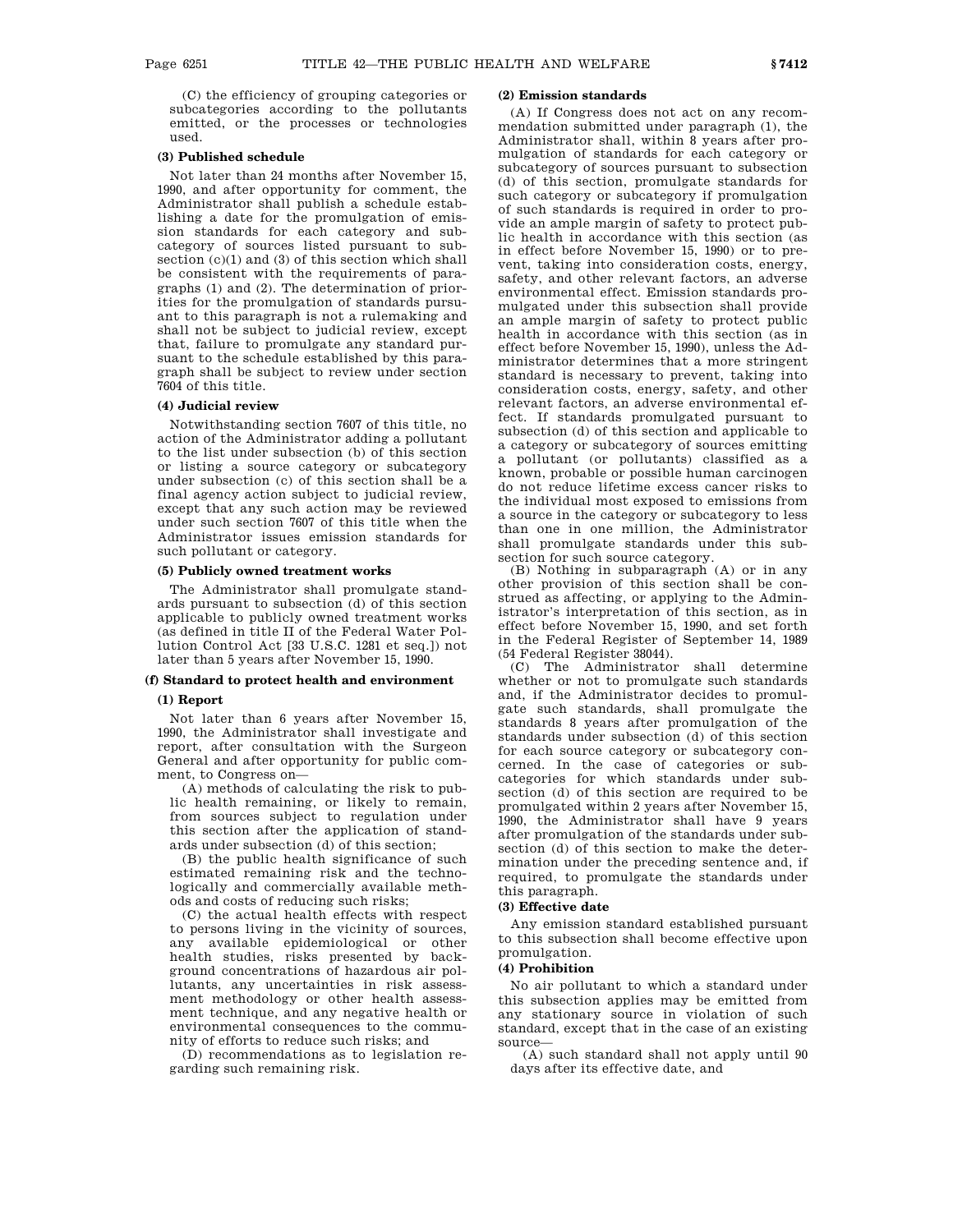(C) the efficiency of grouping categories or subcategories according to the pollutants emitted, or the processes or technologies used.

#### **(3) Published schedule**

Not later than 24 months after November 15, 1990, and after opportunity for comment, the Administrator shall publish a schedule establishing a date for the promulgation of emission standards for each category and subcategory of sources listed pursuant to subsection  $(c)(1)$  and  $(3)$  of this section which shall be consistent with the requirements of paragraphs (1) and (2). The determination of priorities for the promulgation of standards pursuant to this paragraph is not a rulemaking and shall not be subject to judicial review, except that, failure to promulgate any standard pursuant to the schedule established by this paragraph shall be subject to review under section 7604 of this title.

#### **(4) Judicial review**

Notwithstanding section 7607 of this title, no action of the Administrator adding a pollutant to the list under subsection (b) of this section or listing a source category or subcategory under subsection (c) of this section shall be a final agency action subject to judicial review, except that any such action may be reviewed under such section 7607 of this title when the Administrator issues emission standards for such pollutant or category.

### **(5) Publicly owned treatment works**

The Administrator shall promulgate standards pursuant to subsection (d) of this section applicable to publicly owned treatment works (as defined in title II of the Federal Water Pollution Control Act [33 U.S.C. 1281 et seq.]) not later than 5 years after November 15, 1990.

#### **(f) Standard to protect health and environment**

#### **(1) Report**

Not later than 6 years after November 15, 1990, the Administrator shall investigate and report, after consultation with the Surgeon General and after opportunity for public comment, to Congress on—

(A) methods of calculating the risk to public health remaining, or likely to remain, from sources subject to regulation under this section after the application of standards under subsection (d) of this section;

(B) the public health significance of such estimated remaining risk and the technologically and commercially available methods and costs of reducing such risks;

(C) the actual health effects with respect to persons living in the vicinity of sources, any available epidemiological or other health studies, risks presented by background concentrations of hazardous air pollutants, any uncertainties in risk assessment methodology or other health assessment technique, and any negative health or environmental consequences to the community of efforts to reduce such risks; and

(D) recommendations as to legislation regarding such remaining risk.

### **(2) Emission standards**

(A) If Congress does not act on any recommendation submitted under paragraph (1), the Administrator shall, within 8 years after promulgation of standards for each category or subcategory of sources pursuant to subsection (d) of this section, promulgate standards for such category or subcategory if promulgation of such standards is required in order to provide an ample margin of safety to protect public health in accordance with this section (as in effect before November 15, 1990) or to prevent, taking into consideration costs, energy, safety, and other relevant factors, an adverse environmental effect. Emission standards promulgated under this subsection shall provide an ample margin of safety to protect public health in accordance with this section (as in effect before November 15, 1990), unless the Administrator determines that a more stringent standard is necessary to prevent, taking into consideration costs, energy, safety, and other relevant factors, an adverse environmental effect. If standards promulgated pursuant to subsection (d) of this section and applicable to a category or subcategory of sources emitting a pollutant (or pollutants) classified as a known, probable or possible human carcinogen do not reduce lifetime excess cancer risks to the individual most exposed to emissions from a source in the category or subcategory to less than one in one million, the Administrator shall promulgate standards under this subsection for such source category.

(B) Nothing in subparagraph (A) or in any other provision of this section shall be construed as affecting, or applying to the Administrator's interpretation of this section, as in effect before November 15, 1990, and set forth in the Federal Register of September 14, 1989 (54 Federal Register 38044).

(C) The Administrator shall determine whether or not to promulgate such standards and, if the Administrator decides to promulgate such standards, shall promulgate the standards 8 years after promulgation of the standards under subsection (d) of this section for each source category or subcategory concerned. In the case of categories or subcategories for which standards under subsection (d) of this section are required to be promulgated within 2 years after November 15, 1990, the Administrator shall have 9 years after promulgation of the standards under subsection (d) of this section to make the determination under the preceding sentence and, if required, to promulgate the standards under this paragraph.

#### **(3) Effective date**

Any emission standard established pursuant to this subsection shall become effective upon promulgation.

### **(4) Prohibition**

No air pollutant to which a standard under this subsection applies may be emitted from any stationary source in violation of such standard, except that in the case of an existing source—

(A) such standard shall not apply until 90 days after its effective date, and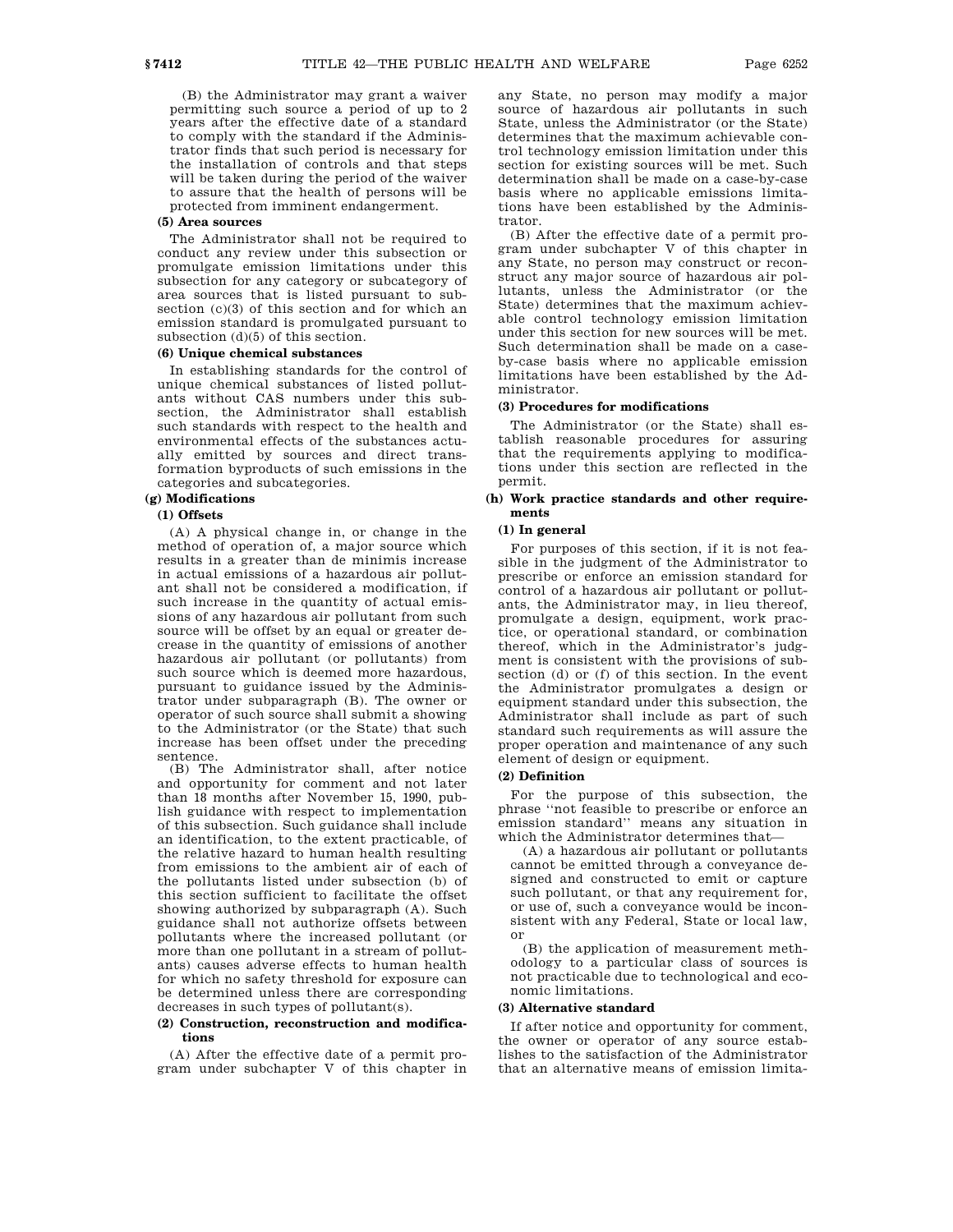(B) the Administrator may grant a waiver permitting such source a period of up to 2 years after the effective date of a standard to comply with the standard if the Administrator finds that such period is necessary for the installation of controls and that steps will be taken during the period of the waiver to assure that the health of persons will be protected from imminent endangerment.

### **(5) Area sources**

The Administrator shall not be required to conduct any review under this subsection or promulgate emission limitations under this subsection for any category or subcategory of area sources that is listed pursuant to subsection (c)(3) of this section and for which an emission standard is promulgated pursuant to subsection (d)(5) of this section.

### **(6) Unique chemical substances**

In establishing standards for the control of unique chemical substances of listed pollutants without CAS numbers under this subsection, the Administrator shall establish such standards with respect to the health and environmental effects of the substances actually emitted by sources and direct transformation byproducts of such emissions in the categories and subcategories.

# **(g) Modifications**

### **(1) Offsets**

(A) A physical change in, or change in the method of operation of, a major source which results in a greater than de minimis increase in actual emissions of a hazardous air pollutant shall not be considered a modification, if such increase in the quantity of actual emissions of any hazardous air pollutant from such source will be offset by an equal or greater decrease in the quantity of emissions of another hazardous air pollutant (or pollutants) from such source which is deemed more hazardous, pursuant to guidance issued by the Administrator under subparagraph (B). The owner or operator of such source shall submit a showing to the Administrator (or the State) that such increase has been offset under the preceding sentence.

(B) The Administrator shall, after notice and opportunity for comment and not later than 18 months after November 15, 1990, publish guidance with respect to implementation of this subsection. Such guidance shall include an identification, to the extent practicable, of the relative hazard to human health resulting from emissions to the ambient air of each of the pollutants listed under subsection (b) of this section sufficient to facilitate the offset showing authorized by subparagraph (A). Such guidance shall not authorize offsets between pollutants where the increased pollutant (or more than one pollutant in a stream of pollutants) causes adverse effects to human health for which no safety threshold for exposure can be determined unless there are corresponding decreases in such types of pollutant(s).

### **(2) Construction, reconstruction and modifications**

(A) After the effective date of a permit program under subchapter V of this chapter in any State, no person may modify a major source of hazardous air pollutants in such State, unless the Administrator (or the State) determines that the maximum achievable control technology emission limitation under this section for existing sources will be met. Such determination shall be made on a case-by-case basis where no applicable emissions limitations have been established by the Administrator.

(B) After the effective date of a permit program under subchapter V of this chapter in any State, no person may construct or reconstruct any major source of hazardous air pollutants, unless the Administrator (or the State) determines that the maximum achievable control technology emission limitation under this section for new sources will be met. Such determination shall be made on a caseby-case basis where no applicable emission limitations have been established by the Administrator.

### **(3) Procedures for modifications**

The Administrator (or the State) shall establish reasonable procedures for assuring that the requirements applying to modifications under this section are reflected in the permit.

### **(h) Work practice standards and other requirements**

# **(1) In general**

For purposes of this section, if it is not feasible in the judgment of the Administrator to prescribe or enforce an emission standard for control of a hazardous air pollutant or pollutants, the Administrator may, in lieu thereof, promulgate a design, equipment, work practice, or operational standard, or combination thereof, which in the Administrator's judgment is consistent with the provisions of subsection (d) or (f) of this section. In the event the Administrator promulgates a design or equipment standard under this subsection, the Administrator shall include as part of such standard such requirements as will assure the proper operation and maintenance of any such element of design or equipment.

### **(2) Definition**

For the purpose of this subsection, the phrase ''not feasible to prescribe or enforce an emission standard'' means any situation in which the Administrator determines that—

(A) a hazardous air pollutant or pollutants cannot be emitted through a conveyance designed and constructed to emit or capture such pollutant, or that any requirement for, or use of, such a conveyance would be inconsistent with any Federal, State or local law, or

(B) the application of measurement methodology to a particular class of sources is not practicable due to technological and economic limitations.

#### **(3) Alternative standard**

If after notice and opportunity for comment, the owner or operator of any source establishes to the satisfaction of the Administrator that an alternative means of emission limita-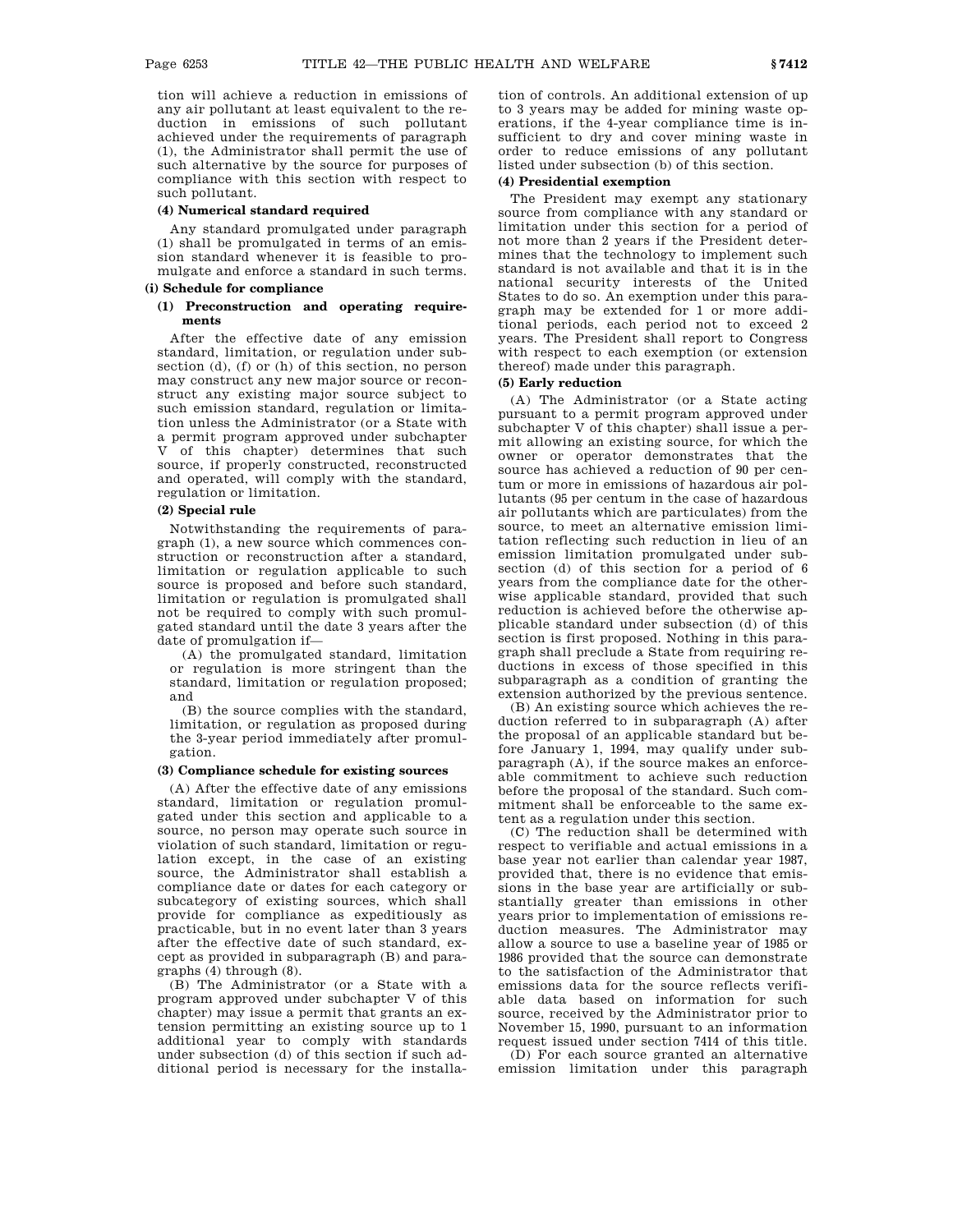tion will achieve a reduction in emissions of any air pollutant at least equivalent to the reduction in emissions of such pollutant achieved under the requirements of paragraph (1), the Administrator shall permit the use of such alternative by the source for purposes of compliance with this section with respect to such pollutant.

### **(4) Numerical standard required**

Any standard promulgated under paragraph (1) shall be promulgated in terms of an emission standard whenever it is feasible to promulgate and enforce a standard in such terms.

# **(i) Schedule for compliance**

### **(1) Preconstruction and operating requirements**

After the effective date of any emission standard, limitation, or regulation under subsection (d), (f) or (h) of this section, no person may construct any new major source or reconstruct any existing major source subject to such emission standard, regulation or limitation unless the Administrator (or a State with a permit program approved under subchapter V of this chapter) determines that such source, if properly constructed, reconstructed and operated, will comply with the standard, regulation or limitation.

### **(2) Special rule**

Notwithstanding the requirements of paragraph (1), a new source which commences construction or reconstruction after a standard, limitation or regulation applicable to such source is proposed and before such standard, limitation or regulation is promulgated shall not be required to comply with such promulgated standard until the date 3 years after the date of promulgation if—

(A) the promulgated standard, limitation or regulation is more stringent than the standard, limitation or regulation proposed; and

(B) the source complies with the standard, limitation, or regulation as proposed during the 3-year period immediately after promulgation.

#### **(3) Compliance schedule for existing sources**

(A) After the effective date of any emissions standard, limitation or regulation promulgated under this section and applicable to a source, no person may operate such source in violation of such standard, limitation or regulation except, in the case of an existing source, the Administrator shall establish a compliance date or dates for each category or subcategory of existing sources, which shall provide for compliance as expeditiously as practicable, but in no event later than 3 years after the effective date of such standard, except as provided in subparagraph (B) and paragraphs (4) through (8).

(B) The Administrator (or a State with a program approved under subchapter V of this chapter) may issue a permit that grants an extension permitting an existing source up to 1 additional year to comply with standards under subsection (d) of this section if such additional period is necessary for the installa-

tion of controls. An additional extension of up to 3 years may be added for mining waste operations, if the 4-year compliance time is insufficient to dry and cover mining waste in order to reduce emissions of any pollutant listed under subsection (b) of this section.

# **(4) Presidential exemption**

The President may exempt any stationary source from compliance with any standard or limitation under this section for a period of not more than 2 years if the President determines that the technology to implement such standard is not available and that it is in the national security interests of the United States to do so. An exemption under this paragraph may be extended for 1 or more additional periods, each period not to exceed 2 years. The President shall report to Congress with respect to each exemption (or extension thereof) made under this paragraph.

### **(5) Early reduction**

(A) The Administrator (or a State acting pursuant to a permit program approved under subchapter V of this chapter) shall issue a permit allowing an existing source, for which the owner or operator demonstrates that the source has achieved a reduction of 90 per centum or more in emissions of hazardous air pollutants (95 per centum in the case of hazardous air pollutants which are particulates) from the source, to meet an alternative emission limitation reflecting such reduction in lieu of an emission limitation promulgated under subsection (d) of this section for a period of 6 years from the compliance date for the otherwise applicable standard, provided that such reduction is achieved before the otherwise applicable standard under subsection (d) of this section is first proposed. Nothing in this paragraph shall preclude a State from requiring reductions in excess of those specified in this subparagraph as a condition of granting the extension authorized by the previous sentence.

(B) An existing source which achieves the reduction referred to in subparagraph (A) after the proposal of an applicable standard but before January 1, 1994, may qualify under subparagraph (A), if the source makes an enforceable commitment to achieve such reduction before the proposal of the standard. Such commitment shall be enforceable to the same extent as a regulation under this section.

(C) The reduction shall be determined with respect to verifiable and actual emissions in a base year not earlier than calendar year 1987, provided that, there is no evidence that emissions in the base year are artificially or substantially greater than emissions in other years prior to implementation of emissions reduction measures. The Administrator may allow a source to use a baseline year of 1985 or 1986 provided that the source can demonstrate to the satisfaction of the Administrator that emissions data for the source reflects verifiable data based on information for such source, received by the Administrator prior to November 15, 1990, pursuant to an information request issued under section 7414 of this title.

(D) For each source granted an alternative emission limitation under this paragraph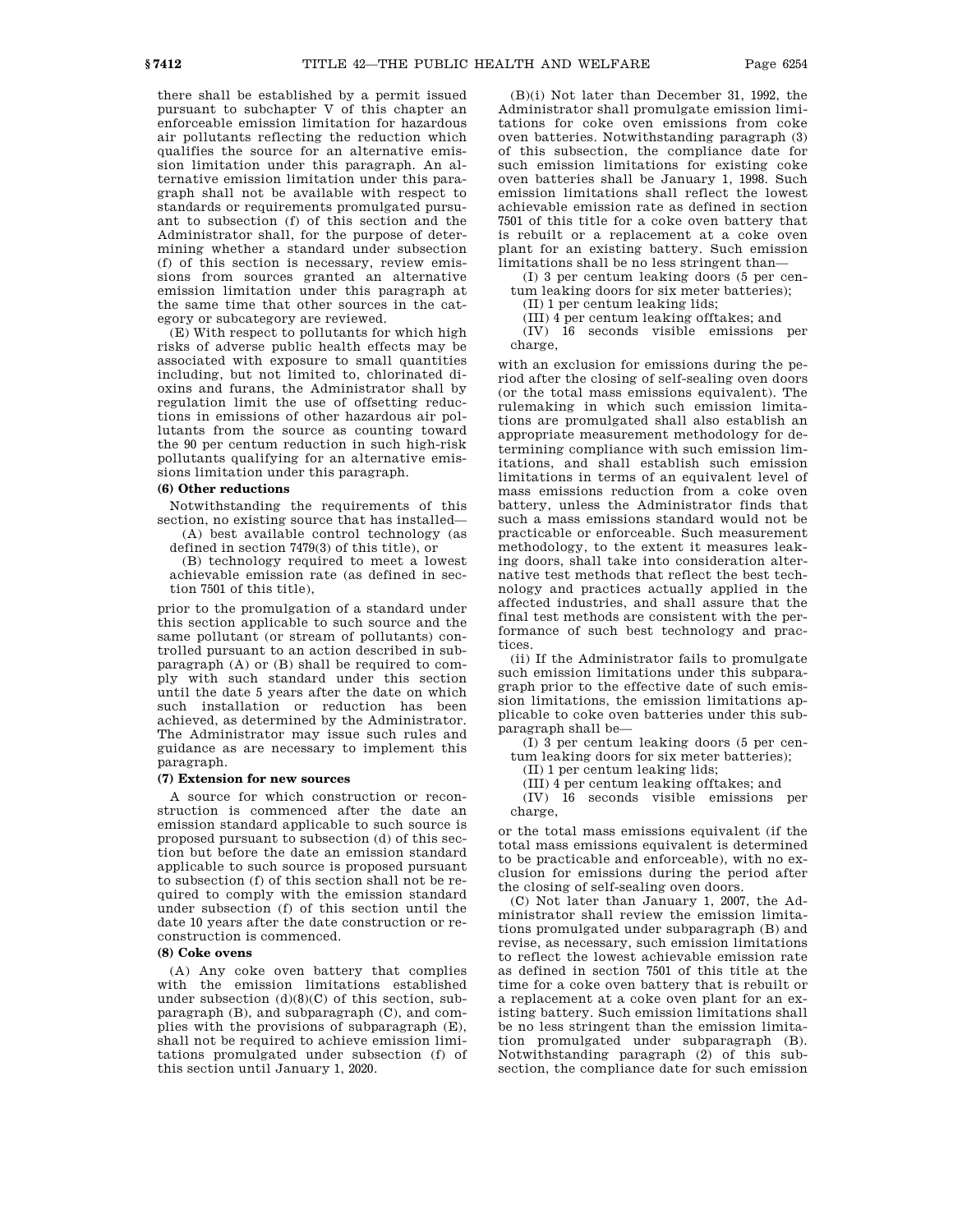there shall be established by a permit issued pursuant to subchapter V of this chapter an enforceable emission limitation for hazardous air pollutants reflecting the reduction which qualifies the source for an alternative emission limitation under this paragraph. An alternative emission limitation under this paragraph shall not be available with respect to standards or requirements promulgated pursuant to subsection (f) of this section and the Administrator shall, for the purpose of determining whether a standard under subsection (f) of this section is necessary, review emissions from sources granted an alternative emission limitation under this paragraph at the same time that other sources in the category or subcategory are reviewed.

(E) With respect to pollutants for which high risks of adverse public health effects may be associated with exposure to small quantities including, but not limited to, chlorinated dioxins and furans, the Administrator shall by regulation limit the use of offsetting reductions in emissions of other hazardous air pollutants from the source as counting toward the 90 per centum reduction in such high-risk pollutants qualifying for an alternative emissions limitation under this paragraph.

# **(6) Other reductions**

Notwithstanding the requirements of this section, no existing source that has installed—

(A) best available control technology (as defined in section 7479(3) of this title), or

(B) technology required to meet a lowest achievable emission rate (as defined in section 7501 of this title),

prior to the promulgation of a standard under this section applicable to such source and the same pollutant (or stream of pollutants) controlled pursuant to an action described in subparagraph (A) or (B) shall be required to comply with such standard under this section until the date 5 years after the date on which such installation or reduction has been achieved, as determined by the Administrator. The Administrator may issue such rules and guidance as are necessary to implement this paragraph.

#### **(7) Extension for new sources**

A source for which construction or reconstruction is commenced after the date an emission standard applicable to such source is proposed pursuant to subsection (d) of this section but before the date an emission standard applicable to such source is proposed pursuant to subsection (f) of this section shall not be required to comply with the emission standard under subsection (f) of this section until the date 10 years after the date construction or reconstruction is commenced.

#### **(8) Coke ovens**

(A) Any coke oven battery that complies with the emission limitations established under subsection  $(d)(8)(C)$  of this section, subparagraph (B), and subparagraph (C), and complies with the provisions of subparagraph (E), shall not be required to achieve emission limitations promulgated under subsection (f) of this section until January 1, 2020.

(B)(i) Not later than December 31, 1992, the Administrator shall promulgate emission limitations for coke oven emissions from coke oven batteries. Notwithstanding paragraph (3) of this subsection, the compliance date for such emission limitations for existing coke oven batteries shall be January 1, 1998. Such emission limitations shall reflect the lowest achievable emission rate as defined in section 7501 of this title for a coke oven battery that is rebuilt or a replacement at a coke oven plant for an existing battery. Such emission limitations shall be no less stringent than—

(I) 3 per centum leaking doors (5 per centum leaking doors for six meter batteries);

(II) 1 per centum leaking lids;

(III) 4 per centum leaking offtakes; and

(IV) 16 seconds visible emissions per charge,

with an exclusion for emissions during the period after the closing of self-sealing oven doors (or the total mass emissions equivalent). The rulemaking in which such emission limitations are promulgated shall also establish an appropriate measurement methodology for determining compliance with such emission limitations, and shall establish such emission limitations in terms of an equivalent level of mass emissions reduction from a coke oven battery, unless the Administrator finds that such a mass emissions standard would not be practicable or enforceable. Such measurement methodology, to the extent it measures leaking doors, shall take into consideration alternative test methods that reflect the best technology and practices actually applied in the affected industries, and shall assure that the final test methods are consistent with the performance of such best technology and practices.

(ii) If the Administrator fails to promulgate such emission limitations under this subparagraph prior to the effective date of such emission limitations, the emission limitations applicable to coke oven batteries under this subparagraph shall be—

(I) 3 per centum leaking doors (5 per centum leaking doors for six meter batteries);

(II) 1 per centum leaking lids;

(III) 4 per centum leaking offtakes; and

(IV) 16 seconds visible emissions per charge,

or the total mass emissions equivalent (if the total mass emissions equivalent is determined to be practicable and enforceable), with no exclusion for emissions during the period after the closing of self-sealing oven doors.

(C) Not later than January 1, 2007, the Administrator shall review the emission limitations promulgated under subparagraph (B) and revise, as necessary, such emission limitations to reflect the lowest achievable emission rate as defined in section 7501 of this title at the time for a coke oven battery that is rebuilt or a replacement at a coke oven plant for an existing battery. Such emission limitations shall be no less stringent than the emission limitation promulgated under subparagraph (B). Notwithstanding paragraph (2) of this subsection, the compliance date for such emission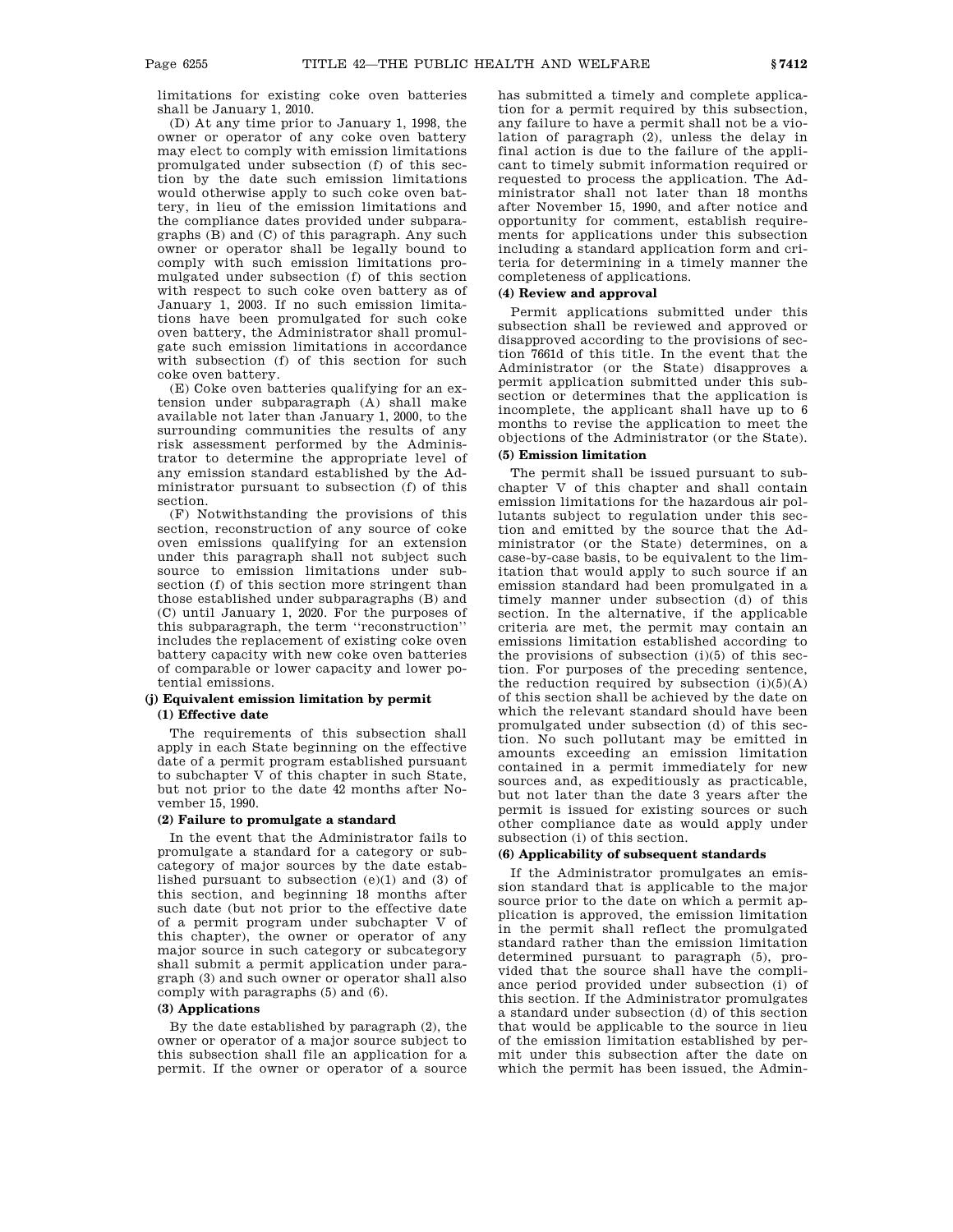limitations for existing coke oven batteries shall be January 1, 2010.

(D) At any time prior to January 1, 1998, the owner or operator of any coke oven battery may elect to comply with emission limitations promulgated under subsection (f) of this section by the date such emission limitations would otherwise apply to such coke oven battery, in lieu of the emission limitations and the compliance dates provided under subparagraphs (B) and (C) of this paragraph. Any such owner or operator shall be legally bound to comply with such emission limitations promulgated under subsection (f) of this section with respect to such coke oven battery as of January 1, 2003. If no such emission limitations have been promulgated for such coke oven battery, the Administrator shall promulgate such emission limitations in accordance with subsection (f) of this section for such coke oven battery.

(E) Coke oven batteries qualifying for an extension under subparagraph (A) shall make available not later than January 1, 2000, to the surrounding communities the results of any risk assessment performed by the Administrator to determine the appropriate level of any emission standard established by the Administrator pursuant to subsection (f) of this section.

(F) Notwithstanding the provisions of this section, reconstruction of any source of coke oven emissions qualifying for an extension under this paragraph shall not subject such source to emission limitations under subsection (f) of this section more stringent than those established under subparagraphs (B) and (C) until January 1, 2020. For the purposes of this subparagraph, the term ''reconstruction'' includes the replacement of existing coke oven battery capacity with new coke oven batteries of comparable or lower capacity and lower potential emissions.

### **(j) Equivalent emission limitation by permit (1) Effective date**

The requirements of this subsection shall apply in each State beginning on the effective date of a permit program established pursuant to subchapter V of this chapter in such State, but not prior to the date 42 months after November 15, 1990.

#### **(2) Failure to promulgate a standard**

In the event that the Administrator fails to promulgate a standard for a category or subcategory of major sources by the date established pursuant to subsection (e)(1) and (3) of this section, and beginning 18 months after such date (but not prior to the effective date of a permit program under subchapter V of this chapter), the owner or operator of any major source in such category or subcategory shall submit a permit application under paragraph (3) and such owner or operator shall also comply with paragraphs (5) and (6).

### **(3) Applications**

By the date established by paragraph (2), the owner or operator of a major source subject to this subsection shall file an application for a permit. If the owner or operator of a source has submitted a timely and complete application for a permit required by this subsection, any failure to have a permit shall not be a violation of paragraph (2), unless the delay in final action is due to the failure of the applicant to timely submit information required or requested to process the application. The Administrator shall not later than 18 months after November 15, 1990, and after notice and opportunity for comment, establish requirements for applications under this subsection including a standard application form and criteria for determining in a timely manner the completeness of applications.

### **(4) Review and approval**

Permit applications submitted under this subsection shall be reviewed and approved or disapproved according to the provisions of section 7661d of this title. In the event that the Administrator (or the State) disapproves a permit application submitted under this subsection or determines that the application is incomplete, the applicant shall have up to 6 months to revise the application to meet the objections of the Administrator (or the State).

#### **(5) Emission limitation**

The permit shall be issued pursuant to subchapter V of this chapter and shall contain emission limitations for the hazardous air pollutants subject to regulation under this section and emitted by the source that the Administrator (or the State) determines, on a case-by-case basis, to be equivalent to the limitation that would apply to such source if an emission standard had been promulgated in a timely manner under subsection (d) of this section. In the alternative, if the applicable criteria are met, the permit may contain an emissions limitation established according to the provisions of subsection  $(i)(5)$  of this section. For purposes of the preceding sentence, the reduction required by subsection  $(i)(5)(A)$ of this section shall be achieved by the date on which the relevant standard should have been promulgated under subsection (d) of this section. No such pollutant may be emitted in amounts exceeding an emission limitation contained in a permit immediately for new sources and, as expeditiously as practicable, but not later than the date 3 years after the permit is issued for existing sources or such other compliance date as would apply under subsection (i) of this section.

### **(6) Applicability of subsequent standards**

If the Administrator promulgates an emission standard that is applicable to the major source prior to the date on which a permit application is approved, the emission limitation in the permit shall reflect the promulgated standard rather than the emission limitation determined pursuant to paragraph (5), provided that the source shall have the compliance period provided under subsection (i) of this section. If the Administrator promulgates a standard under subsection (d) of this section that would be applicable to the source in lieu of the emission limitation established by permit under this subsection after the date on which the permit has been issued, the Admin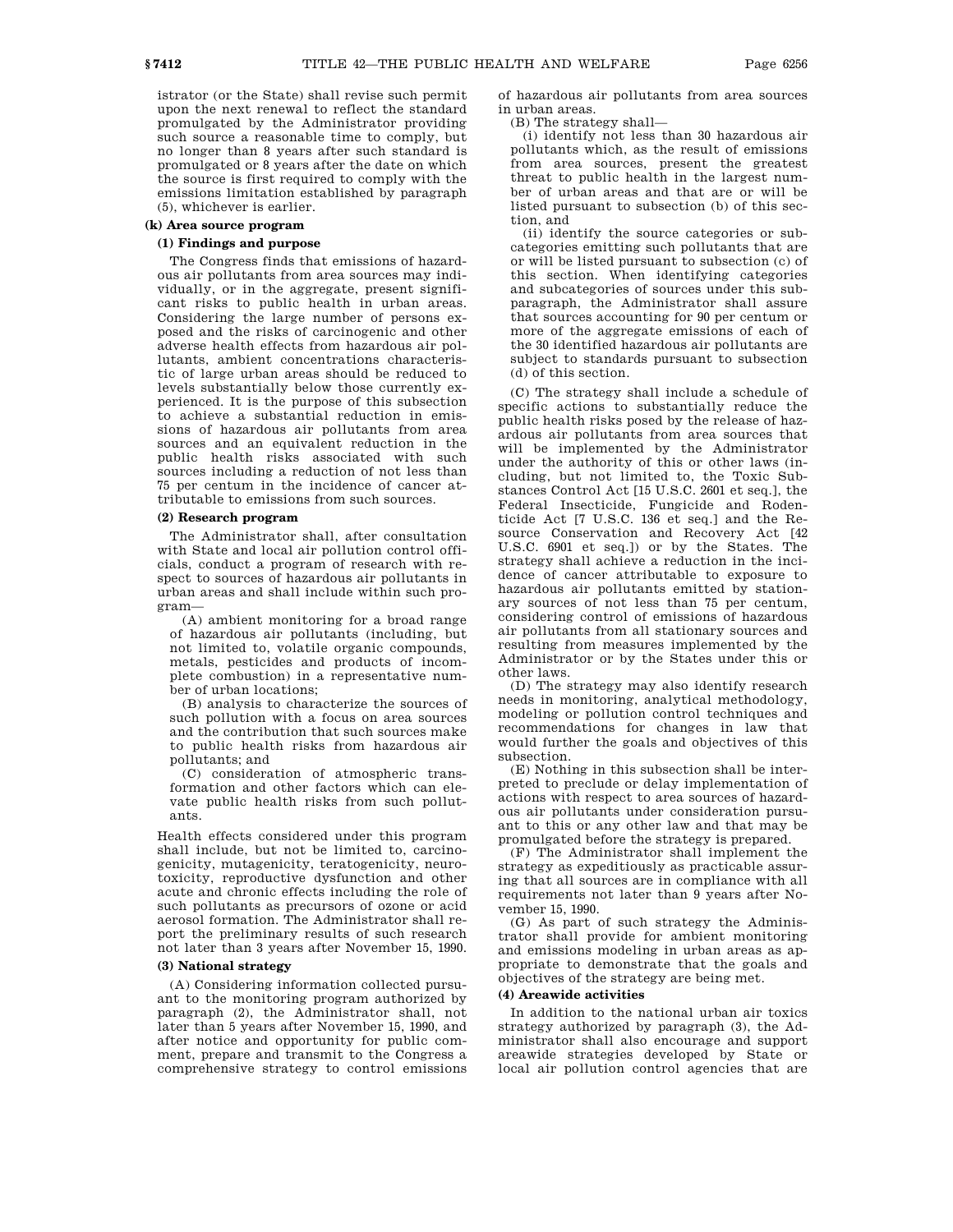istrator (or the State) shall revise such permit upon the next renewal to reflect the standard promulgated by the Administrator providing such source a reasonable time to comply, but no longer than 8 years after such standard is promulgated or 8 years after the date on which the source is first required to comply with the emissions limitation established by paragraph (5), whichever is earlier.

### **(k) Area source program**

#### **(1) Findings and purpose**

The Congress finds that emissions of hazardous air pollutants from area sources may individually, or in the aggregate, present significant risks to public health in urban areas. Considering the large number of persons exposed and the risks of carcinogenic and other adverse health effects from hazardous air pollutants, ambient concentrations characteristic of large urban areas should be reduced to levels substantially below those currently experienced. It is the purpose of this subsection to achieve a substantial reduction in emissions of hazardous air pollutants from area sources and an equivalent reduction in the public health risks associated with such sources including a reduction of not less than 75 per centum in the incidence of cancer attributable to emissions from such sources.

#### **(2) Research program**

The Administrator shall, after consultation with State and local air pollution control officials, conduct a program of research with respect to sources of hazardous air pollutants in urban areas and shall include within such program—

(A) ambient monitoring for a broad range of hazardous air pollutants (including, but not limited to, volatile organic compounds, metals, pesticides and products of incomplete combustion) in a representative number of urban locations;

(B) analysis to characterize the sources of such pollution with a focus on area sources and the contribution that such sources make to public health risks from hazardous air pollutants; and

(C) consideration of atmospheric transformation and other factors which can elevate public health risks from such pollutants.

Health effects considered under this program shall include, but not be limited to, carcinogenicity, mutagenicity, teratogenicity, neurotoxicity, reproductive dysfunction and other acute and chronic effects including the role of such pollutants as precursors of ozone or acid aerosol formation. The Administrator shall report the preliminary results of such research not later than 3 years after November 15, 1990.

### **(3) National strategy**

(A) Considering information collected pursuant to the monitoring program authorized by paragraph (2), the Administrator shall, not later than 5 years after November 15, 1990, and after notice and opportunity for public comment, prepare and transmit to the Congress a comprehensive strategy to control emissions

of hazardous air pollutants from area sources in urban areas.

(B) The strategy shall—

(i) identify not less than 30 hazardous air pollutants which, as the result of emissions from area sources, present the greatest threat to public health in the largest number of urban areas and that are or will be listed pursuant to subsection (b) of this section, and

(ii) identify the source categories or subcategories emitting such pollutants that are or will be listed pursuant to subsection (c) of this section. When identifying categories and subcategories of sources under this subparagraph, the Administrator shall assure that sources accounting for 90 per centum or more of the aggregate emissions of each of the 30 identified hazardous air pollutants are subject to standards pursuant to subsection (d) of this section.

(C) The strategy shall include a schedule of specific actions to substantially reduce the public health risks posed by the release of hazardous air pollutants from area sources that will be implemented by the Administrator under the authority of this or other laws (including, but not limited to, the Toxic Substances Control Act [15 U.S.C. 2601 et seq.], the Federal Insecticide, Fungicide and Rodenticide Act [7 U.S.C. 136 et seq.] and the Resource Conservation and Recovery Act [42 U.S.C. 6901 et seq.]) or by the States. The strategy shall achieve a reduction in the incidence of cancer attributable to exposure to hazardous air pollutants emitted by stationary sources of not less than 75 per centum, considering control of emissions of hazardous air pollutants from all stationary sources and resulting from measures implemented by the Administrator or by the States under this or other laws.

(D) The strategy may also identify research needs in monitoring, analytical methodology, modeling or pollution control techniques and recommendations for changes in law that would further the goals and objectives of this subsection.

(E) Nothing in this subsection shall be interpreted to preclude or delay implementation of actions with respect to area sources of hazardous air pollutants under consideration pursuant to this or any other law and that may be promulgated before the strategy is prepared.

(F) The Administrator shall implement the strategy as expeditiously as practicable assuring that all sources are in compliance with all requirements not later than 9 years after November 15, 1990.

(G) As part of such strategy the Administrator shall provide for ambient monitoring and emissions modeling in urban areas as appropriate to demonstrate that the goals and objectives of the strategy are being met.

# **(4) Areawide activities**

In addition to the national urban air toxics strategy authorized by paragraph (3), the Administrator shall also encourage and support areawide strategies developed by State or local air pollution control agencies that are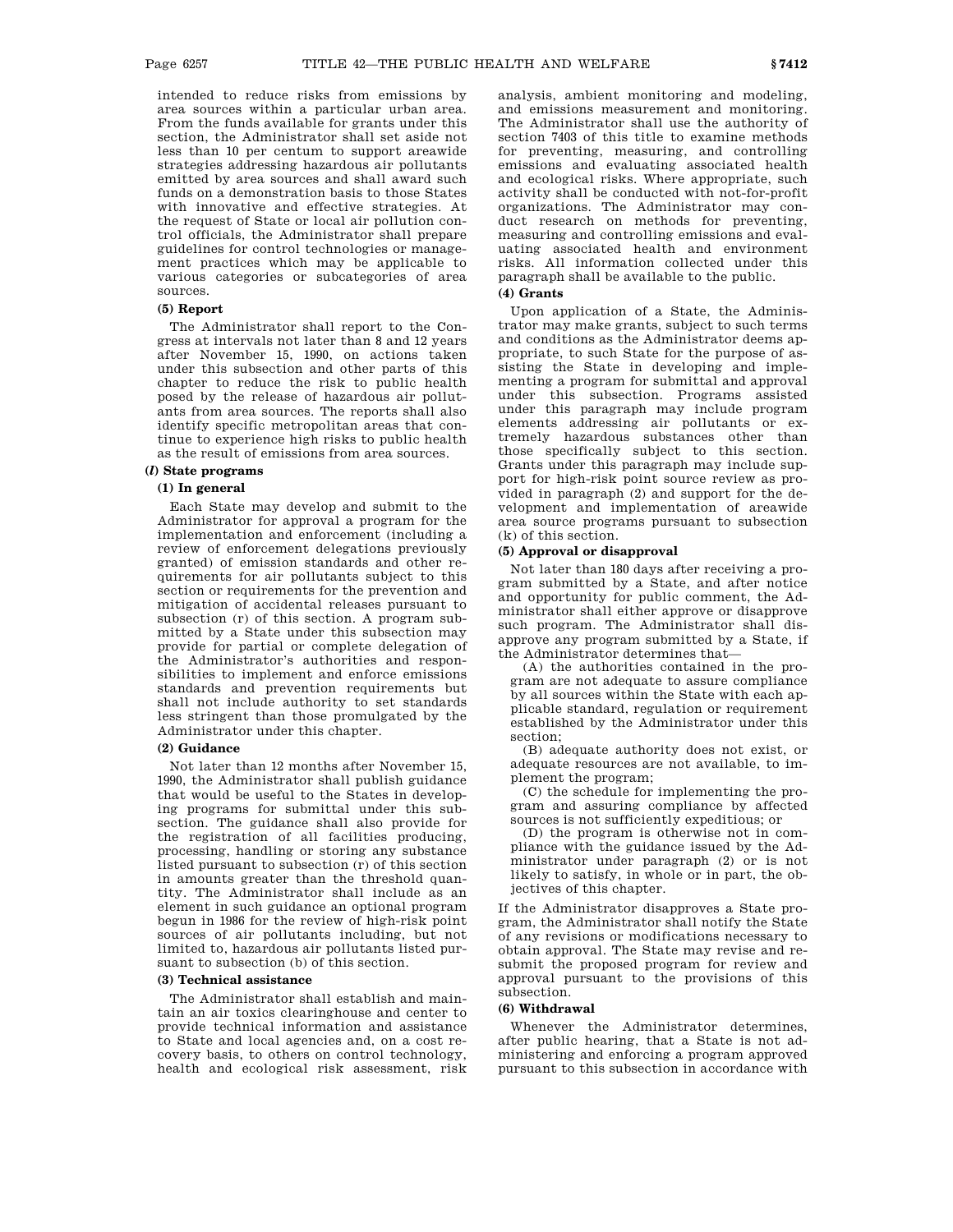intended to reduce risks from emissions by area sources within a particular urban area. From the funds available for grants under this section, the Administrator shall set aside not less than 10 per centum to support areawide strategies addressing hazardous air pollutants emitted by area sources and shall award such funds on a demonstration basis to those States with innovative and effective strategies. At the request of State or local air pollution control officials, the Administrator shall prepare guidelines for control technologies or management practices which may be applicable to various categories or subcategories of area sources.

### **(5) Report**

The Administrator shall report to the Congress at intervals not later than 8 and 12 years after November 15, 1990, on actions taken under this subsection and other parts of this chapter to reduce the risk to public health posed by the release of hazardous air pollutants from area sources. The reports shall also identify specific metropolitan areas that continue to experience high risks to public health as the result of emissions from area sources.

#### **(***l***) State programs**

### **(1) In general**

Each State may develop and submit to the Administrator for approval a program for the implementation and enforcement (including a review of enforcement delegations previously granted) of emission standards and other requirements for air pollutants subject to this section or requirements for the prevention and mitigation of accidental releases pursuant to subsection (r) of this section. A program submitted by a State under this subsection may provide for partial or complete delegation of the Administrator's authorities and responsibilities to implement and enforce emissions standards and prevention requirements but shall not include authority to set standards less stringent than those promulgated by the Administrator under this chapter.

#### **(2) Guidance**

Not later than 12 months after November 15, 1990, the Administrator shall publish guidance that would be useful to the States in developing programs for submittal under this subsection. The guidance shall also provide for the registration of all facilities producing, processing, handling or storing any substance listed pursuant to subsection (r) of this section in amounts greater than the threshold quantity. The Administrator shall include as an element in such guidance an optional program begun in 1986 for the review of high-risk point sources of air pollutants including, but not limited to, hazardous air pollutants listed pursuant to subsection (b) of this section.

#### **(3) Technical assistance**

The Administrator shall establish and maintain an air toxics clearinghouse and center to provide technical information and assistance to State and local agencies and, on a cost recovery basis, to others on control technology, health and ecological risk assessment, risk

analysis, ambient monitoring and modeling, and emissions measurement and monitoring. The Administrator shall use the authority of section 7403 of this title to examine methods for preventing, measuring, and controlling emissions and evaluating associated health and ecological risks. Where appropriate, such activity shall be conducted with not-for-profit organizations. The Administrator may conduct research on methods for preventing, measuring and controlling emissions and evaluating associated health and environment risks. All information collected under this paragraph shall be available to the public.

### **(4) Grants**

Upon application of a State, the Administrator may make grants, subject to such terms and conditions as the Administrator deems appropriate, to such State for the purpose of assisting the State in developing and implementing a program for submittal and approval under this subsection. Programs assisted under this paragraph may include program elements addressing air pollutants or extremely hazardous substances other than those specifically subject to this section. Grants under this paragraph may include support for high-risk point source review as provided in paragraph (2) and support for the development and implementation of areawide area source programs pursuant to subsection (k) of this section.

### **(5) Approval or disapproval**

Not later than 180 days after receiving a program submitted by a State, and after notice and opportunity for public comment, the Administrator shall either approve or disapprove such program. The Administrator shall disapprove any program submitted by a State, if the Administrator determines that—

(A) the authorities contained in the program are not adequate to assure compliance by all sources within the State with each applicable standard, regulation or requirement established by the Administrator under this section;

(B) adequate authority does not exist, or adequate resources are not available, to implement the program;

(C) the schedule for implementing the program and assuring compliance by affected sources is not sufficiently expeditious; or

(D) the program is otherwise not in compliance with the guidance issued by the Administrator under paragraph (2) or is not likely to satisfy, in whole or in part, the objectives of this chapter.

If the Administrator disapproves a State program, the Administrator shall notify the State of any revisions or modifications necessary to obtain approval. The State may revise and resubmit the proposed program for review and approval pursuant to the provisions of this subsection.

### **(6) Withdrawal**

Whenever the Administrator determines, after public hearing, that a State is not administering and enforcing a program approved pursuant to this subsection in accordance with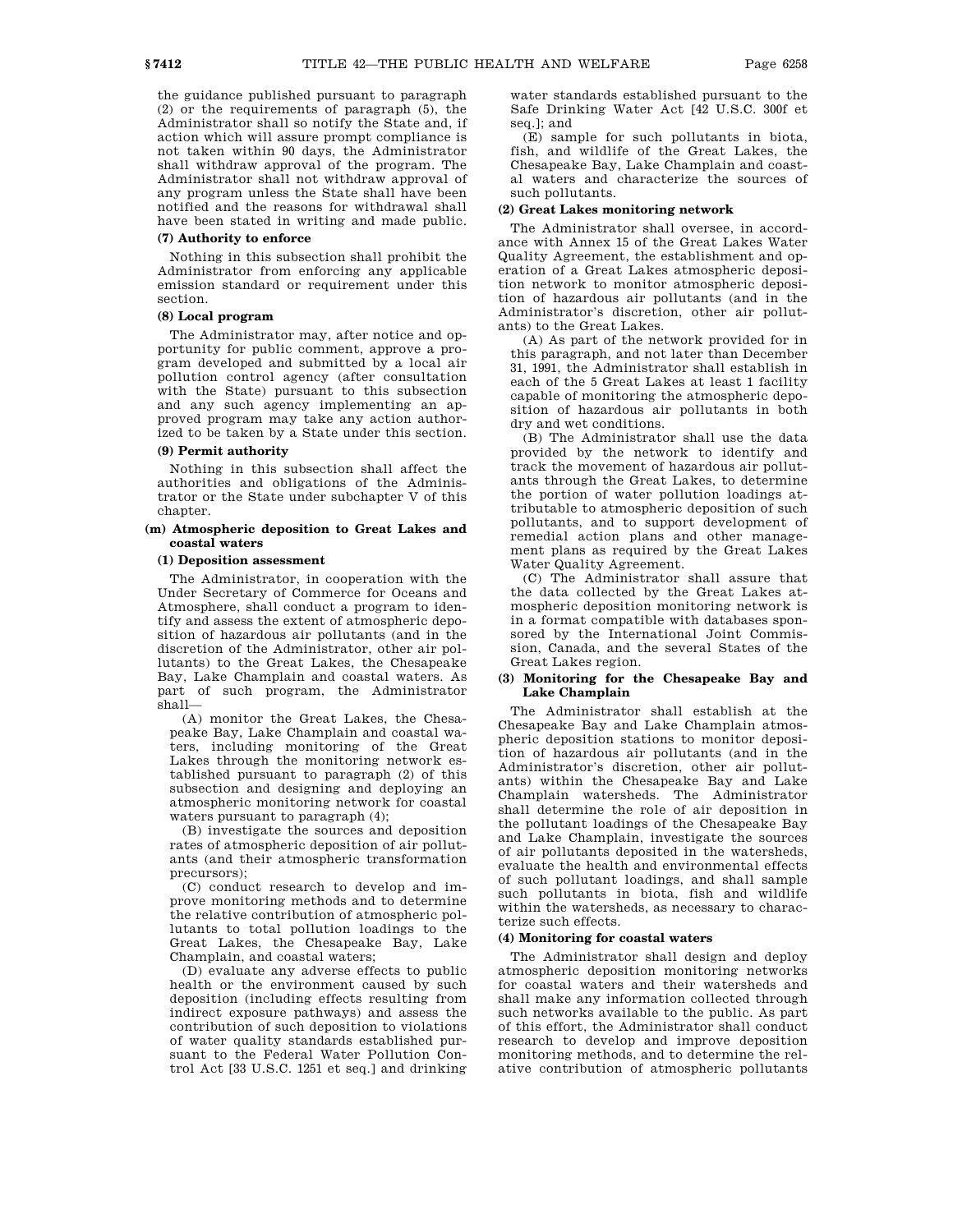the guidance published pursuant to paragraph (2) or the requirements of paragraph (5), the Administrator shall so notify the State and, if action which will assure prompt compliance is not taken within 90 days, the Administrator shall withdraw approval of the program. The Administrator shall not withdraw approval of any program unless the State shall have been notified and the reasons for withdrawal shall have been stated in writing and made public.

### **(7) Authority to enforce**

Nothing in this subsection shall prohibit the Administrator from enforcing any applicable emission standard or requirement under this section.

# **(8) Local program**

The Administrator may, after notice and opportunity for public comment, approve a program developed and submitted by a local air pollution control agency (after consultation with the State) pursuant to this subsection and any such agency implementing an approved program may take any action authorized to be taken by a State under this section.

### **(9) Permit authority**

Nothing in this subsection shall affect the authorities and obligations of the Administrator or the State under subchapter V of this chapter.

#### **(m) Atmospheric deposition to Great Lakes and coastal waters**

#### **(1) Deposition assessment**

The Administrator, in cooperation with the Under Secretary of Commerce for Oceans and Atmosphere, shall conduct a program to identify and assess the extent of atmospheric deposition of hazardous air pollutants (and in the discretion of the Administrator, other air pollutants) to the Great Lakes, the Chesapeake Bay, Lake Champlain and coastal waters. As part of such program, the Administrator shall—

(A) monitor the Great Lakes, the Chesapeake Bay, Lake Champlain and coastal waters, including monitoring of the Great Lakes through the monitoring network established pursuant to paragraph (2) of this subsection and designing and deploying an atmospheric monitoring network for coastal waters pursuant to paragraph (4);

(B) investigate the sources and deposition rates of atmospheric deposition of air pollutants (and their atmospheric transformation precursors);

(C) conduct research to develop and improve monitoring methods and to determine the relative contribution of atmospheric pollutants to total pollution loadings to the Great Lakes, the Chesapeake Bay, Lake Champlain, and coastal waters;

(D) evaluate any adverse effects to public health or the environment caused by such deposition (including effects resulting from indirect exposure pathways) and assess the contribution of such deposition to violations of water quality standards established pursuant to the Federal Water Pollution Control Act [33 U.S.C. 1251 et seq.] and drinking water standards established pursuant to the Safe Drinking Water Act [42 U.S.C. 300f et seq.]; and

(E) sample for such pollutants in biota, fish, and wildlife of the Great Lakes, the Chesapeake Bay, Lake Champlain and coastal waters and characterize the sources of such pollutants.

### **(2) Great Lakes monitoring network**

The Administrator shall oversee, in accordance with Annex 15 of the Great Lakes Water Quality Agreement, the establishment and operation of a Great Lakes atmospheric deposition network to monitor atmospheric deposition of hazardous air pollutants (and in the Administrator's discretion, other air pollutants) to the Great Lakes.

(A) As part of the network provided for in this paragraph, and not later than December 31, 1991, the Administrator shall establish in each of the 5 Great Lakes at least 1 facility capable of monitoring the atmospheric deposition of hazardous air pollutants in both dry and wet conditions.

(B) The Administrator shall use the data provided by the network to identify and track the movement of hazardous air pollutants through the Great Lakes, to determine the portion of water pollution loadings attributable to atmospheric deposition of such pollutants, and to support development of remedial action plans and other management plans as required by the Great Lakes Water Quality Agreement.

(C) The Administrator shall assure that the data collected by the Great Lakes atmospheric deposition monitoring network is in a format compatible with databases sponsored by the International Joint Commission, Canada, and the several States of the Great Lakes region.

### **(3) Monitoring for the Chesapeake Bay and Lake Champlain**

The Administrator shall establish at the Chesapeake Bay and Lake Champlain atmospheric deposition stations to monitor deposition of hazardous air pollutants (and in the Administrator's discretion, other air pollutants) within the Chesapeake Bay and Lake Champlain watersheds. The Administrator shall determine the role of air deposition in the pollutant loadings of the Chesapeake Bay and Lake Champlain, investigate the sources of air pollutants deposited in the watersheds, evaluate the health and environmental effects of such pollutant loadings, and shall sample such pollutants in biota, fish and wildlife within the watersheds, as necessary to characterize such effects.

### **(4) Monitoring for coastal waters**

The Administrator shall design and deploy atmospheric deposition monitoring networks for coastal waters and their watersheds and shall make any information collected through such networks available to the public. As part of this effort, the Administrator shall conduct research to develop and improve deposition monitoring methods, and to determine the relative contribution of atmospheric pollutants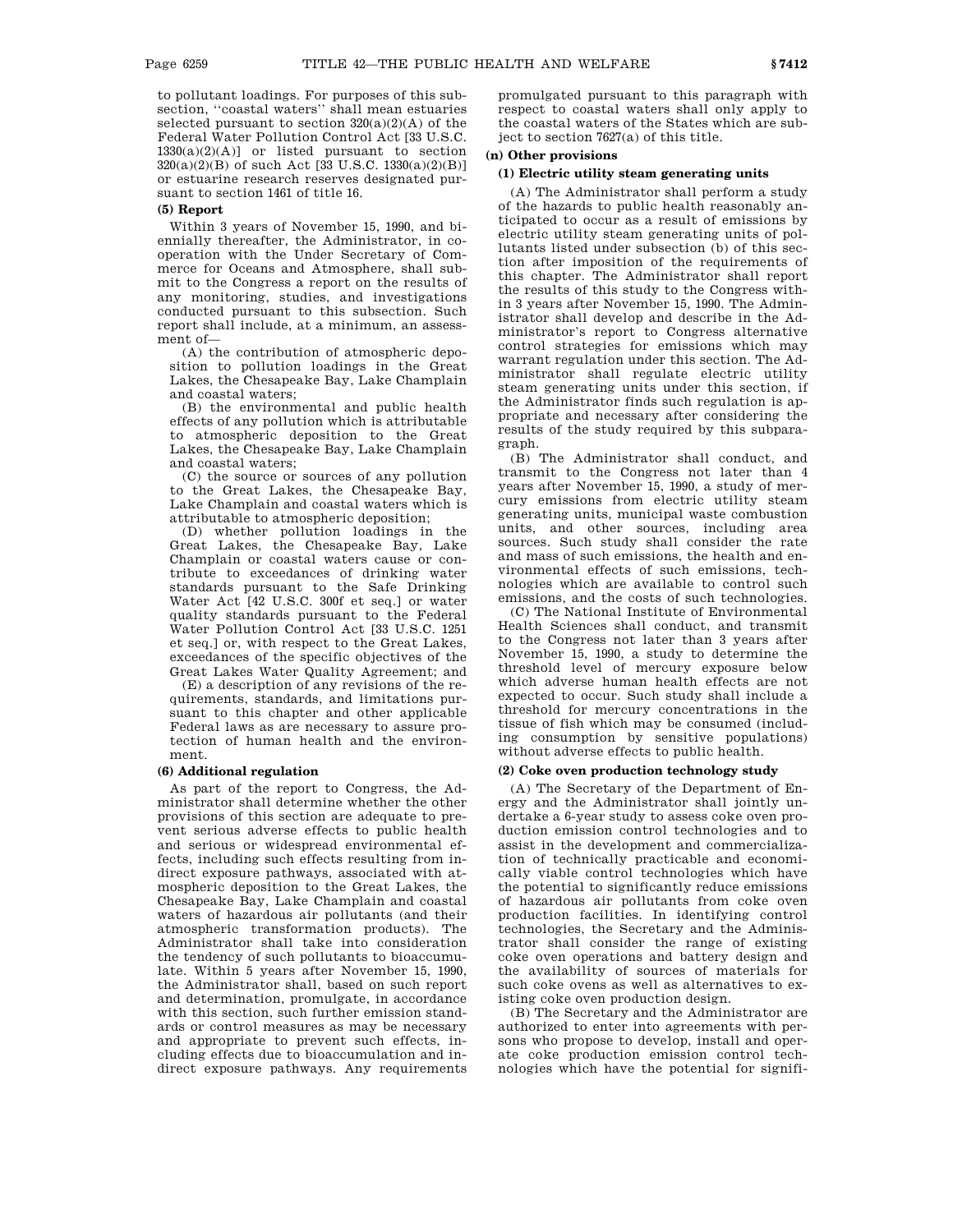to pollutant loadings. For purposes of this subsection, ''coastal waters'' shall mean estuaries selected pursuant to section  $320(a)(2)(A)$  of the Federal Water Pollution Control Act [33 U.S.C.  $1330(a)(2)(A)$ ] or listed pursuant to section 320(a)(2)(B) of such Act [33 U.S.C. 1330(a)(2)(B)] or estuarine research reserves designated pursuant to section 1461 of title 16.

#### **(5) Report**

Within 3 years of November 15, 1990, and biennially thereafter, the Administrator, in cooperation with the Under Secretary of Commerce for Oceans and Atmosphere, shall submit to the Congress a report on the results of any monitoring, studies, and investigations conducted pursuant to this subsection. Such report shall include, at a minimum, an assessment of—

(A) the contribution of atmospheric deposition to pollution loadings in the Great Lakes, the Chesapeake Bay, Lake Champlain and coastal waters;

(B) the environmental and public health effects of any pollution which is attributable to atmospheric deposition to the Great Lakes, the Chesapeake Bay, Lake Champlain and coastal waters;

(C) the source or sources of any pollution to the Great Lakes, the Chesapeake Bay, Lake Champlain and coastal waters which is attributable to atmospheric deposition;

(D) whether pollution loadings in the Great Lakes, the Chesapeake Bay, Lake Champlain or coastal waters cause or contribute to exceedances of drinking water standards pursuant to the Safe Drinking Water Act [42 U.S.C. 300f et seq.] or water quality standards pursuant to the Federal Water Pollution Control Act [33 U.S.C. 1251 et seq.] or, with respect to the Great Lakes, exceedances of the specific objectives of the Great Lakes Water Quality Agreement; and

(E) a description of any revisions of the requirements, standards, and limitations pursuant to this chapter and other applicable Federal laws as are necessary to assure protection of human health and the environment.

#### **(6) Additional regulation**

As part of the report to Congress, the Administrator shall determine whether the other provisions of this section are adequate to prevent serious adverse effects to public health and serious or widespread environmental effects, including such effects resulting from indirect exposure pathways, associated with atmospheric deposition to the Great Lakes, the Chesapeake Bay, Lake Champlain and coastal waters of hazardous air pollutants (and their atmospheric transformation products). The Administrator shall take into consideration the tendency of such pollutants to bioaccumulate. Within 5 years after November 15, 1990, the Administrator shall, based on such report and determination, promulgate, in accordance with this section, such further emission standards or control measures as may be necessary and appropriate to prevent such effects, including effects due to bioaccumulation and indirect exposure pathways. Any requirements promulgated pursuant to this paragraph with respect to coastal waters shall only apply to the coastal waters of the States which are subject to section 7627(a) of this title.

# **(n) Other provisions**

### **(1) Electric utility steam generating units**

(A) The Administrator shall perform a study of the hazards to public health reasonably anticipated to occur as a result of emissions by electric utility steam generating units of pollutants listed under subsection (b) of this section after imposition of the requirements of this chapter. The Administrator shall report the results of this study to the Congress within 3 years after November 15, 1990. The Administrator shall develop and describe in the Administrator's report to Congress alternative control strategies for emissions which may warrant regulation under this section. The Administrator shall regulate electric utility steam generating units under this section, if the Administrator finds such regulation is appropriate and necessary after considering the results of the study required by this subparagraph.

(B) The Administrator shall conduct, and transmit to the Congress not later than 4 years after November 15, 1990, a study of mercury emissions from electric utility steam generating units, municipal waste combustion units, and other sources, including area sources. Such study shall consider the rate and mass of such emissions, the health and environmental effects of such emissions, technologies which are available to control such emissions, and the costs of such technologies.

(C) The National Institute of Environmental Health Sciences shall conduct, and transmit to the Congress not later than 3 years after November 15, 1990, a study to determine the threshold level of mercury exposure below which adverse human health effects are not expected to occur. Such study shall include a threshold for mercury concentrations in the tissue of fish which may be consumed (including consumption by sensitive populations) without adverse effects to public health.

### **(2) Coke oven production technology study**

(A) The Secretary of the Department of Energy and the Administrator shall jointly undertake a 6-year study to assess coke oven production emission control technologies and to assist in the development and commercialization of technically practicable and economically viable control technologies which have the potential to significantly reduce emissions of hazardous air pollutants from coke oven production facilities. In identifying control technologies, the Secretary and the Administrator shall consider the range of existing coke oven operations and battery design and the availability of sources of materials for such coke ovens as well as alternatives to existing coke oven production design.

(B) The Secretary and the Administrator are authorized to enter into agreements with persons who propose to develop, install and operate coke production emission control technologies which have the potential for signifi-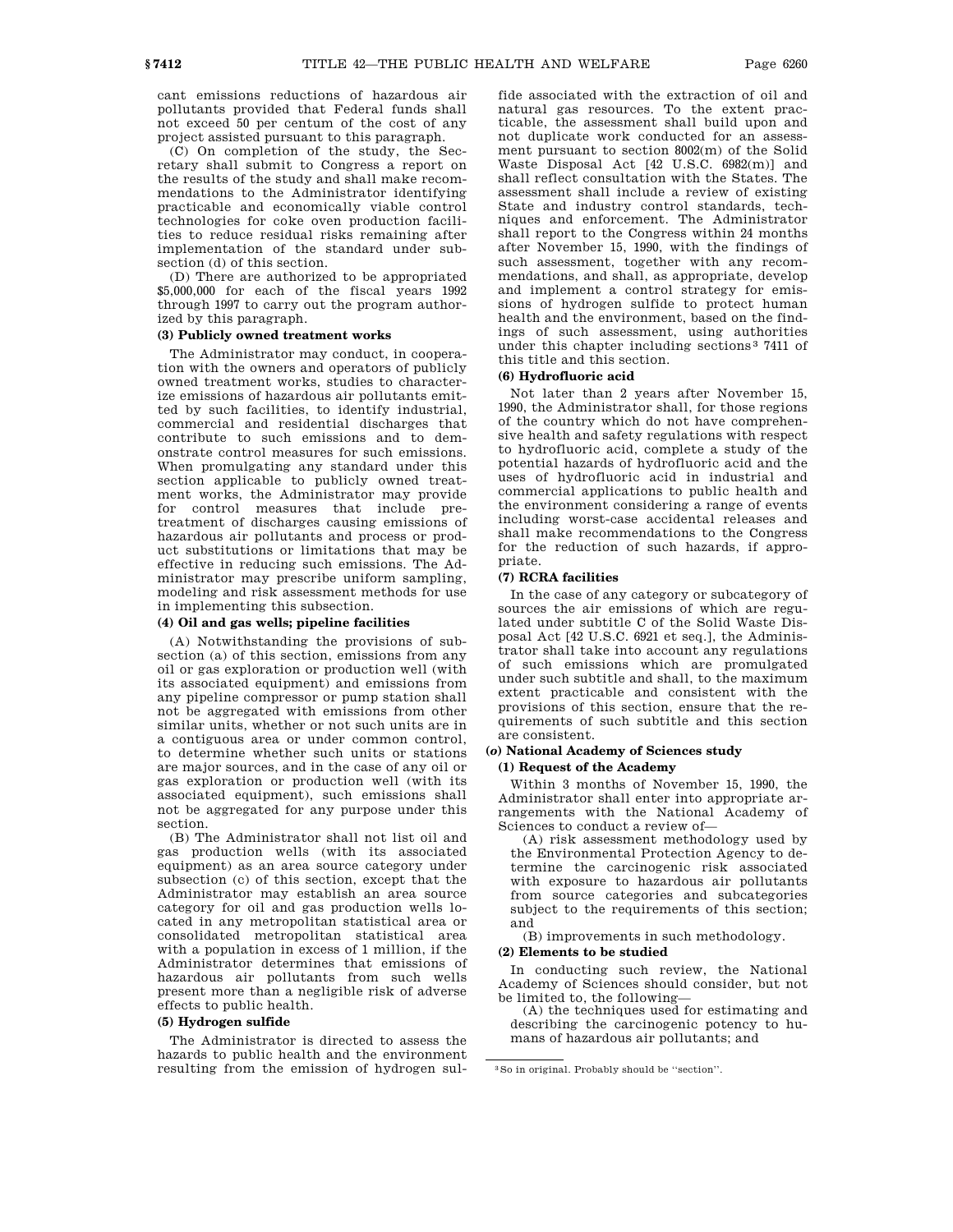cant emissions reductions of hazardous air pollutants provided that Federal funds shall not exceed 50 per centum of the cost of any project assisted pursuant to this paragraph.

(C) On completion of the study, the Secretary shall submit to Congress a report on the results of the study and shall make recommendations to the Administrator identifying practicable and economically viable control technologies for coke oven production facilities to reduce residual risks remaining after implementation of the standard under subsection (d) of this section.

(D) There are authorized to be appropriated \$5,000,000 for each of the fiscal years 1992 through 1997 to carry out the program authorized by this paragraph.

### **(3) Publicly owned treatment works**

The Administrator may conduct, in cooperation with the owners and operators of publicly owned treatment works, studies to characterize emissions of hazardous air pollutants emitted by such facilities, to identify industrial, commercial and residential discharges that contribute to such emissions and to demonstrate control measures for such emissions. When promulgating any standard under this section applicable to publicly owned treatment works, the Administrator may provide for control measures that include pretreatment of discharges causing emissions of hazardous air pollutants and process or product substitutions or limitations that may be effective in reducing such emissions. The Administrator may prescribe uniform sampling, modeling and risk assessment methods for use in implementing this subsection.

### **(4) Oil and gas wells; pipeline facilities**

(A) Notwithstanding the provisions of subsection (a) of this section, emissions from any oil or gas exploration or production well (with its associated equipment) and emissions from any pipeline compressor or pump station shall not be aggregated with emissions from other similar units, whether or not such units are in a contiguous area or under common control, to determine whether such units or stations are major sources, and in the case of any oil or gas exploration or production well (with its associated equipment), such emissions shall not be aggregated for any purpose under this section.

(B) The Administrator shall not list oil and gas production wells (with its associated equipment) as an area source category under subsection (c) of this section, except that the Administrator may establish an area source category for oil and gas production wells located in any metropolitan statistical area or consolidated metropolitan statistical area with a population in excess of 1 million, if the Administrator determines that emissions of hazardous air pollutants from such wells present more than a negligible risk of adverse effects to public health.

#### **(5) Hydrogen sulfide**

The Administrator is directed to assess the hazards to public health and the environment resulting from the emission of hydrogen sul-

fide associated with the extraction of oil and natural gas resources. To the extent practicable, the assessment shall build upon and not duplicate work conducted for an assessment pursuant to section 8002(m) of the Solid Waste Disposal Act [42 U.S.C. 6982(m)] and shall reflect consultation with the States. The assessment shall include a review of existing State and industry control standards, techniques and enforcement. The Administrator shall report to the Congress within 24 months after November 15, 1990, with the findings of such assessment, together with any recommendations, and shall, as appropriate, develop and implement a control strategy for emissions of hydrogen sulfide to protect human health and the environment, based on the findings of such assessment, using authorities under this chapter including sections 3 7411 of this title and this section.

#### **(6) Hydrofluoric acid**

Not later than 2 years after November 15, 1990, the Administrator shall, for those regions of the country which do not have comprehensive health and safety regulations with respect to hydrofluoric acid, complete a study of the potential hazards of hydrofluoric acid and the uses of hydrofluoric acid in industrial and commercial applications to public health and the environment considering a range of events including worst-case accidental releases and shall make recommendations to the Congress for the reduction of such hazards, if appropriate.

#### **(7) RCRA facilities**

In the case of any category or subcategory of sources the air emissions of which are regulated under subtitle C of the Solid Waste Disposal Act [42 U.S.C. 6921 et seq.], the Administrator shall take into account any regulations of such emissions which are promulgated under such subtitle and shall, to the maximum extent practicable and consistent with the provisions of this section, ensure that the requirements of such subtitle and this section are consistent.

### **(***o***) National Academy of Sciences study (1) Request of the Academy**

Within 3 months of November 15, 1990, the Administrator shall enter into appropriate arrangements with the National Academy of Sciences to conduct a review of—

(A) risk assessment methodology used by the Environmental Protection Agency to determine the carcinogenic risk associated with exposure to hazardous air pollutants from source categories and subcategories subject to the requirements of this section; and

(B) improvements in such methodology.

#### **(2) Elements to be studied**

In conducting such review, the National Academy of Sciences should consider, but not be limited to, the following—

(A) the techniques used for estimating and describing the carcinogenic potency to humans of hazardous air pollutants; and

<sup>3</sup>So in original. Probably should be ''section''.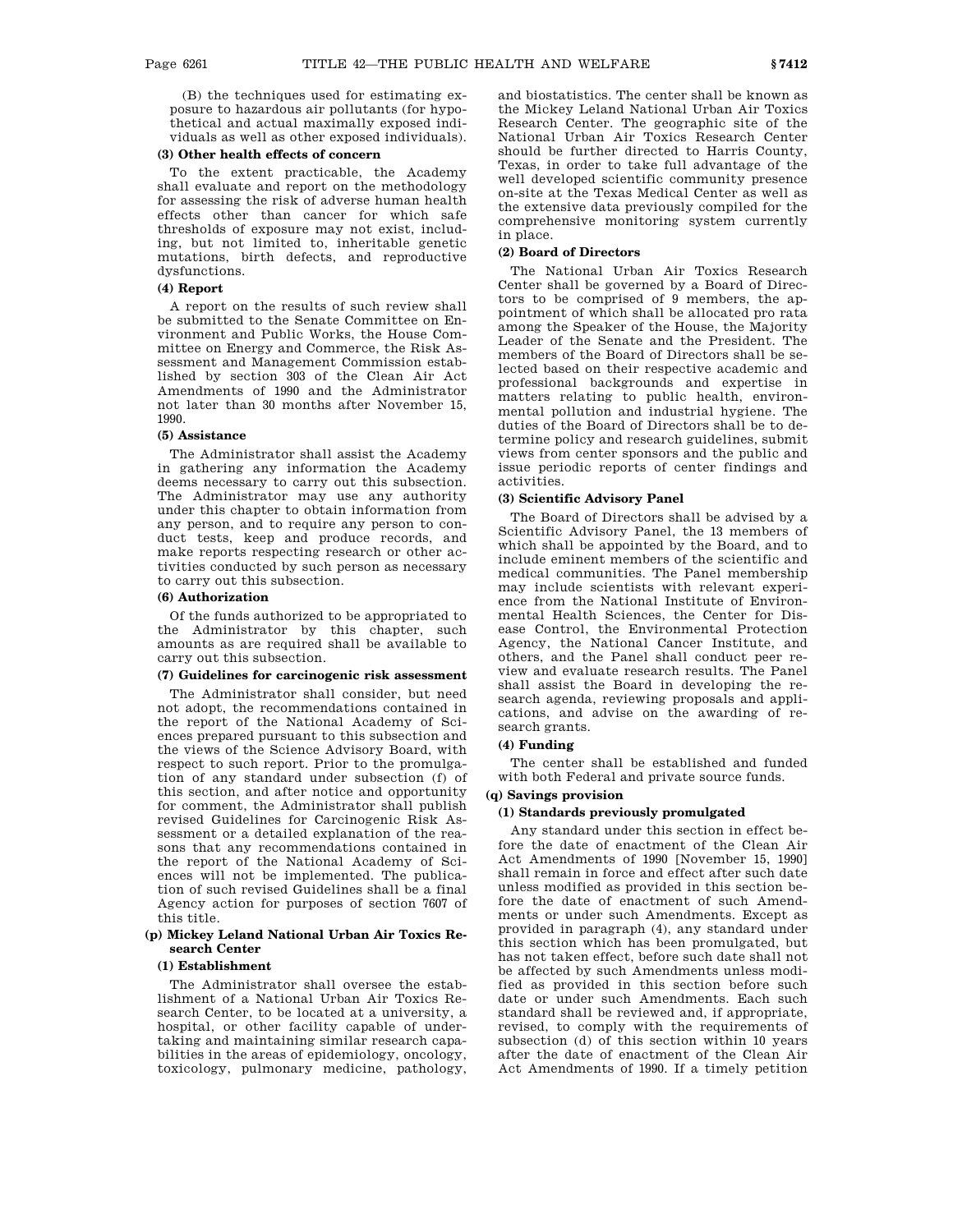(B) the techniques used for estimating exposure to hazardous air pollutants (for hypothetical and actual maximally exposed individuals as well as other exposed individuals).

#### **(3) Other health effects of concern**

To the extent practicable, the Academy shall evaluate and report on the methodology for assessing the risk of adverse human health effects other than cancer for which safe thresholds of exposure may not exist, including, but not limited to, inheritable genetic mutations, birth defects, and reproductive dysfunctions.

# **(4) Report**

A report on the results of such review shall be submitted to the Senate Committee on Environment and Public Works, the House Committee on Energy and Commerce, the Risk Assessment and Management Commission established by section 303 of the Clean Air Act Amendments of 1990 and the Administrator not later than 30 months after November 15, 1990.

### **(5) Assistance**

The Administrator shall assist the Academy in gathering any information the Academy deems necessary to carry out this subsection. The Administrator may use any authority under this chapter to obtain information from any person, and to require any person to conduct tests, keep and produce records, and make reports respecting research or other activities conducted by such person as necessary to carry out this subsection.

#### **(6) Authorization**

Of the funds authorized to be appropriated to the Administrator by this chapter, such amounts as are required shall be available to carry out this subsection.

### **(7) Guidelines for carcinogenic risk assessment**

The Administrator shall consider, but need not adopt, the recommendations contained in the report of the National Academy of Sciences prepared pursuant to this subsection and the views of the Science Advisory Board, with respect to such report. Prior to the promulgation of any standard under subsection (f) of this section, and after notice and opportunity for comment, the Administrator shall publish revised Guidelines for Carcinogenic Risk Assessment or a detailed explanation of the reasons that any recommendations contained in the report of the National Academy of Sciences will not be implemented. The publication of such revised Guidelines shall be a final Agency action for purposes of section 7607 of this title.

#### **(p) Mickey Leland National Urban Air Toxics Research Center**

### **(1) Establishment**

The Administrator shall oversee the establishment of a National Urban Air Toxics Research Center, to be located at a university, a hospital, or other facility capable of undertaking and maintaining similar research capabilities in the areas of epidemiology, oncology, toxicology, pulmonary medicine, pathology,

and biostatistics. The center shall be known as the Mickey Leland National Urban Air Toxics Research Center. The geographic site of the National Urban Air Toxics Research Center should be further directed to Harris County, Texas, in order to take full advantage of the well developed scientific community presence on-site at the Texas Medical Center as well as the extensive data previously compiled for the comprehensive monitoring system currently in place.

#### **(2) Board of Directors**

The National Urban Air Toxics Research Center shall be governed by a Board of Directors to be comprised of 9 members, the appointment of which shall be allocated pro rata among the Speaker of the House, the Majority Leader of the Senate and the President. The members of the Board of Directors shall be selected based on their respective academic and professional backgrounds and expertise in matters relating to public health, environmental pollution and industrial hygiene. The duties of the Board of Directors shall be to determine policy and research guidelines, submit views from center sponsors and the public and issue periodic reports of center findings and activities.

#### **(3) Scientific Advisory Panel**

The Board of Directors shall be advised by a Scientific Advisory Panel, the 13 members of which shall be appointed by the Board, and to include eminent members of the scientific and medical communities. The Panel membership may include scientists with relevant experience from the National Institute of Environmental Health Sciences, the Center for Disease Control, the Environmental Protection Agency, the National Cancer Institute, and others, and the Panel shall conduct peer review and evaluate research results. The Panel shall assist the Board in developing the research agenda, reviewing proposals and applications, and advise on the awarding of research grants.

# **(4) Funding**

The center shall be established and funded with both Federal and private source funds.

### **(q) Savings provision**

# **(1) Standards previously promulgated**

Any standard under this section in effect before the date of enactment of the Clean Air Act Amendments of 1990 [November 15, 1990] shall remain in force and effect after such date unless modified as provided in this section before the date of enactment of such Amendments or under such Amendments. Except as provided in paragraph (4), any standard under this section which has been promulgated, but has not taken effect, before such date shall not be affected by such Amendments unless modified as provided in this section before such date or under such Amendments. Each such standard shall be reviewed and, if appropriate, revised, to comply with the requirements of subsection (d) of this section within 10 years after the date of enactment of the Clean Air Act Amendments of 1990. If a timely petition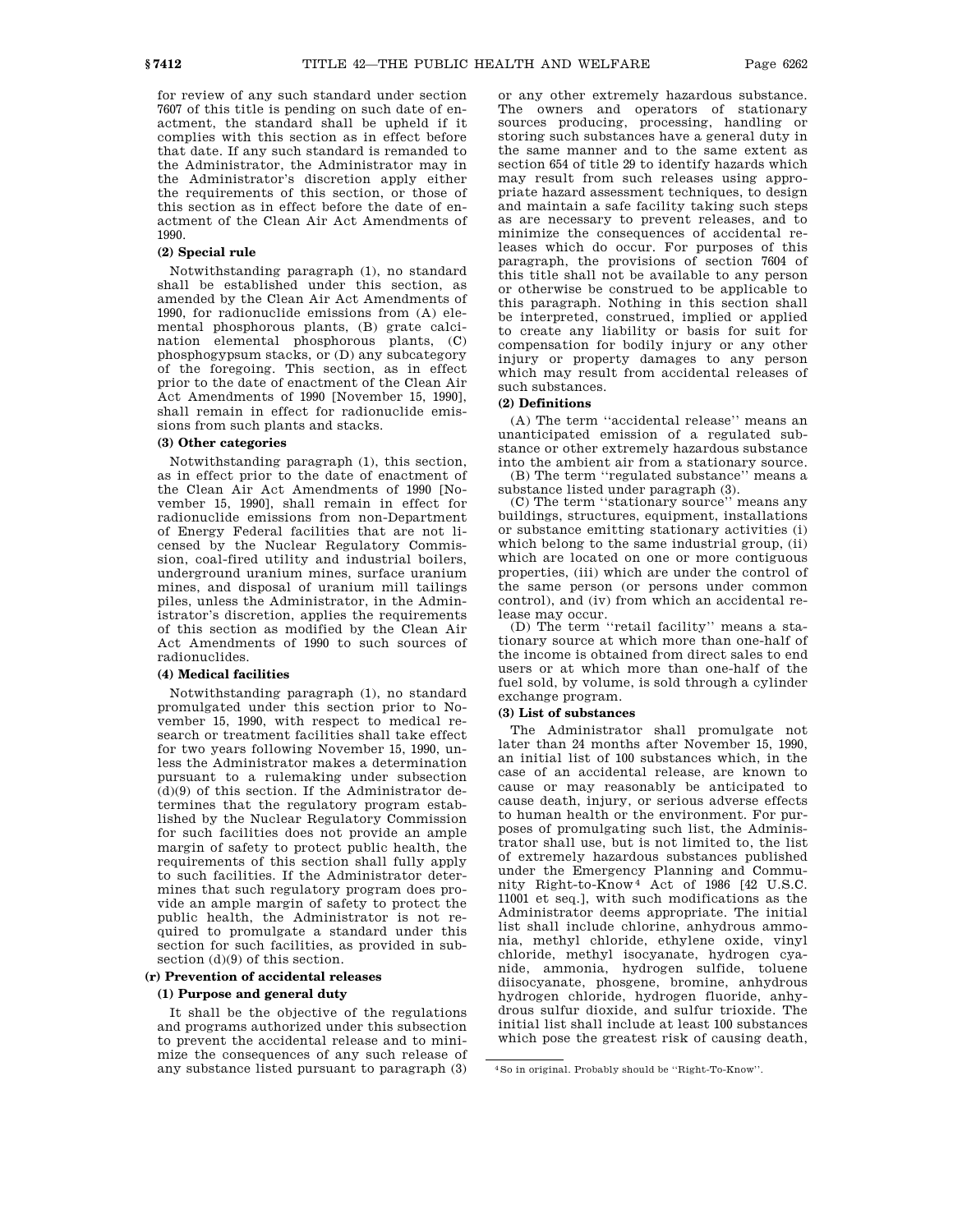for review of any such standard under section 7607 of this title is pending on such date of enactment, the standard shall be upheld if it complies with this section as in effect before that date. If any such standard is remanded to the Administrator, the Administrator may in the Administrator's discretion apply either the requirements of this section, or those of this section as in effect before the date of enactment of the Clean Air Act Amendments of 1990.

#### **(2) Special rule**

Notwithstanding paragraph (1), no standard shall be established under this section, as amended by the Clean Air Act Amendments of 1990, for radionuclide emissions from (A) elemental phosphorous plants, (B) grate calcination elemental phosphorous plants, (C) phosphogypsum stacks, or (D) any subcategory of the foregoing. This section, as in effect prior to the date of enactment of the Clean Air Act Amendments of 1990 [November 15, 1990], shall remain in effect for radionuclide emissions from such plants and stacks.

### **(3) Other categories**

Notwithstanding paragraph (1), this section, as in effect prior to the date of enactment of the Clean Air Act Amendments of 1990 [November 15, 1990], shall remain in effect for radionuclide emissions from non-Department of Energy Federal facilities that are not licensed by the Nuclear Regulatory Commission, coal-fired utility and industrial boilers, underground uranium mines, surface uranium mines, and disposal of uranium mill tailings piles, unless the Administrator, in the Administrator's discretion, applies the requirements of this section as modified by the Clean Air Act Amendments of 1990 to such sources of radionuclides.

# **(4) Medical facilities**

Notwithstanding paragraph (1), no standard promulgated under this section prior to November 15, 1990, with respect to medical research or treatment facilities shall take effect for two years following November 15, 1990, unless the Administrator makes a determination pursuant to a rulemaking under subsection  $(d)(9)$  of this section. If the Administrator determines that the regulatory program established by the Nuclear Regulatory Commission for such facilities does not provide an ample margin of safety to protect public health, the requirements of this section shall fully apply to such facilities. If the Administrator determines that such regulatory program does provide an ample margin of safety to protect the public health, the Administrator is not required to promulgate a standard under this section for such facilities, as provided in subsection  $(d)(9)$  of this section.

### **(r) Prevention of accidental releases**

# **(1) Purpose and general duty**

It shall be the objective of the regulations and programs authorized under this subsection to prevent the accidental release and to minimize the consequences of any such release of any substance listed pursuant to paragraph (3)

or any other extremely hazardous substance. The owners and operators of stationary sources producing, processing, handling or storing such substances have a general duty in the same manner and to the same extent as section 654 of title 29 to identify hazards which may result from such releases using appropriate hazard assessment techniques, to design and maintain a safe facility taking such steps as are necessary to prevent releases, and to minimize the consequences of accidental releases which do occur. For purposes of this paragraph, the provisions of section 7604 of this title shall not be available to any person or otherwise be construed to be applicable to this paragraph. Nothing in this section shall be interpreted, construed, implied or applied to create any liability or basis for suit for compensation for bodily injury or any other injury or property damages to any person which may result from accidental releases of such substances.

### **(2) Definitions**

(A) The term ''accidental release'' means an unanticipated emission of a regulated substance or other extremely hazardous substance into the ambient air from a stationary source.

(B) The term ''regulated substance'' means a substance listed under paragraph (3).

(C) The term ''stationary source'' means any buildings, structures, equipment, installations or substance emitting stationary activities (i) which belong to the same industrial group, (ii) which are located on one or more contiguous properties, (iii) which are under the control of the same person (or persons under common control), and (iv) from which an accidental release may occur.

(D) The term ''retail facility'' means a stationary source at which more than one-half of the income is obtained from direct sales to end users or at which more than one-half of the fuel sold, by volume, is sold through a cylinder exchange program.

### **(3) List of substances**

The Administrator shall promulgate not later than 24 months after November 15, 1990, an initial list of 100 substances which, in the case of an accidental release, are known to cause or may reasonably be anticipated to cause death, injury, or serious adverse effects to human health or the environment. For purposes of promulgating such list, the Administrator shall use, but is not limited to, the list of extremely hazardous substances published under the Emergency Planning and Community Right-to-Know 4 Act of 1986 [42 U.S.C. 11001 et seq.], with such modifications as the Administrator deems appropriate. The initial list shall include chlorine, anhydrous ammonia, methyl chloride, ethylene oxide, vinyl chloride, methyl isocyanate, hydrogen cyanide, ammonia, hydrogen sulfide, toluene diisocyanate, phosgene, bromine, anhydrous hydrogen chloride, hydrogen fluoride, anhydrous sulfur dioxide, and sulfur trioxide. The initial list shall include at least 100 substances which pose the greatest risk of causing death,

<sup>4</sup>So in original. Probably should be ''Right-To-Know''.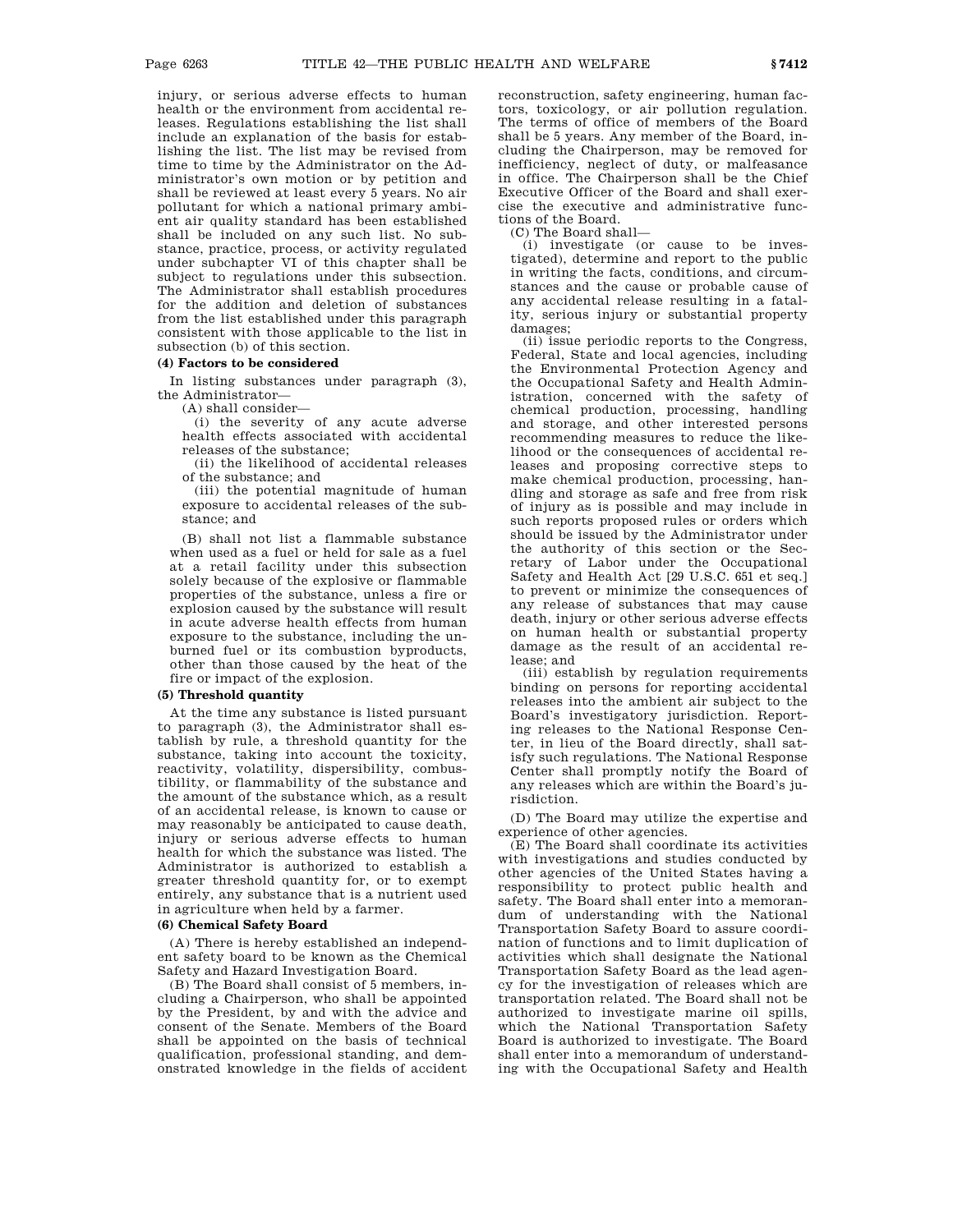injury, or serious adverse effects to human health or the environment from accidental releases. Regulations establishing the list shall include an explanation of the basis for establishing the list. The list may be revised from time to time by the Administrator on the Administrator's own motion or by petition and shall be reviewed at least every 5 years. No air pollutant for which a national primary ambient air quality standard has been established shall be included on any such list. No substance, practice, process, or activity regulated under subchapter VI of this chapter shall be subject to regulations under this subsection. The Administrator shall establish procedures for the addition and deletion of substances from the list established under this paragraph consistent with those applicable to the list in subsection (b) of this section.

### **(4) Factors to be considered**

In listing substances under paragraph (3), the Administrator—

(A) shall consider—

(i) the severity of any acute adverse health effects associated with accidental releases of the substance;

(ii) the likelihood of accidental releases of the substance; and

(iii) the potential magnitude of human exposure to accidental releases of the substance; and

(B) shall not list a flammable substance when used as a fuel or held for sale as a fuel at a retail facility under this subsection solely because of the explosive or flammable properties of the substance, unless a fire or explosion caused by the substance will result in acute adverse health effects from human exposure to the substance, including the unburned fuel or its combustion byproducts, other than those caused by the heat of the fire or impact of the explosion.

### **(5) Threshold quantity**

At the time any substance is listed pursuant to paragraph (3), the Administrator shall establish by rule, a threshold quantity for the substance, taking into account the toxicity, reactivity, volatility, dispersibility, combustibility, or flammability of the substance and the amount of the substance which, as a result of an accidental release, is known to cause or may reasonably be anticipated to cause death, injury or serious adverse effects to human health for which the substance was listed. The Administrator is authorized to establish a greater threshold quantity for, or to exempt entirely, any substance that is a nutrient used in agriculture when held by a farmer.

### **(6) Chemical Safety Board**

(A) There is hereby established an independent safety board to be known as the Chemical Safety and Hazard Investigation Board.

(B) The Board shall consist of 5 members, including a Chairperson, who shall be appointed by the President, by and with the advice and consent of the Senate. Members of the Board shall be appointed on the basis of technical qualification, professional standing, and demonstrated knowledge in the fields of accident reconstruction, safety engineering, human factors, toxicology, or air pollution regulation. The terms of office of members of the Board shall be 5 years. Any member of the Board, including the Chairperson, may be removed for inefficiency, neglect of duty, or malfeasance in office. The Chairperson shall be the Chief Executive Officer of the Board and shall exercise the executive and administrative functions of the Board.

(C) The Board shall—

(i) investigate (or cause to be investigated), determine and report to the public in writing the facts, conditions, and circumstances and the cause or probable cause of any accidental release resulting in a fatality, serious injury or substantial property damages;

(ii) issue periodic reports to the Congress, Federal, State and local agencies, including the Environmental Protection Agency and the Occupational Safety and Health Administration, concerned with the safety of chemical production, processing, handling and storage, and other interested persons recommending measures to reduce the likelihood or the consequences of accidental releases and proposing corrective steps to make chemical production, processing, handling and storage as safe and free from risk of injury as is possible and may include in such reports proposed rules or orders which should be issued by the Administrator under the authority of this section or the Secretary of Labor under the Occupational Safety and Health Act [29 U.S.C. 651 et seq.] to prevent or minimize the consequences of any release of substances that may cause death, injury or other serious adverse effects on human health or substantial property damage as the result of an accidental release; and

(iii) establish by regulation requirements binding on persons for reporting accidental releases into the ambient air subject to the Board's investigatory jurisdiction. Reporting releases to the National Response Center, in lieu of the Board directly, shall satisfy such regulations. The National Response Center shall promptly notify the Board of any releases which are within the Board's jurisdiction.

(D) The Board may utilize the expertise and experience of other agencies.

(E) The Board shall coordinate its activities with investigations and studies conducted by other agencies of the United States having a responsibility to protect public health and safety. The Board shall enter into a memorandum of understanding with the National Transportation Safety Board to assure coordination of functions and to limit duplication of activities which shall designate the National Transportation Safety Board as the lead agency for the investigation of releases which are transportation related. The Board shall not be authorized to investigate marine oil spills, which the National Transportation Safety Board is authorized to investigate. The Board shall enter into a memorandum of understanding with the Occupational Safety and Health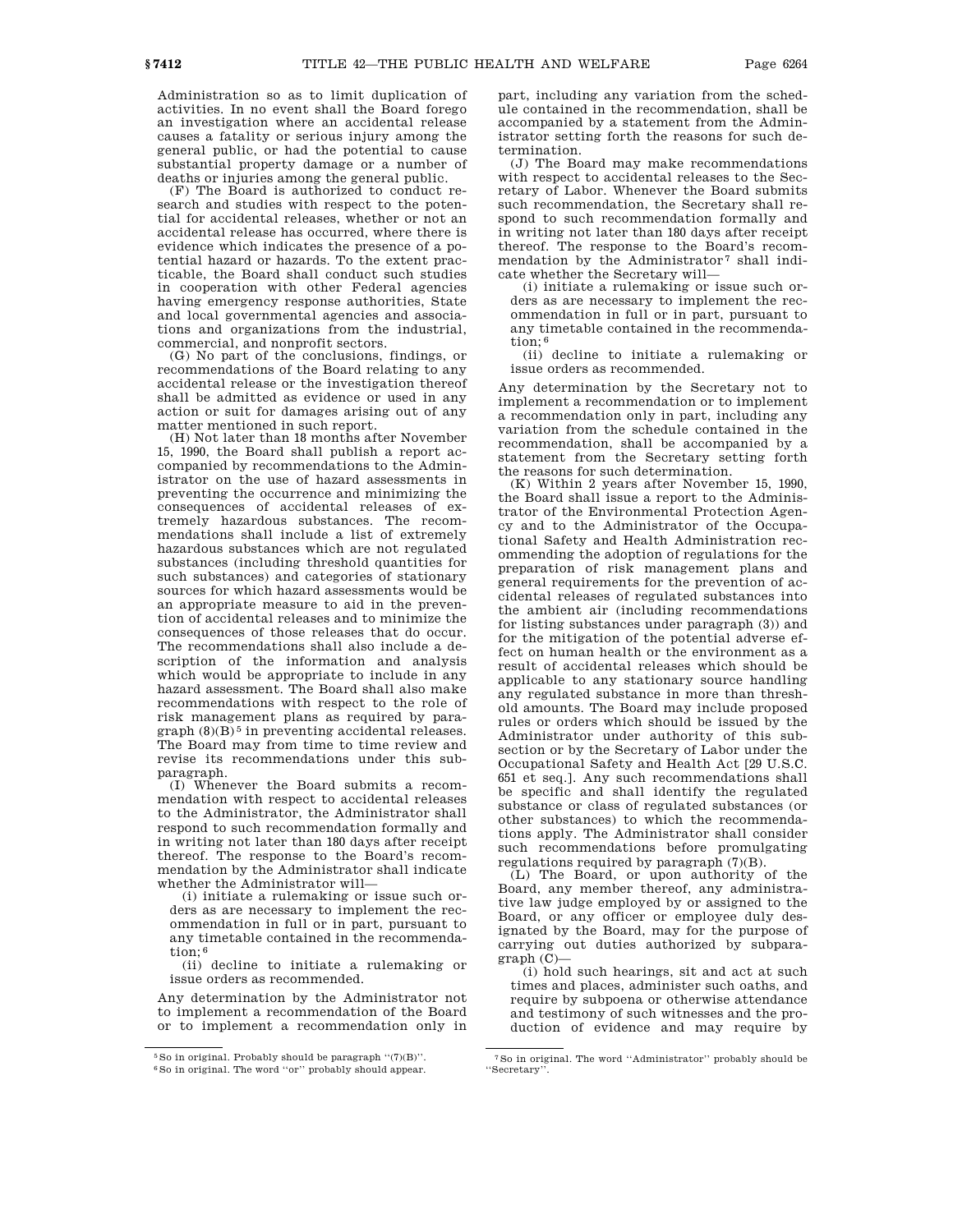Administration so as to limit duplication of activities. In no event shall the Board forego an investigation where an accidental release causes a fatality or serious injury among the general public, or had the potential to cause substantial property damage or a number of deaths or injuries among the general public.

(F) The Board is authorized to conduct research and studies with respect to the potential for accidental releases, whether or not an accidental release has occurred, where there is evidence which indicates the presence of a potential hazard or hazards. To the extent practicable, the Board shall conduct such studies in cooperation with other Federal agencies having emergency response authorities, State and local governmental agencies and associations and organizations from the industrial, commercial, and nonprofit sectors.

(G) No part of the conclusions, findings, or recommendations of the Board relating to any accidental release or the investigation thereof shall be admitted as evidence or used in any action or suit for damages arising out of any matter mentioned in such report.

(H) Not later than 18 months after November 15, 1990, the Board shall publish a report accompanied by recommendations to the Administrator on the use of hazard assessments in preventing the occurrence and minimizing the consequences of accidental releases of extremely hazardous substances. The recommendations shall include a list of extremely hazardous substances which are not regulated substances (including threshold quantities for such substances) and categories of stationary sources for which hazard assessments would be an appropriate measure to aid in the prevention of accidental releases and to minimize the consequences of those releases that do occur. The recommendations shall also include a description of the information and analysis which would be appropriate to include in any hazard assessment. The Board shall also make recommendations with respect to the role of risk management plans as required by para $graph (8)(B)<sup>5</sup>$  in preventing accidental releases. The Board may from time to time review and revise its recommendations under this subparagraph.

(I) Whenever the Board submits a recommendation with respect to accidental releases to the Administrator, the Administrator shall respond to such recommendation formally and in writing not later than 180 days after receipt thereof. The response to the Board's recommendation by the Administrator shall indicate whether the Administrator will—

(i) initiate a rulemaking or issue such orders as are necessary to implement the recommendation in full or in part, pursuant to any timetable contained in the recommendation:<sup>6</sup>

(ii) decline to initiate a rulemaking or issue orders as recommended.

Any determination by the Administrator not to implement a recommendation of the Board or to implement a recommendation only in

5So in original. Probably should be paragraph ''(7)(B)''.

part, including any variation from the schedule contained in the recommendation, shall be accompanied by a statement from the Administrator setting forth the reasons for such determination.

(J) The Board may make recommendations with respect to accidental releases to the Secretary of Labor. Whenever the Board submits such recommendation, the Secretary shall respond to such recommendation formally and in writing not later than 180 days after receipt thereof. The response to the Board's recommendation by the Administrator<sup>7</sup> shall indicate whether the Secretary will—

(i) initiate a rulemaking or issue such orders as are necessary to implement the recommendation in full or in part, pursuant to any timetable contained in the recommendation;<sup>6</sup>

(ii) decline to initiate a rulemaking or issue orders as recommended.

Any determination by the Secretary not to implement a recommendation or to implement a recommendation only in part, including any variation from the schedule contained in the recommendation, shall be accompanied by a statement from the Secretary setting forth the reasons for such determination.

(K) Within 2 years after November 15, 1990, the Board shall issue a report to the Administrator of the Environmental Protection Agency and to the Administrator of the Occupational Safety and Health Administration recommending the adoption of regulations for the preparation of risk management plans and general requirements for the prevention of accidental releases of regulated substances into the ambient air (including recommendations for listing substances under paragraph (3)) and for the mitigation of the potential adverse effect on human health or the environment as a result of accidental releases which should be applicable to any stationary source handling any regulated substance in more than threshold amounts. The Board may include proposed rules or orders which should be issued by the Administrator under authority of this subsection or by the Secretary of Labor under the Occupational Safety and Health Act [29 U.S.C. 651 et seq.]. Any such recommendations shall be specific and shall identify the regulated substance or class of regulated substances (or other substances) to which the recommendations apply. The Administrator shall consider such recommendations before promulgating regulations required by paragraph  $(7)(B)$ .

(L) The Board, or upon authority of the Board, any member thereof, any administrative law judge employed by or assigned to the Board, or any officer or employee duly designated by the Board, may for the purpose of carrying out duties authorized by subparagraph (C)—

(i) hold such hearings, sit and act at such times and places, administer such oaths, and require by subpoena or otherwise attendance and testimony of such witnesses and the production of evidence and may require by

 $^6\mathrm{So}$  in original. The word ''or'' probably should appear.

<sup>7</sup>So in original. The word ''Administrator'' probably should be ''Secretary''.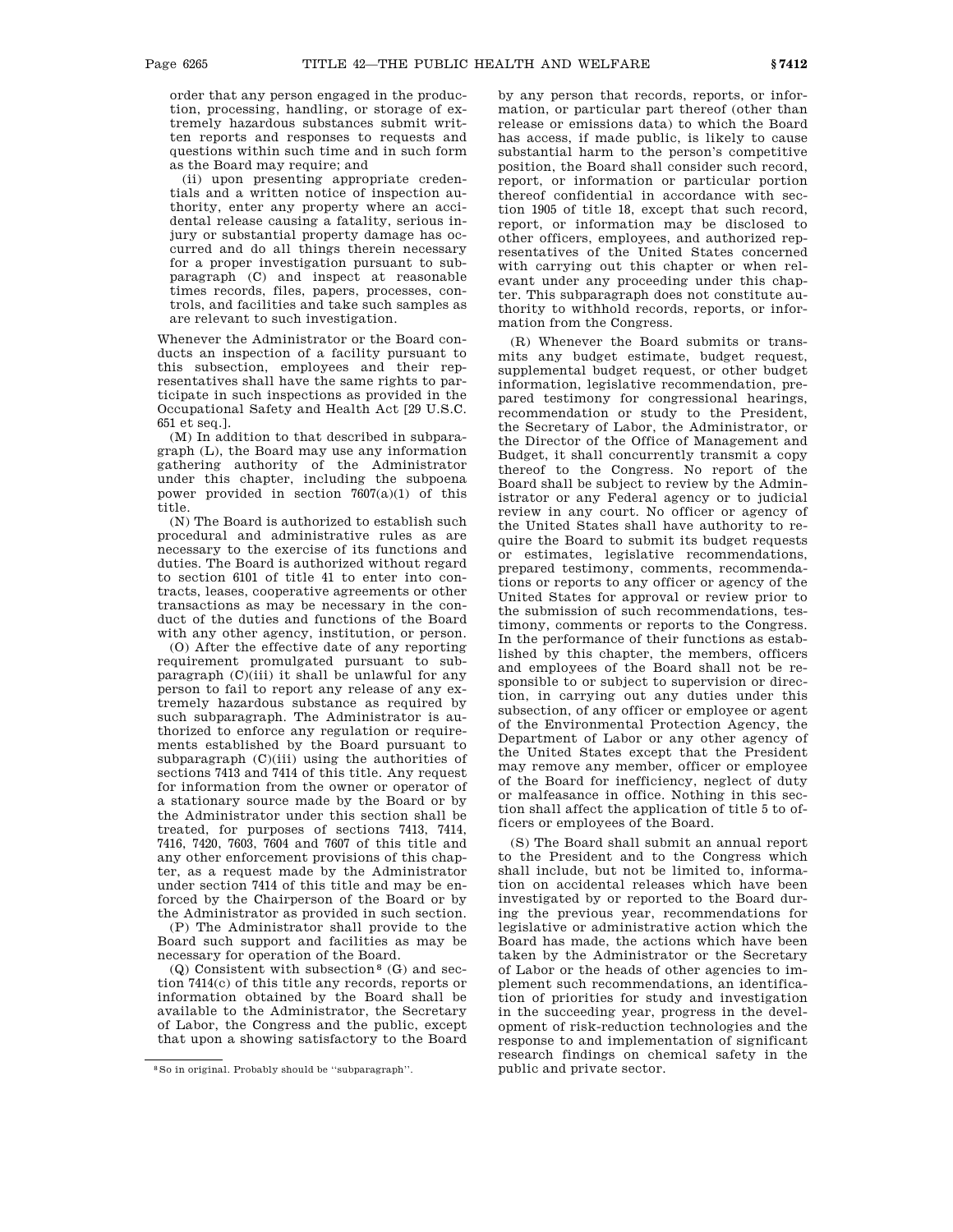order that any person engaged in the production, processing, handling, or storage of extremely hazardous substances submit written reports and responses to requests and questions within such time and in such form as the Board may require; and

(ii) upon presenting appropriate credentials and a written notice of inspection authority, enter any property where an accidental release causing a fatality, serious injury or substantial property damage has occurred and do all things therein necessary for a proper investigation pursuant to subparagraph (C) and inspect at reasonable times records, files, papers, processes, controls, and facilities and take such samples as are relevant to such investigation.

Whenever the Administrator or the Board conducts an inspection of a facility pursuant to this subsection, employees and their representatives shall have the same rights to participate in such inspections as provided in the Occupational Safety and Health Act [29 U.S.C. 651 et seq.].

(M) In addition to that described in subparagraph (L), the Board may use any information gathering authority of the Administrator under this chapter, including the subpoena power provided in section 7607(a)(1) of this title.

(N) The Board is authorized to establish such procedural and administrative rules as are necessary to the exercise of its functions and duties. The Board is authorized without regard to section 6101 of title 41 to enter into contracts, leases, cooperative agreements or other transactions as may be necessary in the conduct of the duties and functions of the Board with any other agency, institution, or person.

(O) After the effective date of any reporting requirement promulgated pursuant to subparagraph (C)(iii) it shall be unlawful for any person to fail to report any release of any extremely hazardous substance as required by such subparagraph. The Administrator is authorized to enforce any regulation or requirements established by the Board pursuant to subparagraph (C)(iii) using the authorities of sections 7413 and 7414 of this title. Any request for information from the owner or operator of a stationary source made by the Board or by the Administrator under this section shall be treated, for purposes of sections 7413, 7414, 7416, 7420, 7603, 7604 and 7607 of this title and any other enforcement provisions of this chapter, as a request made by the Administrator under section 7414 of this title and may be enforced by the Chairperson of the Board or by the Administrator as provided in such section.

(P) The Administrator shall provide to the Board such support and facilities as may be necessary for operation of the Board.

(Q) Consistent with subsection<sup>8</sup> (G) and section 7414(c) of this title any records, reports or information obtained by the Board shall be available to the Administrator, the Secretary of Labor, the Congress and the public, except that upon a showing satisfactory to the Board

by any person that records, reports, or information, or particular part thereof (other than release or emissions data) to which the Board has access, if made public, is likely to cause substantial harm to the person's competitive position, the Board shall consider such record, report, or information or particular portion thereof confidential in accordance with section 1905 of title 18, except that such record, report, or information may be disclosed to other officers, employees, and authorized representatives of the United States concerned with carrying out this chapter or when relevant under any proceeding under this chapter. This subparagraph does not constitute authority to withhold records, reports, or information from the Congress.

(R) Whenever the Board submits or transmits any budget estimate, budget request, supplemental budget request, or other budget information, legislative recommendation, prepared testimony for congressional hearings, recommendation or study to the President, the Secretary of Labor, the Administrator, or the Director of the Office of Management and Budget, it shall concurrently transmit a copy thereof to the Congress. No report of the Board shall be subject to review by the Administrator or any Federal agency or to judicial review in any court. No officer or agency of the United States shall have authority to require the Board to submit its budget requests or estimates, legislative recommendations, prepared testimony, comments, recommendations or reports to any officer or agency of the United States for approval or review prior to the submission of such recommendations, testimony, comments or reports to the Congress. In the performance of their functions as established by this chapter, the members, officers and employees of the Board shall not be responsible to or subject to supervision or direction, in carrying out any duties under this subsection, of any officer or employee or agent of the Environmental Protection Agency, the Department of Labor or any other agency of the United States except that the President may remove any member, officer or employee of the Board for inefficiency, neglect of duty or malfeasance in office. Nothing in this section shall affect the application of title 5 to officers or employees of the Board.

(S) The Board shall submit an annual report to the President and to the Congress which shall include, but not be limited to, information on accidental releases which have been investigated by or reported to the Board during the previous year, recommendations for legislative or administrative action which the Board has made, the actions which have been taken by the Administrator or the Secretary of Labor or the heads of other agencies to implement such recommendations, an identification of priorities for study and investigation in the succeeding year, progress in the development of risk-reduction technologies and the response to and implementation of significant research findings on chemical safety in the public and private sector.

<sup>8</sup>So in original. Probably should be ''subparagraph''.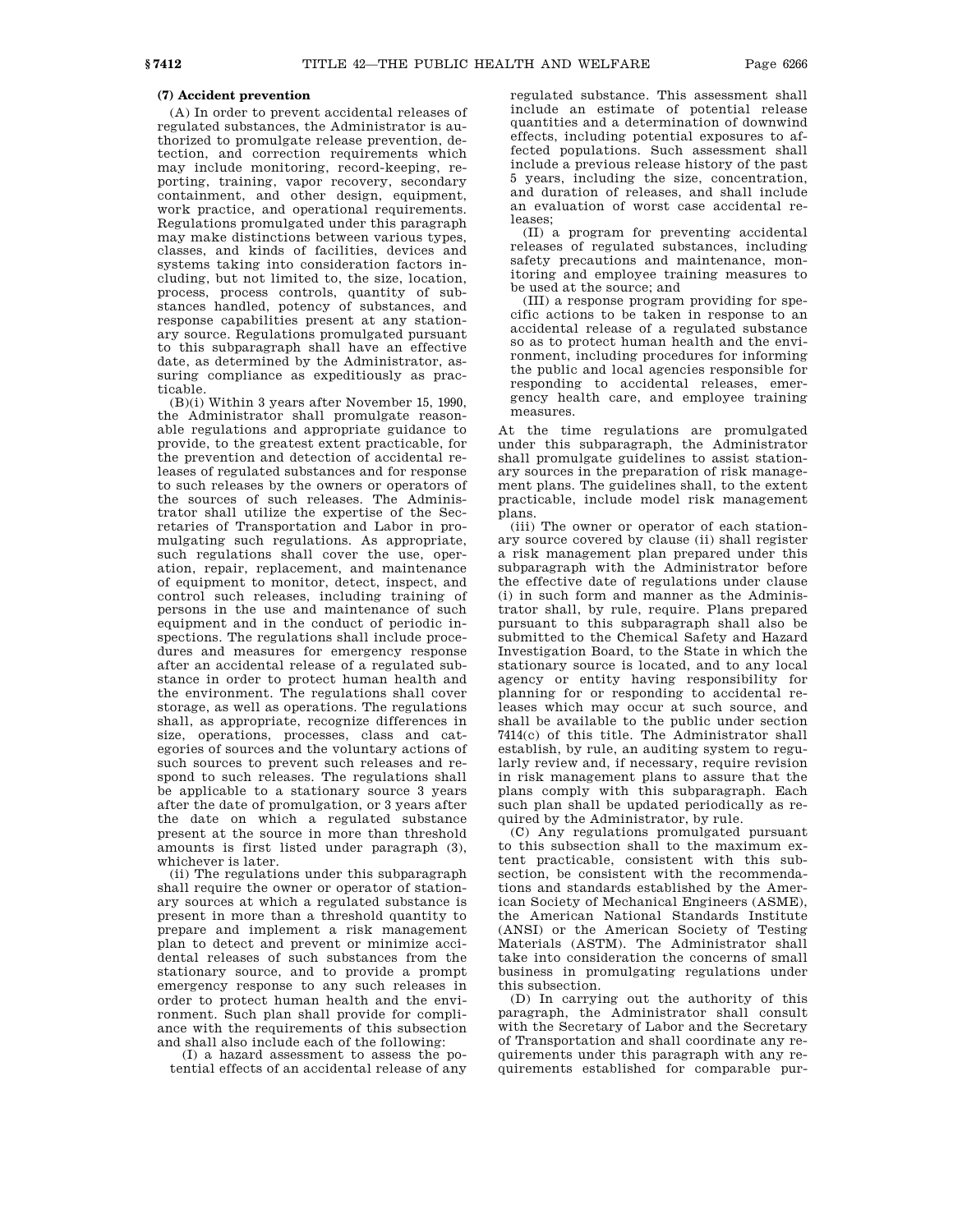### **(7) Accident prevention**

(A) In order to prevent accidental releases of regulated substances, the Administrator is authorized to promulgate release prevention, detection, and correction requirements which may include monitoring, record-keeping, reporting, training, vapor recovery, secondary containment, and other design, equipment, work practice, and operational requirements. Regulations promulgated under this paragraph may make distinctions between various types, classes, and kinds of facilities, devices and systems taking into consideration factors including, but not limited to, the size, location, process, process controls, quantity of substances handled, potency of substances, and response capabilities present at any stationary source. Regulations promulgated pursuant to this subparagraph shall have an effective date, as determined by the Administrator, assuring compliance as expeditiously as practicable.

(B)(i) Within 3 years after November 15, 1990, the Administrator shall promulgate reasonable regulations and appropriate guidance to provide, to the greatest extent practicable, for the prevention and detection of accidental releases of regulated substances and for response to such releases by the owners or operators of the sources of such releases. The Administrator shall utilize the expertise of the Secretaries of Transportation and Labor in promulgating such regulations. As appropriate, such regulations shall cover the use, operation, repair, replacement, and maintenance of equipment to monitor, detect, inspect, and control such releases, including training of persons in the use and maintenance of such equipment and in the conduct of periodic inspections. The regulations shall include procedures and measures for emergency response after an accidental release of a regulated substance in order to protect human health and the environment. The regulations shall cover storage, as well as operations. The regulations shall, as appropriate, recognize differences in size, operations, processes, class and categories of sources and the voluntary actions of such sources to prevent such releases and respond to such releases. The regulations shall be applicable to a stationary source 3 years after the date of promulgation, or 3 years after the date on which a regulated substance present at the source in more than threshold amounts is first listed under paragraph (3), whichever is later.

(ii) The regulations under this subparagraph shall require the owner or operator of stationary sources at which a regulated substance is present in more than a threshold quantity to prepare and implement a risk management plan to detect and prevent or minimize accidental releases of such substances from the stationary source, and to provide a prompt emergency response to any such releases in order to protect human health and the environment. Such plan shall provide for compliance with the requirements of this subsection and shall also include each of the following:

(I) a hazard assessment to assess the potential effects of an accidental release of any regulated substance. This assessment shall include an estimate of potential release quantities and a determination of downwind effects, including potential exposures to affected populations. Such assessment shall include a previous release history of the past 5 years, including the size, concentration, and duration of releases, and shall include an evaluation of worst case accidental releases;

(II) a program for preventing accidental releases of regulated substances, including safety precautions and maintenance, monitoring and employee training measures to be used at the source; and

(III) a response program providing for specific actions to be taken in response to an accidental release of a regulated substance so as to protect human health and the environment, including procedures for informing the public and local agencies responsible for responding to accidental releases, emergency health care, and employee training measures.

At the time regulations are promulgated under this subparagraph, the Administrator shall promulgate guidelines to assist stationary sources in the preparation of risk management plans. The guidelines shall, to the extent practicable, include model risk management plans.

(iii) The owner or operator of each stationary source covered by clause (ii) shall register a risk management plan prepared under this subparagraph with the Administrator before the effective date of regulations under clause (i) in such form and manner as the Administrator shall, by rule, require. Plans prepared pursuant to this subparagraph shall also be submitted to the Chemical Safety and Hazard Investigation Board, to the State in which the stationary source is located, and to any local agency or entity having responsibility for planning for or responding to accidental releases which may occur at such source, and shall be available to the public under section 7414(c) of this title. The Administrator shall establish, by rule, an auditing system to regularly review and, if necessary, require revision in risk management plans to assure that the plans comply with this subparagraph. Each such plan shall be updated periodically as required by the Administrator, by rule.

(C) Any regulations promulgated pursuant to this subsection shall to the maximum extent practicable, consistent with this subsection, be consistent with the recommendations and standards established by the American Society of Mechanical Engineers (ASME), the American National Standards Institute (ANSI) or the American Society of Testing Materials (ASTM). The Administrator shall take into consideration the concerns of small business in promulgating regulations under this subsection.

(D) In carrying out the authority of this paragraph, the Administrator shall consult with the Secretary of Labor and the Secretary of Transportation and shall coordinate any requirements under this paragraph with any requirements established for comparable pur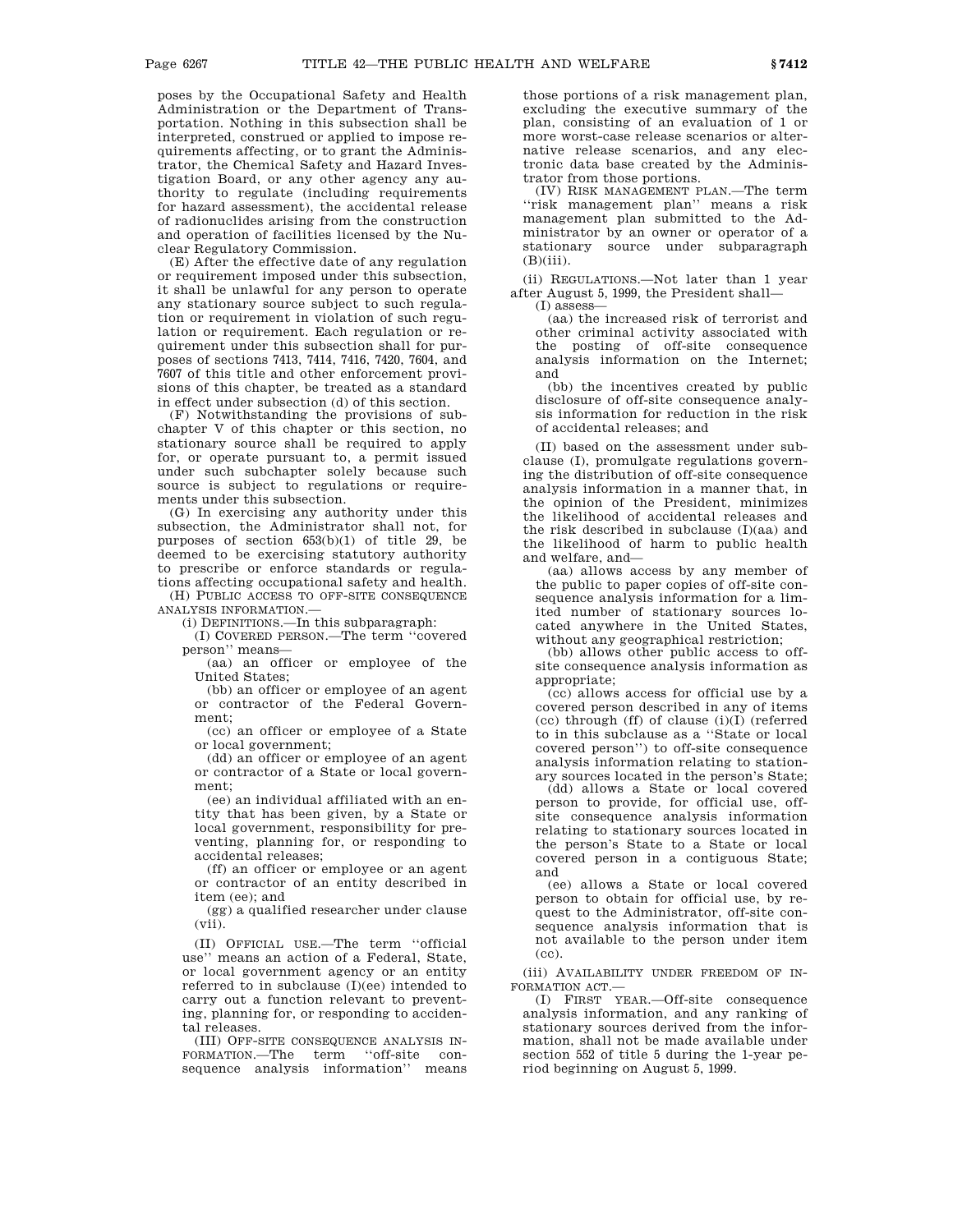poses by the Occupational Safety and Health Administration or the Department of Transportation. Nothing in this subsection shall be interpreted, construed or applied to impose requirements affecting, or to grant the Administrator, the Chemical Safety and Hazard Investigation Board, or any other agency any authority to regulate (including requirements for hazard assessment), the accidental release of radionuclides arising from the construction and operation of facilities licensed by the Nuclear Regulatory Commission.

(E) After the effective date of any regulation or requirement imposed under this subsection, it shall be unlawful for any person to operate any stationary source subject to such regulation or requirement in violation of such regulation or requirement. Each regulation or requirement under this subsection shall for purposes of sections 7413, 7414, 7416, 7420, 7604, and 7607 of this title and other enforcement provisions of this chapter, be treated as a standard in effect under subsection (d) of this section.

(F) Notwithstanding the provisions of subchapter V of this chapter or this section, no stationary source shall be required to apply for, or operate pursuant to, a permit issued under such subchapter solely because such source is subject to regulations or requirements under this subsection.

(G) In exercising any authority under this subsection, the Administrator shall not, for purposes of section 653(b)(1) of title 29, be deemed to be exercising statutory authority to prescribe or enforce standards or regulations affecting occupational safety and health.

(H) PUBLIC ACCESS TO OFF-SITE CONSEQUENCE ANALYSIS INFORMATION.—

(i) DEFINITIONS.—In this subparagraph:

(I) COVERED PERSON.—The term ''covered person'' means—

(aa) an officer or employee of the United States;

(bb) an officer or employee of an agent or contractor of the Federal Government;

(cc) an officer or employee of a State or local government;

(dd) an officer or employee of an agent or contractor of a State or local government;

(ee) an individual affiliated with an entity that has been given, by a State or local government, responsibility for preventing, planning for, or responding to accidental releases;

(ff) an officer or employee or an agent or contractor of an entity described in item (ee); and

(gg) a qualified researcher under clause (vii).

(II) OFFICIAL USE.—The term ''official use'' means an action of a Federal, State, or local government agency or an entity referred to in subclause (I)(ee) intended to carry out a function relevant to preventing, planning for, or responding to accidental releases.

(III) OFF-SITE CONSEQUENCE ANALYSIS IN-FORMATION.—The term ''off-site consequence analysis information'' means those portions of a risk management plan, excluding the executive summary of the plan, consisting of an evaluation of 1 or more worst-case release scenarios or alternative release scenarios, and any electronic data base created by the Administrator from those portions.

(IV) RISK MANAGEMENT PLAN.—The term ''risk management plan'' means a risk management plan submitted to the Administrator by an owner or operator of a stationary source under subparagraph  $(B)(iii)$ .

(ii) REGULATIONS.—Not later than 1 year after August 5, 1999, the President shall—

(I) assess— (aa) the increased risk of terrorist and other criminal activity associated with the posting of off-site consequence analysis information on the Internet; and

(bb) the incentives created by public disclosure of off-site consequence analysis information for reduction in the risk of accidental releases; and

(II) based on the assessment under subclause (I), promulgate regulations governing the distribution of off-site consequence analysis information in a manner that, in the opinion of the President, minimizes the likelihood of accidental releases and the risk described in subclause (I)(aa) and the likelihood of harm to public health and welfare, and—

(aa) allows access by any member of the public to paper copies of off-site consequence analysis information for a limited number of stationary sources located anywhere in the United States, without any geographical restriction;

(bb) allows other public access to offsite consequence analysis information as appropriate;

(cc) allows access for official use by a covered person described in any of items (cc) through (ff) of clause (i)(I) (referred to in this subclause as a ''State or local covered person'') to off-site consequence analysis information relating to stationary sources located in the person's State;

(dd) allows a State or local covered person to provide, for official use, offsite consequence analysis information relating to stationary sources located in the person's State to a State or local covered person in a contiguous State; and

(ee) allows a State or local covered person to obtain for official use, by request to the Administrator, off-site consequence analysis information that is not available to the person under item (cc).

(iii) AVAILABILITY UNDER FREEDOM OF IN-FORMATION ACT.—

(I) FIRST YEAR.—Off-site consequence analysis information, and any ranking of stationary sources derived from the information, shall not be made available under section 552 of title 5 during the 1-year period beginning on August 5, 1999.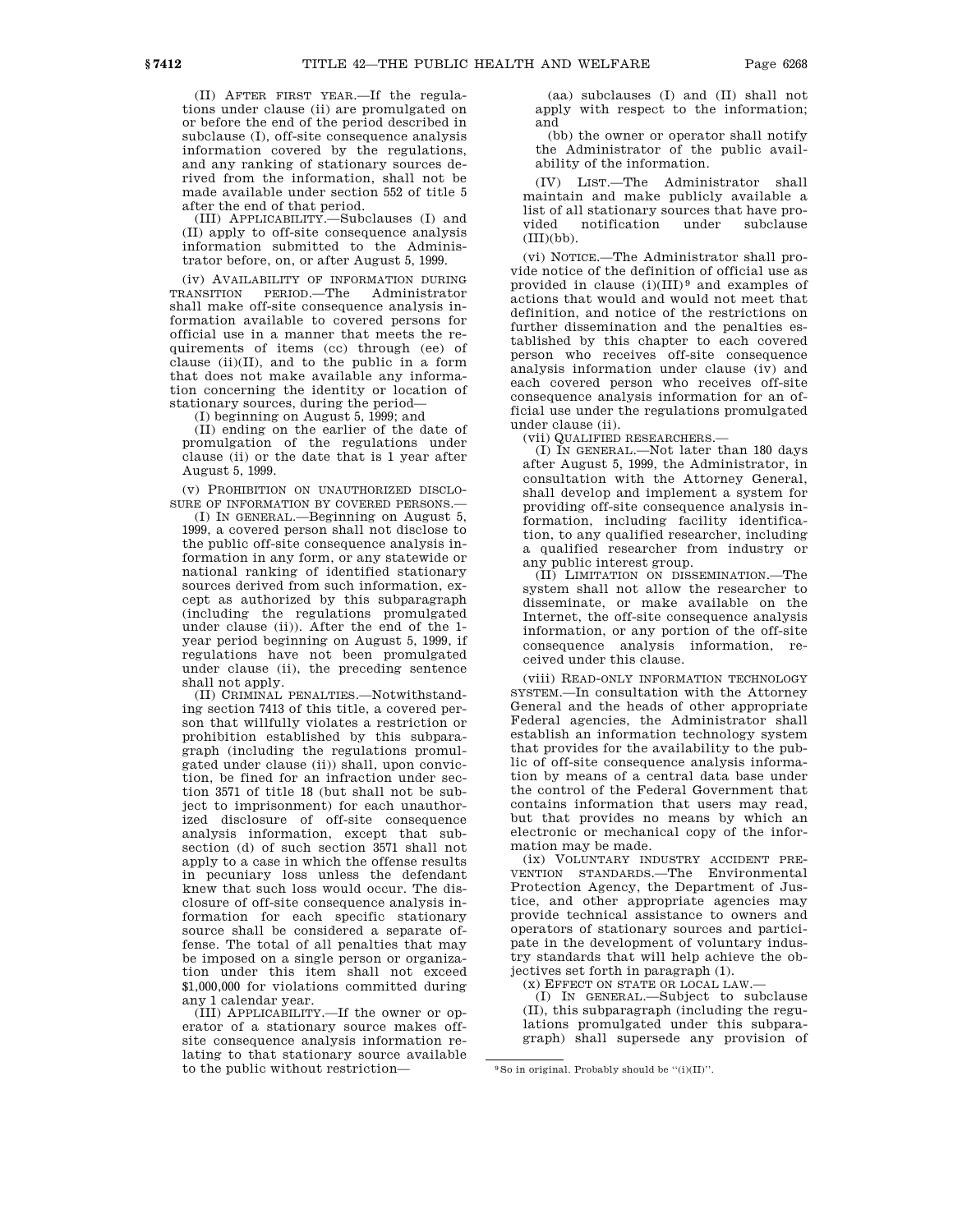(II) AFTER FIRST YEAR.—If the regulations under clause (ii) are promulgated on or before the end of the period described in subclause (I), off-site consequence analysis information covered by the regulations, and any ranking of stationary sources derived from the information, shall not be made available under section 552 of title 5 after the end of that period.

(III) APPLICABILITY.—Subclauses (I) and (II) apply to off-site consequence analysis information submitted to the Administrator before, on, or after August 5, 1999.

(iv) AVAILABILITY OF INFORMATION DURING TRANSITION PERIOD.—The Administrator shall make off-site consequence analysis information available to covered persons for official use in a manner that meets the requirements of items (cc) through (ee) of clause  $(ii)(II)$ , and to the public in a form that does not make available any information concerning the identity or location of stationary sources, during the period—

(I) beginning on August 5, 1999; and

(II) ending on the earlier of the date of promulgation of the regulations under clause (ii) or the date that is 1 year after August 5, 1999.

(v) PROHIBITION ON UNAUTHORIZED DISCLO-SURE OF INFORMATION BY COVERED PERSONS.—

(I) IN GENERAL.—Beginning on August 5, 1999, a covered person shall not disclose to the public off-site consequence analysis information in any form, or any statewide or national ranking of identified stationary sources derived from such information, except as authorized by this subparagraph (including the regulations promulgated under clause (ii)). After the end of the 1 year period beginning on August 5, 1999, if regulations have not been promulgated under clause (ii), the preceding sentence shall not apply.

(II) CRIMINAL PENALTIES.—Notwithstanding section 7413 of this title, a covered person that willfully violates a restriction or prohibition established by this subparagraph (including the regulations promulgated under clause (ii)) shall, upon conviction, be fined for an infraction under section 3571 of title 18 (but shall not be subject to imprisonment) for each unauthorized disclosure of off-site consequence analysis information, except that subsection (d) of such section 3571 shall not apply to a case in which the offense results in pecuniary loss unless the defendant knew that such loss would occur. The disclosure of off-site consequence analysis information for each specific stationary source shall be considered a separate offense. The total of all penalties that may be imposed on a single person or organization under this item shall not exceed \$1,000,000 for violations committed during any 1 calendar year.

(III) APPLICABILITY.—If the owner or operator of a stationary source makes offsite consequence analysis information relating to that stationary source available to the public without restriction—

(aa) subclauses (I) and (II) shall not apply with respect to the information; and

(bb) the owner or operator shall notify the Administrator of the public availability of the information.

(IV) LIST.—The Administrator shall maintain and make publicly available a list of all stationary sources that have provided notification under subclause  $(III)(bb)$ .

(vi) NOTICE.—The Administrator shall provide notice of the definition of official use as provided in clause  $(i)(III)^9$  and examples of actions that would and would not meet that definition, and notice of the restrictions on further dissemination and the penalties established by this chapter to each covered person who receives off-site consequence analysis information under clause (iv) and each covered person who receives off-site consequence analysis information for an official use under the regulations promulgated under clause (ii).

(vii) QUALIFIED RESEARCHERS.—

(I) IN GENERAL.—Not later than 180 days after August 5, 1999, the Administrator, in consultation with the Attorney General, shall develop and implement a system for providing off-site consequence analysis information, including facility identification, to any qualified researcher, including a qualified researcher from industry or any public interest group.

(II) LIMITATION ON DISSEMINATION.—The system shall not allow the researcher to disseminate, or make available on the Internet, the off-site consequence analysis information, or any portion of the off-site consequence analysis information, received under this clause.

(viii) READ-ONLY INFORMATION TECHNOLOGY SYSTEM.—In consultation with the Attorney General and the heads of other appropriate Federal agencies, the Administrator shall establish an information technology system that provides for the availability to the public of off-site consequence analysis information by means of a central data base under the control of the Federal Government that contains information that users may read, but that provides no means by which an electronic or mechanical copy of the information may be made.

(ix) VOLUNTARY INDUSTRY ACCIDENT PRE-VENTION STANDARDS.—The Environmental Protection Agency, the Department of Justice, and other appropriate agencies may provide technical assistance to owners and operators of stationary sources and participate in the development of voluntary industry standards that will help achieve the objectives set forth in paragraph (1).

(x) EFFECT ON STATE OR LOCAL LAW.

(I) IN GENERAL.—Subject to subclause (II), this subparagraph (including the regulations promulgated under this subparagraph) shall supersede any provision of

<sup>9</sup>So in original. Probably should be ''(i)(II)''.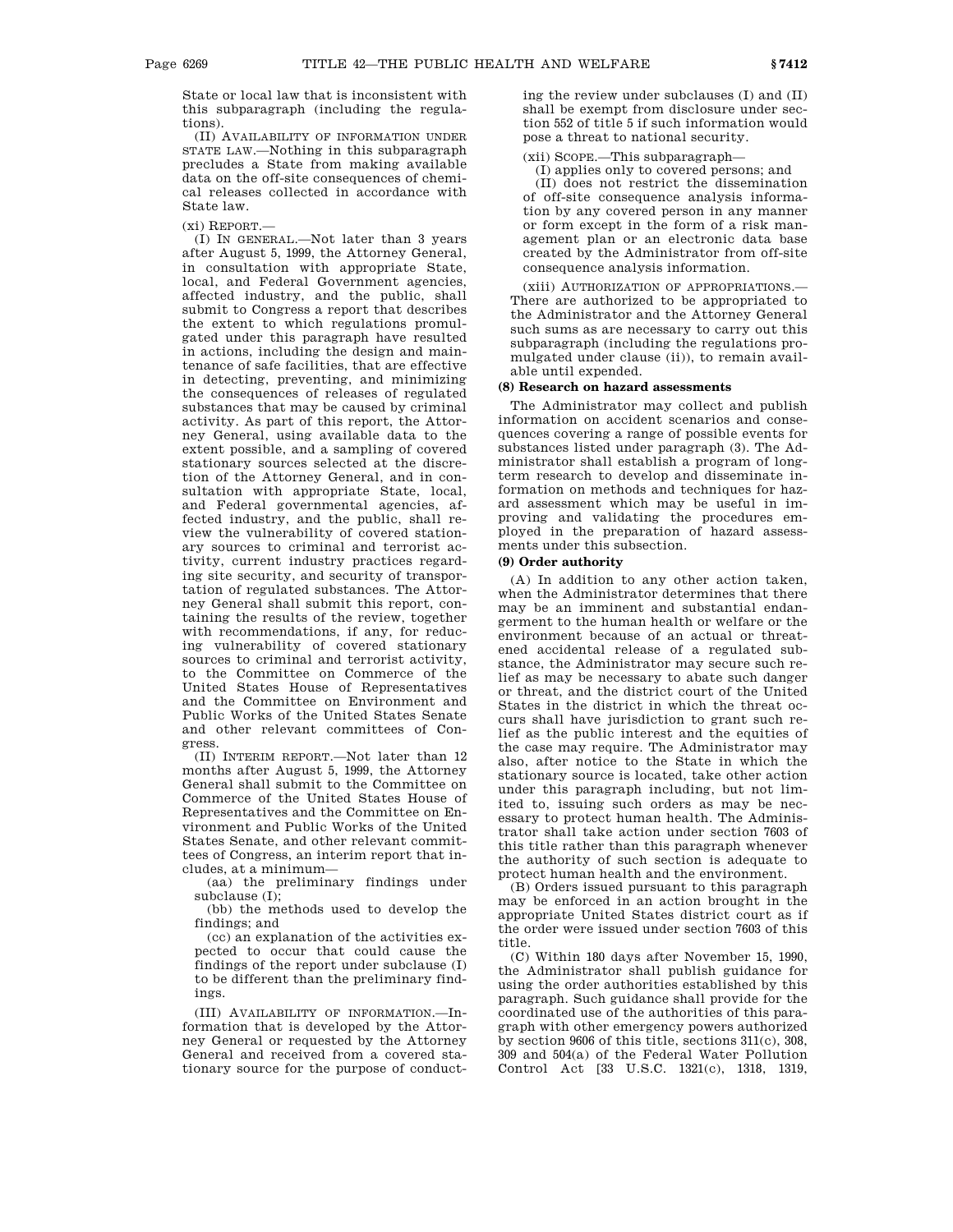State or local law that is inconsistent with this subparagraph (including the regulations).

(II) AVAILABILITY OF INFORMATION UNDER STATE LAW.—Nothing in this subparagraph precludes a State from making available data on the off-site consequences of chemical releases collected in accordance with State law.

(xi) REPORT.—

(I) IN GENERAL.—Not later than 3 years after August 5, 1999, the Attorney General, in consultation with appropriate State, local, and Federal Government agencies, affected industry, and the public, shall submit to Congress a report that describes the extent to which regulations promulgated under this paragraph have resulted in actions, including the design and maintenance of safe facilities, that are effective in detecting, preventing, and minimizing the consequences of releases of regulated substances that may be caused by criminal activity. As part of this report, the Attorney General, using available data to the extent possible, and a sampling of covered stationary sources selected at the discretion of the Attorney General, and in consultation with appropriate State, local, and Federal governmental agencies, affected industry, and the public, shall review the vulnerability of covered stationary sources to criminal and terrorist activity, current industry practices regarding site security, and security of transportation of regulated substances. The Attorney General shall submit this report, containing the results of the review, together with recommendations, if any, for reducing vulnerability of covered stationary sources to criminal and terrorist activity, to the Committee on Commerce of the United States House of Representatives and the Committee on Environment and Public Works of the United States Senate and other relevant committees of Congress.

(II) INTERIM REPORT.—Not later than 12 months after August 5, 1999, the Attorney General shall submit to the Committee on Commerce of the United States House of Representatives and the Committee on Environment and Public Works of the United States Senate, and other relevant committees of Congress, an interim report that includes, at a minimum—

(aa) the preliminary findings under subclause (I):

(bb) the methods used to develop the findings; and

(cc) an explanation of the activities expected to occur that could cause the findings of the report under subclause (I) to be different than the preliminary findings.

(III) AVAILABILITY OF INFORMATION.—Information that is developed by the Attorney General or requested by the Attorney General and received from a covered stationary source for the purpose of conducting the review under subclauses (I) and (II) shall be exempt from disclosure under section 552 of title 5 if such information would pose a threat to national security.

(xii) SCOPE.—This subparagraph—

(I) applies only to covered persons; and

(II) does not restrict the dissemination of off-site consequence analysis information by any covered person in any manner or form except in the form of a risk management plan or an electronic data base created by the Administrator from off-site consequence analysis information.

(xiii) AUTHORIZATION OF APPROPRIATIONS.— There are authorized to be appropriated to the Administrator and the Attorney General such sums as are necessary to carry out this subparagraph (including the regulations promulgated under clause (ii)), to remain available until expended.

#### **(8) Research on hazard assessments**

The Administrator may collect and publish information on accident scenarios and consequences covering a range of possible events for substances listed under paragraph (3). The Administrator shall establish a program of longterm research to develop and disseminate information on methods and techniques for hazard assessment which may be useful in improving and validating the procedures employed in the preparation of hazard assessments under this subsection.

### **(9) Order authority**

(A) In addition to any other action taken, when the Administrator determines that there may be an imminent and substantial endangerment to the human health or welfare or the environment because of an actual or threatened accidental release of a regulated substance, the Administrator may secure such relief as may be necessary to abate such danger or threat, and the district court of the United States in the district in which the threat occurs shall have jurisdiction to grant such relief as the public interest and the equities of the case may require. The Administrator may also, after notice to the State in which the stationary source is located, take other action under this paragraph including, but not limited to, issuing such orders as may be necessary to protect human health. The Administrator shall take action under section 7603 of this title rather than this paragraph whenever the authority of such section is adequate to protect human health and the environment.

(B) Orders issued pursuant to this paragraph may be enforced in an action brought in the appropriate United States district court as if the order were issued under section 7603 of this title.

(C) Within 180 days after November 15, 1990, the Administrator shall publish guidance for using the order authorities established by this paragraph. Such guidance shall provide for the coordinated use of the authorities of this paragraph with other emergency powers authorized by section 9606 of this title, sections 311(c), 308, 309 and 504(a) of the Federal Water Pollution Control Act [33 U.S.C. 1321(c), 1318, 1319,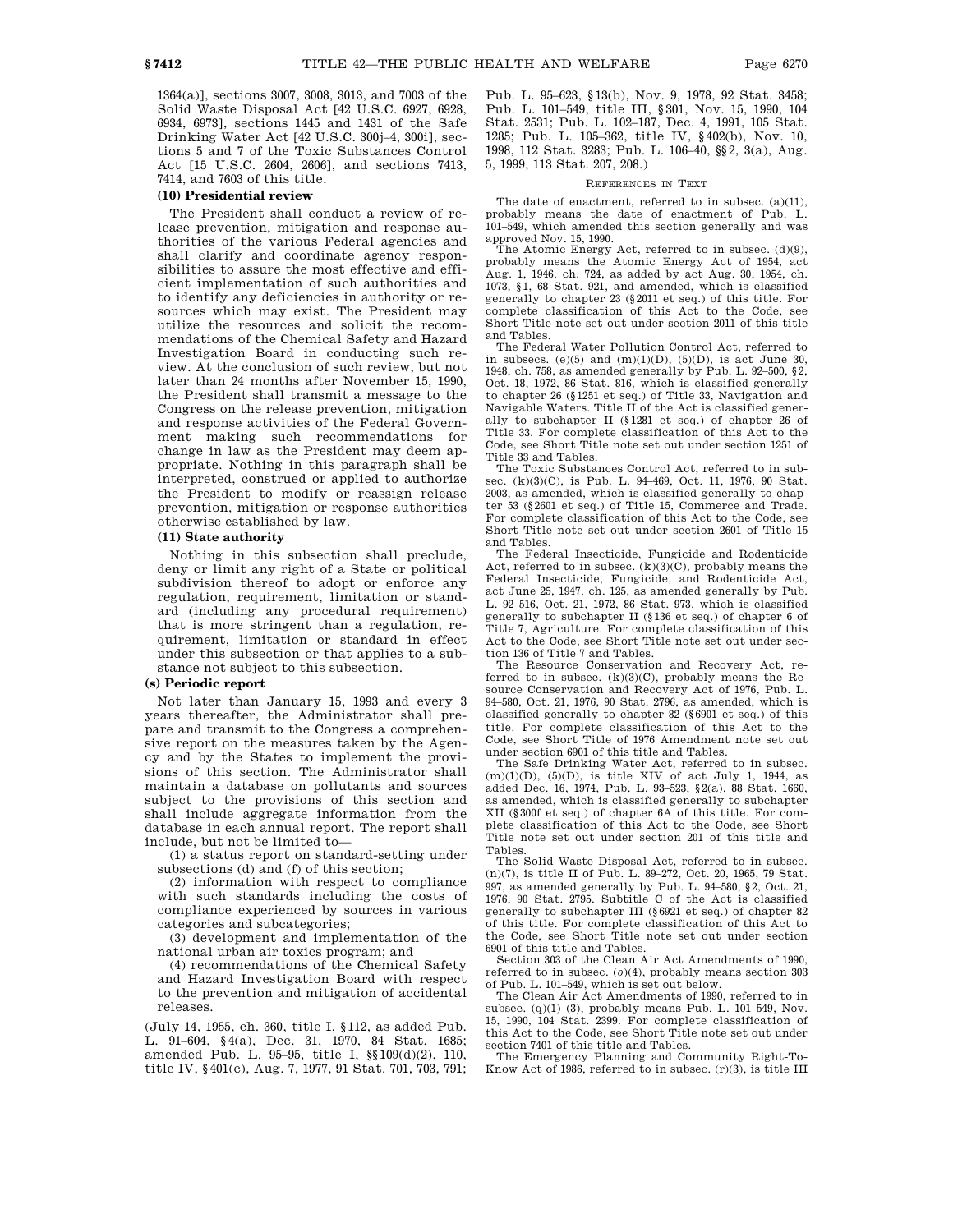1364(a)], sections 3007, 3008, 3013, and 7003 of the Solid Waste Disposal Act [42 U.S.C. 6927, 6928, 6934, 6973], sections 1445 and 1431 of the Safe Drinking Water Act [42 U.S.C. 300j–4, 300i], sections 5 and 7 of the Toxic Substances Control Act [15 U.S.C. 2604, 2606], and sections 7413, 7414, and 7603 of this title.

#### **(10) Presidential review**

The President shall conduct a review of release prevention, mitigation and response authorities of the various Federal agencies and shall clarify and coordinate agency responsibilities to assure the most effective and efficient implementation of such authorities and to identify any deficiencies in authority or resources which may exist. The President may utilize the resources and solicit the recommendations of the Chemical Safety and Hazard Investigation Board in conducting such review. At the conclusion of such review, but not later than 24 months after November 15, 1990, the President shall transmit a message to the Congress on the release prevention, mitigation and response activities of the Federal Government making such recommendations for change in law as the President may deem appropriate. Nothing in this paragraph shall be interpreted, construed or applied to authorize the President to modify or reassign release prevention, mitigation or response authorities otherwise established by law.

# **(11) State authority**

Nothing in this subsection shall preclude, deny or limit any right of a State or political subdivision thereof to adopt or enforce any regulation, requirement, limitation or standard (including any procedural requirement) that is more stringent than a regulation, requirement, limitation or standard in effect under this subsection or that applies to a substance not subject to this subsection.

#### **(s) Periodic report**

Not later than January 15, 1993 and every 3 years thereafter, the Administrator shall prepare and transmit to the Congress a comprehensive report on the measures taken by the Agency and by the States to implement the provisions of this section. The Administrator shall maintain a database on pollutants and sources subject to the provisions of this section and shall include aggregate information from the database in each annual report. The report shall include, but not be limited to—

(1) a status report on standard-setting under subsections (d) and (f) of this section;

(2) information with respect to compliance with such standards including the costs of compliance experienced by sources in various categories and subcategories;

(3) development and implementation of the national urban air toxics program; and

(4) recommendations of the Chemical Safety and Hazard Investigation Board with respect to the prevention and mitigation of accidental releases.

(July 14, 1955, ch. 360, title I, §112, as added Pub. L. 91–604, §4(a), Dec. 31, 1970, 84 Stat. 1685; amended Pub. L. 95–95, title I, §§109(d)(2), 110, title IV, §401(c), Aug. 7, 1977, 91 Stat. 701, 703, 791; Pub. L. 95–623, §13(b), Nov. 9, 1978, 92 Stat. 3458; Pub. L. 101–549, title III, §301, Nov. 15, 1990, 104 Stat. 2531; Pub. L. 102–187, Dec. 4, 1991, 105 Stat. 1285; Pub. L. 105–362, title IV, §402(b), Nov. 10, 1998, 112 Stat. 3283; Pub. L. 106–40, §§2, 3(a), Aug. 5, 1999, 113 Stat. 207, 208.)

#### REFERENCES IN TEXT

The date of enactment, referred to in subsec. (a)(11), probably means the date of enactment of Pub. L. 101–549, which amended this section generally and was

approved Nov. 15, 1990. The Atomic Energy Act, referred to in subsec. (d)(9), probably means the Atomic Energy Act of 1954, act Aug. 1, 1946, ch. 724, as added by act Aug. 30, 1954, ch. 1073, §1, 68 Stat. 921, and amended, which is classified generally to chapter 23 (§2011 et seq.) of this title. For complete classification of this Act to the Code, see Short Title note set out under section 2011 of this title and Tables.

The Federal Water Pollution Control Act, referred to in subsecs. (e)(5) and  $(m)(1)(D)$ ,  $(5)(D)$ , is act June 30, 1948, ch. 758, as amended generally by Pub. L. 92–500, §2, Oct. 18, 1972, 86 Stat. 816, which is classified generally to chapter 26 (§1251 et seq.) of Title 33, Navigation and Navigable Waters. Title II of the Act is classified generally to subchapter II (§1281 et seq.) of chapter 26 of Title 33. For complete classification of this Act to the Code, see Short Title note set out under section 1251 of Title 33 and Tables.

The Toxic Substances Control Act, referred to in subsec. (k)(3)(C), is Pub. L. 94–469, Oct. 11, 1976, 90 Stat. 2003, as amended, which is classified generally to chapter 53 (§2601 et seq.) of Title 15, Commerce and Trade. For complete classification of this Act to the Code, see Short Title note set out under section 2601 of Title 15 and Tables.

The Federal Insecticide, Fungicide and Rodenticide Act, referred to in subsec. (k)(3)(C), probably means the Federal Insecticide, Fungicide, and Rodenticide Act, act June 25, 1947, ch. 125, as amended generally by Pub. L. 92–516, Oct. 21, 1972, 86 Stat. 973, which is classified generally to subchapter II (§136 et seq.) of chapter 6 of Title 7, Agriculture. For complete classification of this Act to the Code, see Short Title note set out under section 136 of Title 7 and Tables.

The Resource Conservation and Recovery Act, referred to in subsec.  $(k)(3)(C)$ , probably means the Resource Conservation and Recovery Act of 1976, Pub. L. 94–580, Oct. 21, 1976, 90 Stat. 2796, as amended, which is classified generally to chapter 82 (§6901 et seq.) of this title. For complete classification of this Act to the Code, see Short Title of 1976 Amendment note set out under section 6901 of this title and Tables.

The Safe Drinking Water Act, referred to in subsec.  $(m)(1)(D)$ ,  $(5)(D)$ , is title XIV of act July 1, 1944, as added Dec. 16, 1974, Pub. L. 93–523, §2(a), 88 Stat. 1660, as amended, which is classified generally to subchapter XII (§300f et seq.) of chapter 6A of this title. For complete classification of this Act to the Code, see Short Title note set out under section 201 of this title and Tables.

The Solid Waste Disposal Act, referred to in subsec. (n)(7), is title II of Pub. L. 89–272, Oct. 20, 1965, 79 Stat. 997, as amended generally by Pub. L. 94–580, §2, Oct. 21, 1976, 90 Stat. 2795. Subtitle C of the Act is classified generally to subchapter III (§6921 et seq.) of chapter 82 of this title. For complete classification of this Act to the Code, see Short Title note set out under section 6901 of this title and Tables.

Section 303 of the Clean Air Act Amendments of 1990, referred to in subsec. (*o*)(4), probably means section 303 of Pub. L. 101–549, which is set out below.

The Clean Air Act Amendments of 1990, referred to in subsec. (q)(1)–(3), probably means Pub. L. 101–549, Nov. 15, 1990, 104 Stat. 2399. For complete classification of this Act to the Code, see Short Title note set out under

section 7401 of this title and Tables. The Emergency Planning and Community Right-To-Know Act of 1986, referred to in subsec. (r)(3), is title III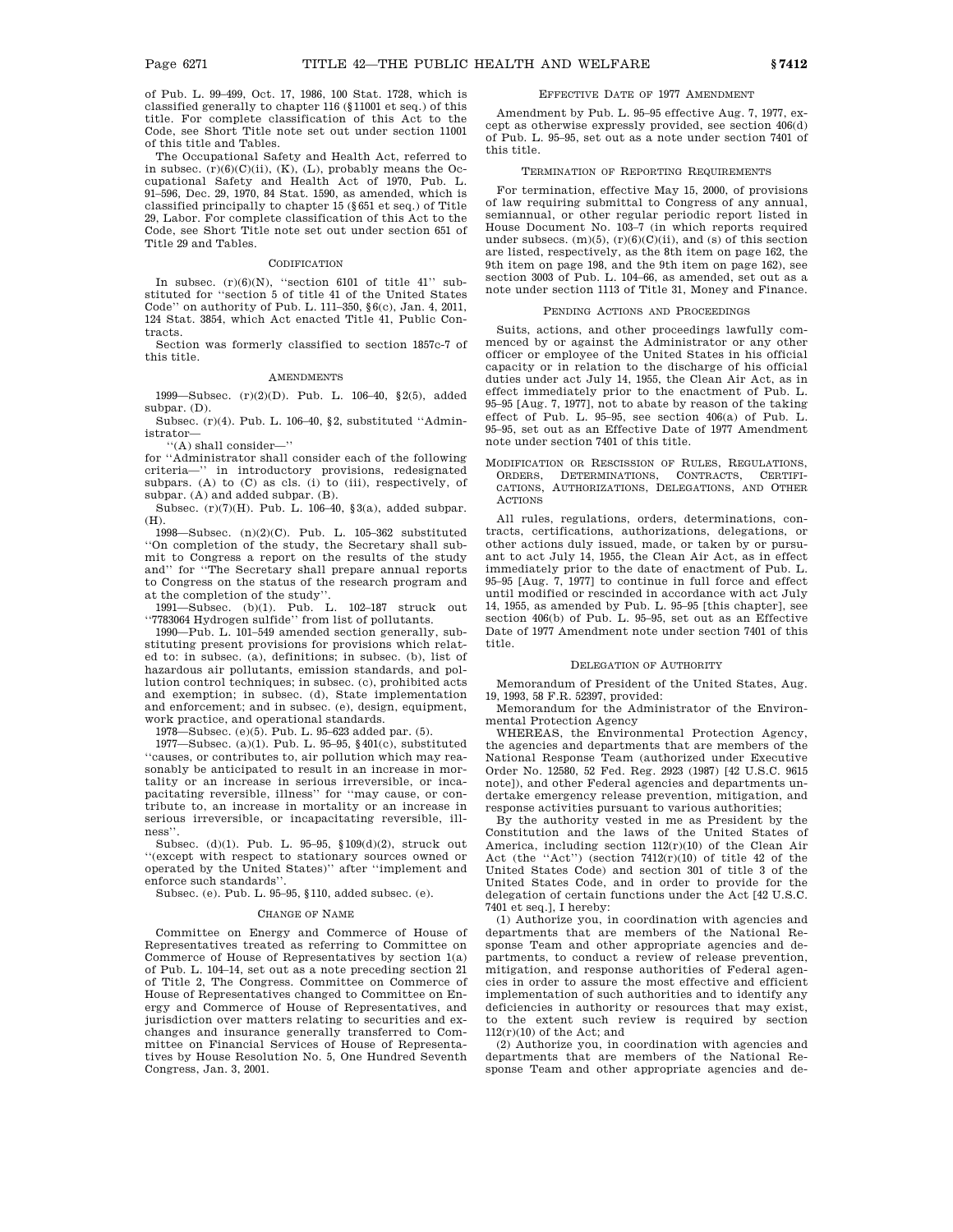of Pub. L. 99–499, Oct. 17, 1986, 100 Stat. 1728, which is classified generally to chapter 116 (§11001 et seq.) of this title. For complete classification of this Act to the Code, see Short Title note set out under section 11001 of this title and Tables.

The Occupational Safety and Health Act, referred to in subsec.  $(r)(6)(C)(ii)$ ,  $(K)$ ,  $(L)$ , probably means the Occupational Safety and Health Act of 1970, Pub. L. 91–596, Dec. 29, 1970, 84 Stat. 1590, as amended, which is classified principally to chapter 15 (§651 et seq.) of Title 29, Labor. For complete classification of this Act to the Code, see Short Title note set out under section 651 of Title 29 and Tables.

#### **CODIFICATION**

In subsec.  $(r)(6)(N)$ , "section 6101 of title 41" substituted for ''section 5 of title 41 of the United States Code'' on authority of Pub. L. 111–350, §6(c), Jan. 4, 2011, 124 Stat. 3854, which Act enacted Title 41, Public Contracts.

Section was formerly classified to section 1857c-7 of this title.

#### **AMENDMENTS**

1999—Subsec. (r)(2)(D). Pub. L. 106–40, §2(5), added subpar. (D).

Subsec. (r)(4). Pub. L. 106–40, §2, substituted ''Administrator—

''(A) shall consider—''

for ''Administrator shall consider each of the following criteria—'' in introductory provisions, redesignated subpars. (A) to (C) as cls. (i) to (iii), respectively, of subpar. (A) and added subpar. (B).

Subsec. (r)(7)(H). Pub. L. 106–40, §3(a), added subpar. (H).

1998—Subsec. (n)(2)(C). Pub. L. 105–362 substituted ''On completion of the study, the Secretary shall submit to Congress a report on the results of the study and'' for ''The Secretary shall prepare annual reports to Congress on the status of the research program and at the completion of the study''.

1991—Subsec. (b)(1). Pub. L. 102–187 struck out ''7783064 Hydrogen sulfide'' from list of pollutants.

1990—Pub. L. 101–549 amended section generally, substituting present provisions for provisions which related to: in subsec. (a), definitions; in subsec. (b), list of hazardous air pollutants, emission standards, and pollution control techniques; in subsec. (c), prohibited acts and exemption; in subsec. (d), State implementation and enforcement; and in subsec. (e), design, equipment, work practice, and operational standards.

1978—Subsec. (e)(5). Pub. L. 95–623 added par. (5).

1977—Subsec. (a)(1). Pub. L. 95–95, §401(c), substituted ''causes, or contributes to, air pollution which may reasonably be anticipated to result in an increase in mortality or an increase in serious irreversible, or incapacitating reversible, illness'' for ''may cause, or contribute to, an increase in mortality or an increase in serious irreversible, or incapacitating reversible, illness''.

Subsec. (d)(1). Pub. L. 95–95, §109(d)(2), struck out ''(except with respect to stationary sources owned or operated by the United States)'' after ''implement and enforce such standards''.

Subsec. (e). Pub. L. 95–95, §110, added subsec. (e).

#### CHANGE OF NAME

Committee on Energy and Commerce of House of Representatives treated as referring to Committee on Commerce of House of Representatives by section 1(a) of Pub. L. 104–14, set out as a note preceding section 21 of Title 2, The Congress. Committee on Commerce of House of Representatives changed to Committee on Energy and Commerce of House of Representatives, and jurisdiction over matters relating to securities and exchanges and insurance generally transferred to Committee on Financial Services of House of Representatives by House Resolution No. 5, One Hundred Seventh Congress, Jan. 3, 2001.

#### EFFECTIVE DATE OF 1977 AMENDMENT

Amendment by Pub. L. 95–95 effective Aug. 7, 1977, except as otherwise expressly provided, see section 406(d) of Pub. L. 95–95, set out as a note under section 7401 of this title.

#### TERMINATION OF REPORTING REQUIREMENTS

For termination, effective May 15, 2000, of provisions of law requiring submittal to Congress of any annual, semiannual, or other regular periodic report listed in House Document No. 103–7 (in which reports required under subsecs.  $(m)(5)$ ,  $(r)(6)(C)(ii)$ , and  $(s)$  of this section are listed, respectively, as the 8th item on page 162, the 9th item on page 198, and the 9th item on page 162), see section 3003 of Pub. L. 104–66, as amended, set out as a note under section 1113 of Title 31, Money and Finance.

#### PENDING ACTIONS AND PROCEEDINGS

Suits, actions, and other proceedings lawfully commenced by or against the Administrator or any other officer or employee of the United States in his official capacity or in relation to the discharge of his official duties under act July 14, 1955, the Clean Air Act, as in effect immediately prior to the enactment of Pub. L. 95–95 [Aug. 7, 1977], not to abate by reason of the taking effect of Pub. L. 95–95, see section 406(a) of Pub. L. 95–95, set out as an Effective Date of 1977 Amendment note under section 7401 of this title.

MODIFICATION OR RESCISSION OF RULES, REGULATIONS, ORDERS, DETERMINATIONS, CONTRACTS, CERTIFI-CATIONS, AUTHORIZATIONS, DELEGATIONS, AND OTHER **ACTIONS** 

All rules, regulations, orders, determinations, contracts, certifications, authorizations, delegations, or other actions duly issued, made, or taken by or pursuant to act July 14, 1955, the Clean Air Act, as in effect immediately prior to the date of enactment of Pub. L. 95–95 [Aug. 7, 1977] to continue in full force and effect until modified or rescinded in accordance with act July 14, 1955, as amended by Pub. L. 95–95 [this chapter], see section 406(b) of Pub. L. 95–95, set out as an Effective Date of 1977 Amendment note under section 7401 of this title.

#### DELEGATION OF AUTHORITY

Memorandum of President of the United States, Aug. 19, 1993, 58 F.R. 52397, provided:

Memorandum for the Administrator of the Environmental Protection Agency

WHEREAS, the Environmental Protection Agency, the agencies and departments that are members of the National Response Team (authorized under Executive Order No. 12580, 52 Fed. Reg. 2923 (1987) [42 U.S.C. 9615 note]), and other Federal agencies and departments undertake emergency release prevention, mitigation, and response activities pursuant to various authorities;

By the authority vested in me as President by the Constitution and the laws of the United States of America, including section 112(r)(10) of the Clean Air Act (the ''Act'') (section 7412(r)(10) of title 42 of the United States Code) and section 301 of title 3 of the United States Code, and in order to provide for the delegation of certain functions under the Act [42 U.S.C. 7401 et seq.], I hereby:

(1) Authorize you, in coordination with agencies and departments that are members of the National Response Team and other appropriate agencies and departments, to conduct a review of release prevention, mitigation, and response authorities of Federal agencies in order to assure the most effective and efficient implementation of such authorities and to identify any deficiencies in authority or resources that may exist, to the extent such review is required by section  $112(r)(10)$  of the Act; and

(2) Authorize you, in coordination with agencies and departments that are members of the National Response Team and other appropriate agencies and de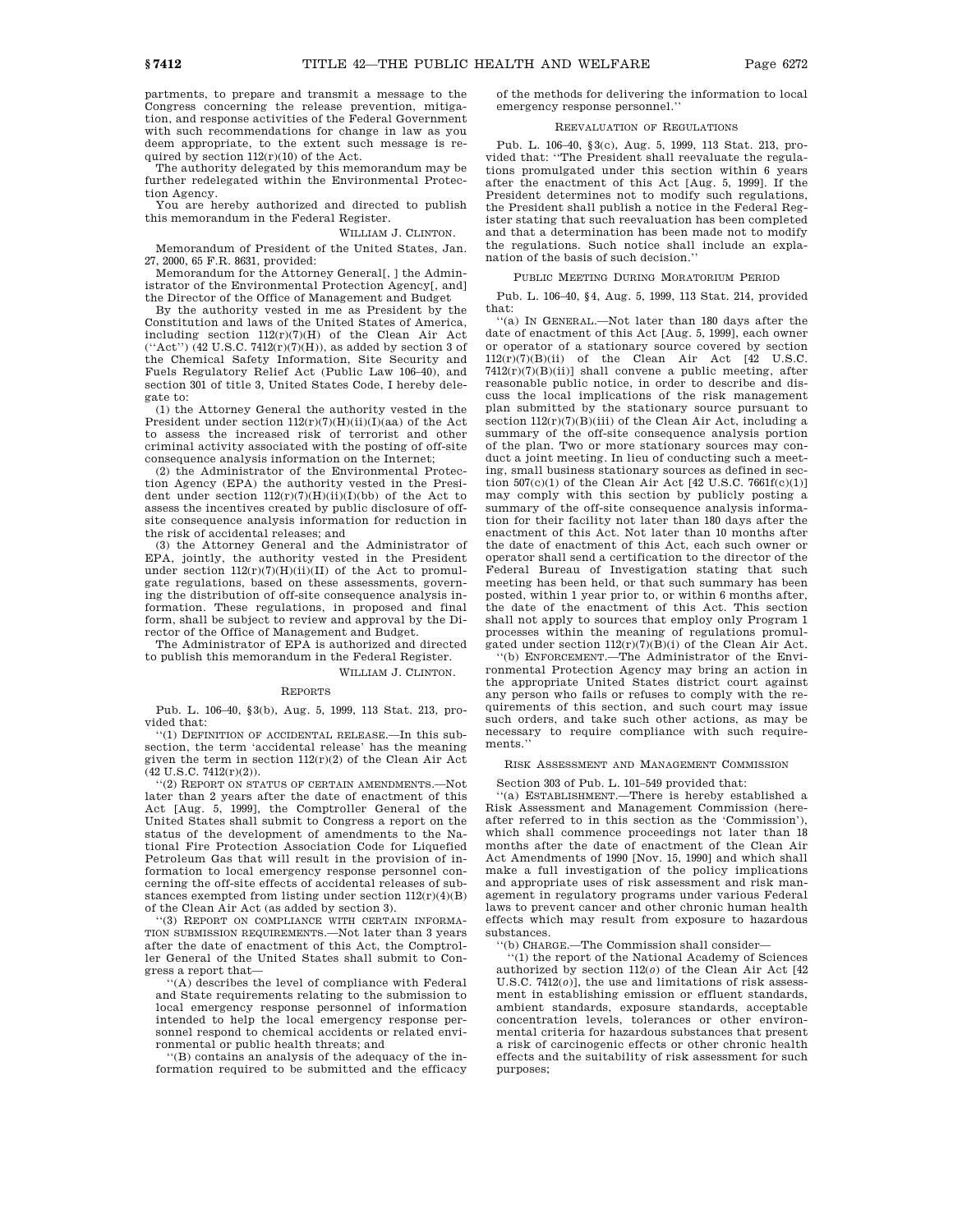partments, to prepare and transmit a message to the Congress concerning the release prevention, mitigation, and response activities of the Federal Government with such recommendations for change in law as you deem appropriate, to the extent such message is required by section  $112(r)(10)$  of the Act.

The authority delegated by this memorandum may be further redelegated within the Environmental Protection Agency.

You are hereby authorized and directed to publish this memorandum in the Federal Register.

#### WILLIAM J. CLINTON.

Memorandum of President of the United States, Jan. 27, 2000, 65 F.R. 8631, provided:

Memorandum for the Attorney General[, ] the Administrator of the Environmental Protection Agency[, and] the Director of the Office of Management and Budget

By the authority vested in me as President by the Constitution and laws of the United States of America, including section  $112(r)(7)(H)$  of the Clean Air Act ("Act") (42 U.S.C. 7412 $(r)(7)(H)$ ), as added by section 3 of the Chemical Safety Information, Site Security and Fuels Regulatory Relief Act (Public Law 106–40), and section 301 of title 3, United States Code, I hereby delegate to:

(1) the Attorney General the authority vested in the President under section  $112(r)(7)(H)(ii)(I)(aa)$  of the Act to assess the increased risk of terrorist and other criminal activity associated with the posting of off-site consequence analysis information on the Internet;

(2) the Administrator of the Environmental Protection Agency (EPA) the authority vested in the President under section  $112(r)(7)(H)(ii)(I)(bb)$  of the Act to assess the incentives created by public disclosure of offsite consequence analysis information for reduction in the risk of accidental releases; and

(3) the Attorney General and the Administrator of EPA, jointly, the authority vested in the President under section  $112(r)(7)(H)(ii)(II)$  of the Act to promulgate regulations, based on these assessments, governing the distribution of off-site consequence analysis information. These regulations, in proposed and final form, shall be subject to review and approval by the Director of the Office of Management and Budget.

The Administrator of EPA is authorized and directed to publish this memorandum in the Federal Register.

WILLIAM J. CLINTON.

#### REPORTS

Pub. L. 106–40, §3(b), Aug. 5, 1999, 113 Stat. 213, provided that:

''(1) DEFINITION OF ACCIDENTAL RELEASE.—In this subsection, the term 'accidental release' has the meaning given the term in section  $112(r)(2)$  of the Clean Air Act (42 U.S.C. 7412(r)(2)).

''(2) REPORT ON STATUS OF CERTAIN AMENDMENTS.—Not later than 2 years after the date of enactment of this Act [Aug. 5, 1999], the Comptroller General of the United States shall submit to Congress a report on the status of the development of amendments to the National Fire Protection Association Code for Liquefied Petroleum Gas that will result in the provision of information to local emergency response personnel concerning the off-site effects of accidental releases of substances exempted from listing under section  $112(r)(4)(B)$ of the Clean Air Act (as added by section 3).

'(3) REPORT ON COMPLIANCE WITH CERTAIN INFORMA-TION SUBMISSION REQUIREMENTS.—Not later than 3 years after the date of enactment of this Act, the Comptroller General of the United States shall submit to Congress a report that—

''(A) describes the level of compliance with Federal and State requirements relating to the submission to local emergency response personnel of information intended to help the local emergency response personnel respond to chemical accidents or related environmental or public health threats; and

''(B) contains an analysis of the adequacy of the information required to be submitted and the efficacy of the methods for delivering the information to local emergency response personnel.''

#### REEVALUATION OF REGULATIONS

Pub. L. 106–40, §3(c), Aug. 5, 1999, 113 Stat. 213, provided that: ''The President shall reevaluate the regulations promulgated under this section within 6 years after the enactment of this Act [Aug. 5, 1999]. If the President determines not to modify such regulations, the President shall publish a notice in the Federal Register stating that such reevaluation has been completed and that a determination has been made not to modify the regulations. Such notice shall include an explanation of the basis of such decision.''

#### PUBLIC MEETING DURING MORATORIUM PERIOD

Pub. L. 106–40, §4, Aug. 5, 1999, 113 Stat. 214, provided that:

''(a) IN GENERAL.—Not later than 180 days after the date of enactment of this Act [Aug. 5, 1999], each owner or operator of a stationary source covered by section 112(r)(7)(B)(ii) of the Clean Air Act [42 U.S.C.  $7412(r)(7)(B)(ii)$ ] shall convene a public meeting, after reasonable public notice, in order to describe and discuss the local implications of the risk management plan submitted by the stationary source pursuant to section  $112(r)(7)(B)(iii)$  of the Clean Air Act, including a summary of the off-site consequence analysis portion of the plan. Two or more stationary sources may conduct a joint meeting. In lieu of conducting such a meeting, small business stationary sources as defined in section  $507(c)(1)$  of the Clean Air Act [42 U.S.C. 7661 $f(c)(1)$ ] may comply with this section by publicly posting a summary of the off-site consequence analysis information for their facility not later than 180 days after the enactment of this Act. Not later than 10 months after the date of enactment of this Act, each such owner or operator shall send a certification to the director of the Federal Bureau of Investigation stating that such meeting has been held, or that such summary has been posted, within 1 year prior to, or within 6 months after, the date of the enactment of this Act. This section shall not apply to sources that employ only Program 1 processes within the meaning of regulations promulgated under section  $112(r)(7)(B)(i)$  of the Clean Air Act.

''(b) ENFORCEMENT.—The Administrator of the Environmental Protection Agency may bring an action in the appropriate United States district court against any person who fails or refuses to comply with the requirements of this section, and such court may issue such orders, and take such other actions, as may be necessary to require compliance with such requirements.''

#### RISK ASSESSMENT AND MANAGEMENT COMMISSION

Section 303 of Pub. L. 101–549 provided that:

''(a) ESTABLISHMENT.—There is hereby established a Risk Assessment and Management Commission (hereafter referred to in this section as the 'Commission'), which shall commence proceedings not later than 18 months after the date of enactment of the Clean Air Act Amendments of 1990 [Nov. 15, 1990] and which shall make a full investigation of the policy implications and appropriate uses of risk assessment and risk management in regulatory programs under various Federal laws to prevent cancer and other chronic human health effects which may result from exposure to hazardous substances.

''(b) CHARGE.—The Commission shall consider—

''(1) the report of the National Academy of Sciences authorized by section 112(*o*) of the Clean Air Act [42 U.S.C. 7412(*o*)], the use and limitations of risk assessment in establishing emission or effluent standards, ambient standards, exposure standards, acceptable concentration levels, tolerances or other environmental criteria for hazardous substances that present a risk of carcinogenic effects or other chronic health effects and the suitability of risk assessment for such purposes;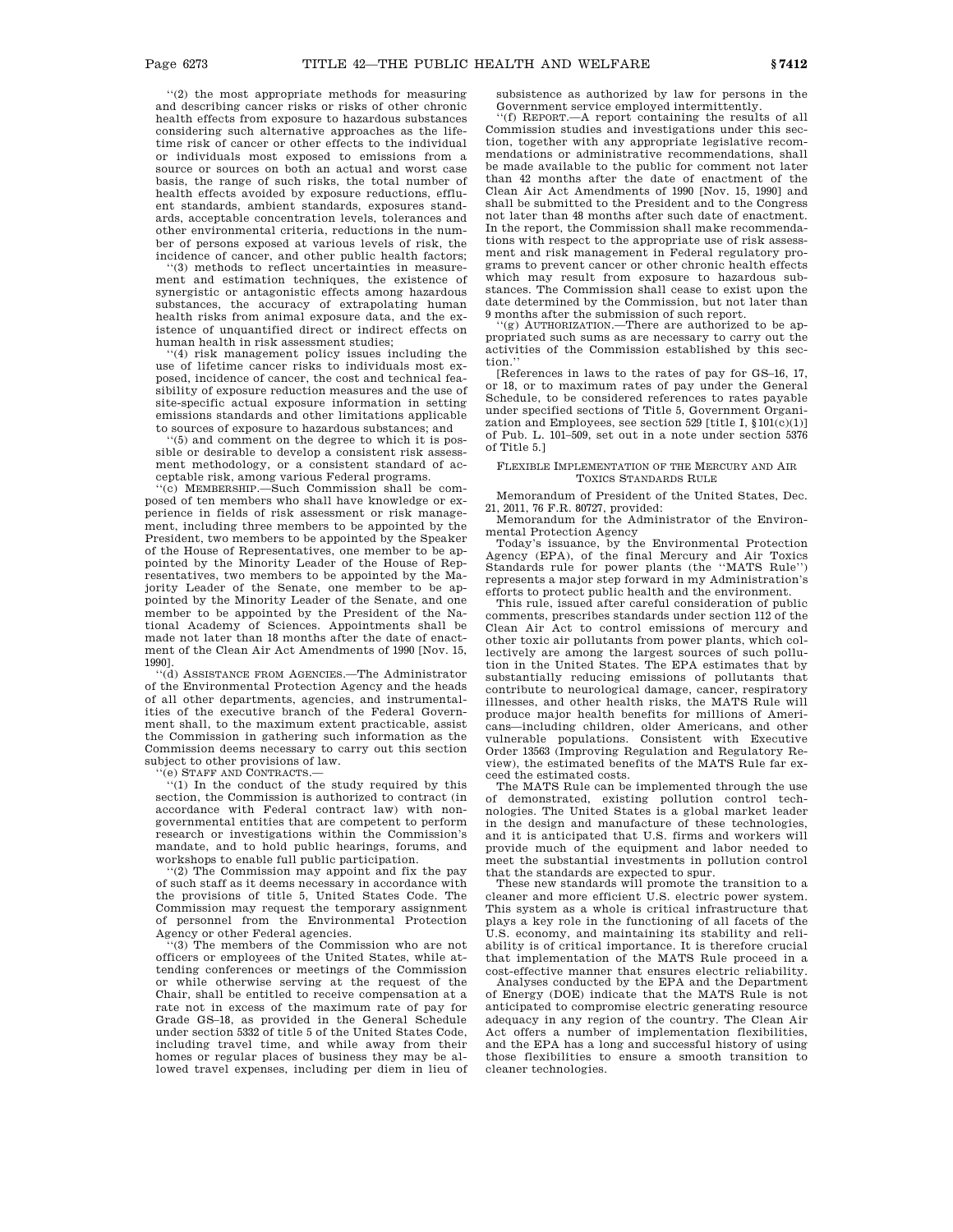''(2) the most appropriate methods for measuring and describing cancer risks or risks of other chronic health effects from exposure to hazardous substances considering such alternative approaches as the lifetime risk of cancer or other effects to the individual or individuals most exposed to emissions from a source or sources on both an actual and worst case basis, the range of such risks, the total number of health effects avoided by exposure reductions, effluent standards, ambient standards, exposures standards, acceptable concentration levels, tolerances and other environmental criteria, reductions in the number of persons exposed at various levels of risk, the incidence of cancer, and other public health factors;

''(3) methods to reflect uncertainties in measurement and estimation techniques, the existence of synergistic or antagonistic effects among hazardous substances, the accuracy of extrapolating human health risks from animal exposure data, and the existence of unquantified direct or indirect effects on human health in risk assessment studies;

'(4) risk management policy issues including the use of lifetime cancer risks to individuals most exposed, incidence of cancer, the cost and technical feasibility of exposure reduction measures and the use of site-specific actual exposure information in setting emissions standards and other limitations applicable to sources of exposure to hazardous substances; and

''(5) and comment on the degree to which it is possible or desirable to develop a consistent risk assessment methodology, or a consistent standard of acceptable risk, among various Federal programs.

''(c) MEMBERSHIP.—Such Commission shall be composed of ten members who shall have knowledge or experience in fields of risk assessment or risk management, including three members to be appointed by the President, two members to be appointed by the Speaker of the House of Representatives, one member to be appointed by the Minority Leader of the House of Representatives, two members to be appointed by the Majority Leader of the Senate, one member to be appointed by the Minority Leader of the Senate, and one member to be appointed by the President of the National Academy of Sciences. Appointments shall be made not later than 18 months after the date of enactment of the Clean Air Act Amendments of 1990 [Nov. 15, 1990].

''(d) ASSISTANCE FROM AGENCIES.—The Administrator of the Environmental Protection Agency and the heads of all other departments, agencies, and instrumentalities of the executive branch of the Federal Government shall, to the maximum extent practicable, assist the Commission in gathering such information as the Commission deems necessary to carry out this section subject to other provisions of law.

'(e) STAFF AND CONTRACTS.

''(1) In the conduct of the study required by this section, the Commission is authorized to contract (in accordance with Federal contract law) with nongovernmental entities that are competent to perform research or investigations within the Commission's mandate, and to hold public hearings, forums, and workshops to enable full public participation.

 $(2)$  The Commission may appoint and fix the pay of such staff as it deems necessary in accordance with the provisions of title 5, United States Code. The Commission may request the temporary assignment of personnel from the Environmental Protection

Agency or other Federal agencies. ''(3) The members of the Commission who are not officers or employees of the United States, while attending conferences or meetings of the Commission or while otherwise serving at the request of the Chair, shall be entitled to receive compensation at a rate not in excess of the maximum rate of pay for Grade GS–18, as provided in the General Schedule under section 5332 of title 5 of the United States Code, including travel time, and while away from their homes or regular places of business they may be allowed travel expenses, including per diem in lieu of subsistence as authorized by law for persons in the Government service employed intermittently.

'(f) REPORT.—A report containing the results of all Commission studies and investigations under this section, together with any appropriate legislative recommendations or administrative recommendations, shall be made available to the public for comment not later than 42 months after the date of enactment of the Clean Air Act Amendments of 1990 [Nov. 15, 1990] and shall be submitted to the President and to the Congress not later than 48 months after such date of enactment. In the report, the Commission shall make recommendations with respect to the appropriate use of risk assessment and risk management in Federal regulatory programs to prevent cancer or other chronic health effects which may result from exposure to hazardous substances. The Commission shall cease to exist upon the date determined by the Commission, but not later than

9 months after the submission of such report. ''(g) AUTHORIZATION.—There are authorized to be appropriated such sums as are necessary to carry out the activities of the Commission established by this section.

[References in laws to the rates of pay for GS–16, 17, or 18, or to maximum rates of pay under the General Schedule, to be considered references to rates payable under specified sections of Title 5, Government Organization and Employees, see section 529 [title I,  $§101(c)(1)]$ of Pub. L. 101–509, set out in a note under section 5376 of Title 5.]

#### FLEXIBLE IMPLEMENTATION OF THE MERCURY AND AIR TOXICS STANDARDS RULE

Memorandum of President of the United States, Dec. 21, 2011, 76 F.R. 80727, provided:

Memorandum for the Administrator of the Environmental Protection Agency

Today's issuance, by the Environmental Protection Agency (EPA), of the final Mercury and Air Toxics Standards rule for power plants (the ''MATS Rule'') represents a major step forward in my Administration's efforts to protect public health and the environment.

This rule, issued after careful consideration of public comments, prescribes standards under section 112 of the Clean Air Act to control emissions of mercury and other toxic air pollutants from power plants, which collectively are among the largest sources of such pollution in the United States. The EPA estimates that by substantially reducing emissions of pollutants that contribute to neurological damage, cancer, respiratory illnesses, and other health risks, the MATS Rule will produce major health benefits for millions of Americans—including children, older Americans, and other vulnerable populations. Consistent with Executive Order 13563 (Improving Regulation and Regulatory Review), the estimated benefits of the MATS Rule far exceed the estimated costs.

The MATS Rule can be implemented through the use of demonstrated, existing pollution control technologies. The United States is a global market leader in the design and manufacture of these technologies, and it is anticipated that U.S. firms and workers will provide much of the equipment and labor needed to meet the substantial investments in pollution control that the standards are expected to spur.

These new standards will promote the transition to a cleaner and more efficient U.S. electric power system. This system as a whole is critical infrastructure that plays a key role in the functioning of all facets of the U.S. economy, and maintaining its stability and reliability is of critical importance. It is therefore crucial that implementation of the MATS Rule proceed in a

cost-effective manner that ensures electric reliability. Analyses conducted by the EPA and the Department of Energy (DOE) indicate that the MATS Rule is not anticipated to compromise electric generating resource adequacy in any region of the country. The Clean Air Act offers a number of implementation flexibilities, and the EPA has a long and successful history of using those flexibilities to ensure a smooth transition to cleaner technologies.